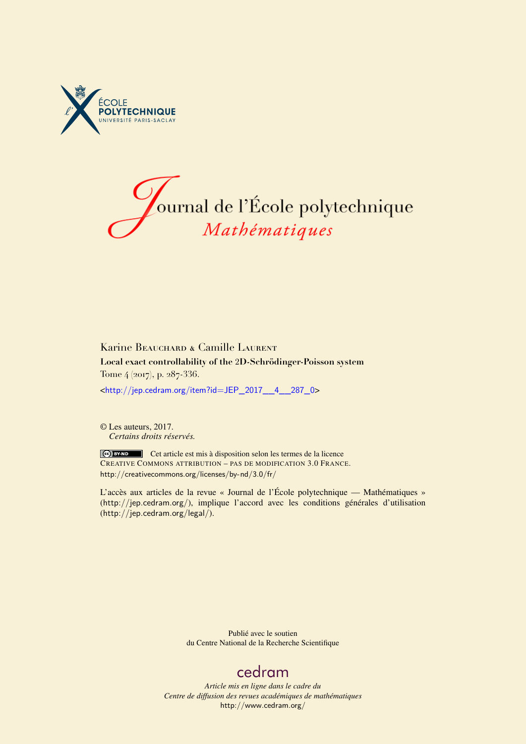



# Karine BEAUCHARD & Camille LAURENT **Local exact controllability of the** 2**D-Schrödinger-Poisson system** Tome 4 (2017), p. 287-336.

<[http://jep.cedram.org/item?id=JEP\\_2017\\_\\_4\\_\\_287\\_0](http://jep.cedram.org/item?id=JEP_2017__4__287_0)>

© Les auteurs, 2017. *Certains droits réservés.*

Cet article est mis à disposition selon les termes de la licence CREATIVE COMMONS ATTRIBUTION – PAS DE MODIFICATION 3.0 FRANCE. <http://creativecommons.org/licenses/by-nd/3.0/fr/>

L'accès aux articles de la revue « Journal de l'École polytechnique — Mathématiques » (<http://jep.cedram.org/>), implique l'accord avec les conditions générales d'utilisation (<http://jep.cedram.org/legal/>).

> Publié avec le soutien du Centre National de la Recherche Scientifique

# [cedram](http://www.cedram.org/)

*Article mis en ligne dans le cadre du Centre de diffusion des revues académiques de mathématiques* <http://www.cedram.org/>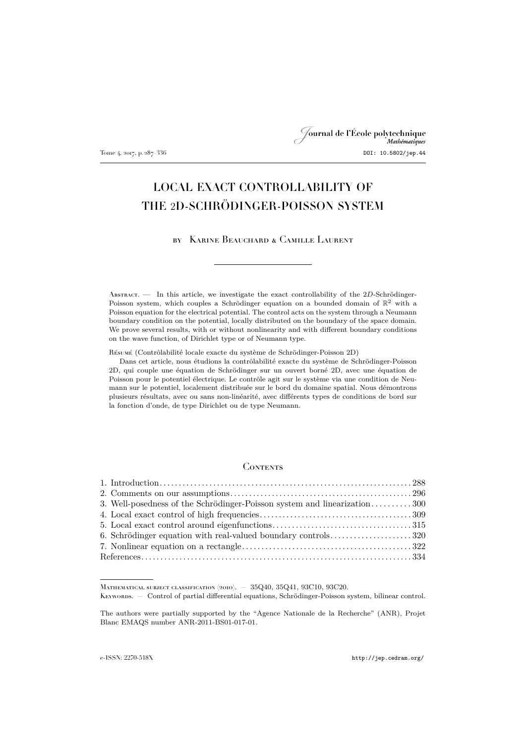# Journal de l'École polytechnique Tome 4, 2017, p. 287–336 DOI: 10.5802/jep.44

# LOCAL EXACT CONTROLLABILITY OF THE 2D-SCHRÖDINGER-POISSON SYSTEM

by Karine Beauchard & Camille Laurent

ABSTRACT. — In this article, we investigate the exact controllability of the 2D-Schrödinger-Poisson system, which couples a Schrödinger equation on a bounded domain of  $\mathbb{R}^2$  with a Poisson equation for the electrical potential. The control acts on the system through a Neumann boundary condition on the potential, locally distributed on the boundary of the space domain. We prove several results, with or without nonlinearity and with different boundary conditions on the wave function, of Dirichlet type or of Neumann type.

Résumé (Contrôlabilité locale exacte du système de Schrödinger-Poisson 2D)

Dans cet article, nous étudions la contrôlabilité exacte du système de Schrödinger-Poisson 2D, qui couple une équation de Schrödinger sur un ouvert borné 2D, avec une équation de Poisson pour le potentiel électrique. Le contrôle agit sur le système via une condition de Neumann sur le potentiel, localement distribuée sur le bord du domaine spatial. Nous démontrons plusieurs résultats, avec ou sans non-linéarité, avec différents types de conditions de bord sur la fonction d'onde, de type Dirichlet ou de type Neumann.

### **CONTENTS**

| 3. Well-posedness of the Schrödinger-Poisson system and linearization300 |  |
|--------------------------------------------------------------------------|--|
|                                                                          |  |
|                                                                          |  |
| 6. Schrödinger equation with real-valued boundary controls320            |  |
|                                                                          |  |
|                                                                          |  |

Mathematical subject classification (2010). — 35Q40, 35Q41, 93C10, 93C20.

Keywords. — Control of partial differential equations, Schrödinger-Poisson system, bilinear control.

The authors were partially supported by the "Agence Nationale de la Recherche" (ANR), Projet Blanc EMAQS number ANR-2011-BS01-017-01.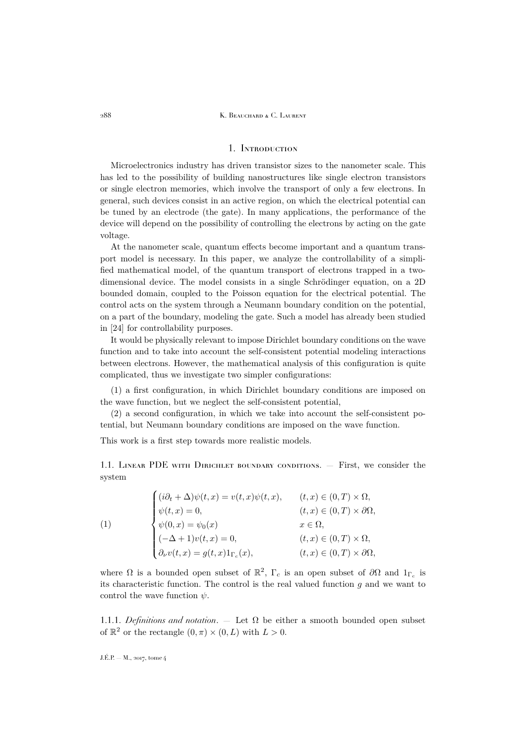#### 288 K. BEAUCHARD & C. LAURENT

# 1. Introduction

<span id="page-2-0"></span>Microelectronics industry has driven transistor sizes to the nanometer scale. This has led to the possibility of building nanostructures like single electron transistors or single electron memories, which involve the transport of only a few electrons. In general, such devices consist in an active region, on which the electrical potential can be tuned by an electrode (the gate). In many applications, the performance of the device will depend on the possibility of controlling the electrons by acting on the gate voltage.

At the nanometer scale, quantum effects become important and a quantum transport model is necessary. In this paper, we analyze the controllability of a simplified mathematical model, of the quantum transport of electrons trapped in a twodimensional device. The model consists in a single Schrödinger equation, on a 2D bounded domain, coupled to the Poisson equation for the electrical potential. The control acts on the system through a Neumann boundary condition on the potential, on a part of the boundary, modeling the gate. Such a model has already been studied in [\[24\]](#page-49-0) for controllability purposes.

It would be physically relevant to impose Dirichlet boundary conditions on the wave function and to take into account the self-consistent potential modeling interactions between electrons. However, the mathematical analysis of this configuration is quite complicated, thus we investigate two simpler configurations:

(1) a first configuration, in which Dirichlet boundary conditions are imposed on the wave function, but we neglect the self-consistent potential,

(2) a second configuration, in which we take into account the self-consistent potential, but Neumann boundary conditions are imposed on the wave function.

This work is a first step towards more realistic models.

1.1. LINEAR PDE WITH DIRICHLET BOUNDARY CONDITIONS.  $-$  First, we consider the system

<span id="page-2-1"></span>(1)  
\n
$$
\begin{cases}\n(i\partial_t + \Delta)\psi(t, x) = v(t, x)\psi(t, x), & (t, x) \in (0, T) \times \Omega, \\
\psi(t, x) = 0, & (t, x) \in (0, T) \times \partial\Omega, \\
\psi(0, x) = \psi_0(x) & x \in \Omega, \\
(-\Delta + 1)v(t, x) = 0, & (t, x) \in (0, T) \times \Omega, \\
\partial_\nu v(t, x) = g(t, x)1_{\Gamma_c}(x), & (t, x) \in (0, T) \times \partial\Omega,\n\end{cases}
$$

where  $\Omega$  is a bounded open subset of  $\mathbb{R}^2$ ,  $\Gamma_c$  is an open subset of  $\partial\Omega$  and  $1_{\Gamma_c}$  is its characteristic function. The control is the real valued function  $g$  and we want to control the wave function  $\psi$ .

1.1.1. *Definitions and notation*. — Let  $\Omega$  be either a smooth bounded open subset of  $\mathbb{R}^2$  or the rectangle  $(0, \pi) \times (0, L)$  with  $L > 0$ .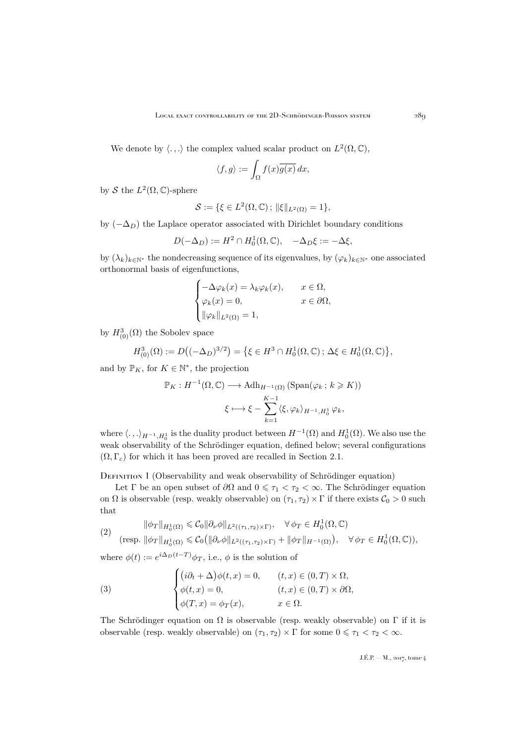We denote by  $\langle .,.\rangle$  the complex valued scalar product on  $L^2(\Omega,\mathbb{C}),$ 

$$
\langle f, g \rangle := \int_{\Omega} f(x) \overline{g(x)} \, dx,
$$

by S the  $L^2(\Omega,\mathbb{C})$ -sphere

$$
\mathcal{S} := \{ \xi \in L^2(\Omega, \mathbb{C}) \, ; \, \|\xi\|_{L^2(\Omega)} = 1 \},
$$

by  $(-\Delta_D)$  the Laplace operator associated with Dirichlet boundary conditions

$$
D(-\Delta_D):=H^2\cap H^1_0(\Omega,\mathbb{C}),\quad -\Delta_D\xi:=-\Delta\xi,
$$

by  $(\lambda_k)_{k\in\mathbb{N}^*}$  the nondecreasing sequence of its eigenvalues, by  $(\varphi_k)_{k\in\mathbb{N}^*}$  one associated orthonormal basis of eigenfunctions,

$$
\begin{cases}\n-\Delta \varphi_k(x) = \lambda_k \varphi_k(x), & x \in \Omega, \\
\varphi_k(x) = 0, & x \in \partial \Omega, \\
\|\varphi_k\|_{L^2(\Omega)} = 1,\n\end{cases}
$$

by  $H^3_{(0)}(\Omega)$  the Sobolev space

$$
H^3_{(0)}(\Omega) := D((-\Delta_D)^{3/2}) = \{ \xi \in H^3 \cap H^1_0(\Omega, \mathbb{C}) \, ; \, \Delta \xi \in H^1_0(\Omega, \mathbb{C}) \},
$$

and by  $\mathbb{P}_K$ , for  $K \in \mathbb{N}^*$ , the projection

$$
\mathbb{P}_K : H^{-1}(\Omega, \mathbb{C}) \longrightarrow \text{Adh}_{H^{-1}(\Omega)} (\text{Span}(\varphi_k \, ; \, k \geq K))
$$

$$
\xi \longmapsto \xi - \sum_{k=1}^{K-1} \langle \xi, \varphi_k \rangle_{H^{-1}, H_0^1} \varphi_k,
$$

where  $\langle .\,,.\rangle_{H^{-1},H_0^1}$  is the duality product between  $H^{-1}(\Omega)$  and  $H_0^1(\Omega)$ . We also use the weak observability of the Schrödinger equation, defined below; several configurations  $(\Omega, \Gamma_c)$  for which it has been proved are recalled in Section [2.1.](#page-10-1)

DEFINITION 1 (Observability and weak observability of Schrödinger equation)

Let  $\Gamma$  be an open subset of  $\partial\Omega$  and  $0 \leq \tau_1 < \tau_2 < \infty$ . The Schrödinger equation on  $\Omega$  is observable (resp. weakly observable) on  $(\tau_1, \tau_2) \times \Gamma$  if there exists  $C_0 > 0$  such that

<span id="page-3-0"></span>
$$
\|\phi_T\|_{H_0^1(\Omega)} \leq C_0 \|\partial_\nu \phi\|_{L^2((\tau_1, \tau_2) \times \Gamma)}, \quad \forall \phi_T \in H_0^1(\Omega, \mathbb{C})
$$
  
(resp.  $\|\phi_T\|_{H_0^1(\Omega)} \leq C_0 (\|\partial_\nu \phi\|_{L^2((\tau_1, \tau_2) \times \Gamma)} + \|\phi_T\|_{H^{-1}(\Omega)}), \quad \forall \phi_T \in H_0^1(\Omega, \mathbb{C}),$ 

where  $\phi(t) := e^{i\Delta_D(t-T)} \phi_T$ , i.e.,  $\phi$  is the solution of

(3) 
$$
\begin{cases} (i\partial_t + \Delta)\phi(t, x) = 0, & (t, x) \in (0, T) \times \Omega, \\ \phi(t, x) = 0, & (t, x) \in (0, T) \times \partial\Omega, \\ \phi(T, x) = \phi_T(x), & x \in \Omega. \end{cases}
$$

The Schrödinger equation on  $\Omega$  is observable (resp. weakly observable) on  $\Gamma$  if it is observable (resp. weakly observable) on  $(\tau_1, \tau_2) \times \Gamma$  for some  $0 \leq \tau_1 < \tau_2 < \infty$ .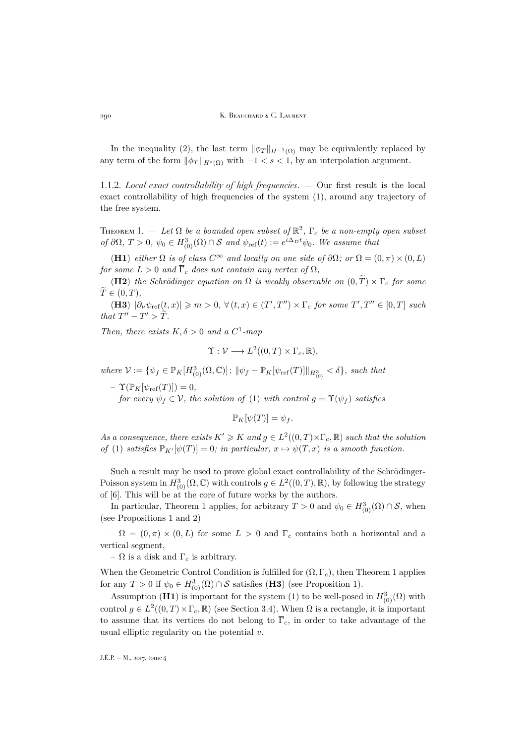In the inequality [\(2\)](#page-3-0), the last term  $\|\phi_T\|_{H^{-1}(\Omega)}$  may be equivalently replaced by any term of the form  $\|\phi_T\|_{H^s(\Omega)}$  with  $-1 < s < 1$ , by an interpolation argument.

1.1.2. *Local exact controllability of high frequencies*. — Our first result is the local exact controllability of high frequencies of the system [\(1\)](#page-2-1), around any trajectory of the free system.

<span id="page-4-0"></span>THEOREM 1.  $-$  Let  $\Omega$  be a bounded open subset of  $\mathbb{R}^2$ ,  $\Gamma_c$  be a non-empty open subset *of*  $\partial\Omega$ ,  $T > 0$ ,  $\psi_0 \in H^3_{(0)}(\Omega) \cap S$  *and*  $\psi_{ref}(t) := e^{i\Delta_D t}\psi_0$ . We assume that

(H1) *either*  $\Omega$  *is of class*  $C^{\infty}$  *and locally on one side of*  $\partial\Omega$ *; or*  $\Omega = (0, \pi) \times (0, L)$ *for some*  $L > 0$  *and*  $\overline{\Gamma}_c$  *does not contain any vertex of*  $\Omega$ *,* 

(H2) *the Schrödinger equation on*  $\Omega$  *is weakly observable on*  $(0, \tilde{T}) \times \Gamma_c$  *for some*  $\widetilde{T} \in (0, T)$ ,

(H3)  $|\partial_{\nu}\psi_{\text{ref}}(t,x)| \geqslant m > 0$ ,  $\forall (t,x) \in (T',T'') \times \Gamma_c$  for some  $T',T'' \in [0,T]$  such *that*  $T'' - T' > \tilde{T}$ *.* 

*Then, there exists*  $K, \delta > 0$  *and a*  $C^1$ -map

$$
\Upsilon : \mathcal{V} \longrightarrow L^2((0,T) \times \Gamma_c, \mathbb{R}),
$$

 $where \mathcal{V} := \{ \psi_f \in \mathbb{P}_K[H^3_{(0)}(\Omega, \mathbb{C})] \, ; \, \|\psi_f - \mathbb{P}_K[\psi_{\text{ref}}(T)]\|_{H^3_{(0)}} < \delta \}, \, such \, that$ 

 $- \Upsilon(\mathbb{P}_K[\psi_{\text{ref}}(T)]) = 0,$ 

 $-$  *for every*  $\psi_f \in \mathcal{V}$ , the solution of [\(1\)](#page-2-1) with control  $q = \Upsilon(\psi_f)$  satisfies

$$
\mathbb{P}_K[\psi(T)] = \psi_f.
$$

As a consequence, there exists  $K' \geq K$  and  $g \in L^2((0,T) \times \Gamma_c, \mathbb{R})$  such that the solution *of* [\(1\)](#page-2-1) *satisfies*  $\mathbb{P}_{K}[\psi(T)] = 0$ *; in particular,*  $x \mapsto \psi(T, x)$  *is a smooth function.* 

Such a result may be used to prove global exact controllability of the Schrödinger-Poisson system in  $H^3_{(0)}(\Omega,\mathbb{C})$  with controls  $g \in L^2((0,T),\mathbb{R})$ , by following the strategy of [\[6\]](#page-49-1). This will be at the core of future works by the authors.

In particular, Theorem [1](#page-4-0) applies, for arbitrary  $T > 0$  and  $\psi_0 \in H^3_{(0)}(\Omega) \cap \mathcal{S}$ , when (see Propositions [1](#page-10-2) and [2\)](#page-10-3)

 $-\Omega = (0, \pi) \times (0, L)$  for some  $L > 0$  and  $\Gamma_c$  contains both a horizontal and a vertical segment,

–  $\Omega$  is a disk and  $\Gamma_c$  is arbitrary.

When the Geometric Control Condition is fulfilled for  $(\Omega, \Gamma_c)$ , then Theorem [1](#page-4-0) applies for any  $T > 0$  if  $\psi_0 \in H^3_{(0)}(\Omega) \cap \mathcal{S}$  satisfies (**H3**) (see Proposition [1\)](#page-10-2).

Assumption (**H1**) is important for the system [\(1\)](#page-2-1) to be well-posed in  $H^3_{(0)}(\Omega)$  with control  $g \in L^2((0,T) \times \Gamma_c, \mathbb{R})$  (see Section [3.4\)](#page-20-0). When  $\Omega$  is a rectangle, it is important to assume that its vertices do not belong to  $\overline{\Gamma}_c$ , in order to take advantage of the usual elliptic regularity on the potential  $v$ .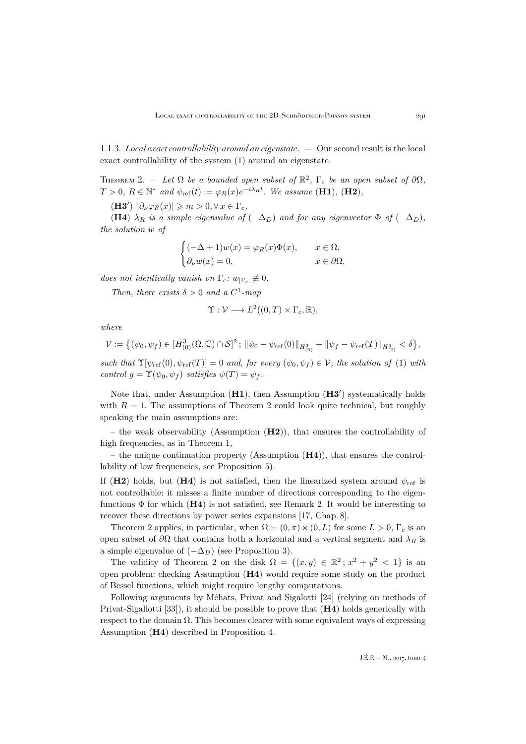1.1.3. *Local exact controllability around an eigenstate*. — Our second result is the local exact controllability of the system [\(1\)](#page-2-1) around an eigenstate.

<span id="page-5-0"></span>THEOREM 2.  $-$  Let  $\Omega$  be a bounded open subset of  $\mathbb{R}^2$ ,  $\Gamma_c$  be an open subset of  $\partial\Omega$ ,  $T > 0$ ,  $R \in \mathbb{N}^*$  and  $\psi_{\text{ref}}(t) := \varphi_R(x) e^{-i\lambda_R t}$ . We assume (**H1**), (**H2**),

(**H3'**)  $|\partial_{\nu}\varphi_R(x)| \geqslant m > 0, \forall x \in \Gamma_c$ ,

(H4)  $\lambda_R$  *is a simple eigenvalue of*  $(-\Delta_D)$  *and for any eigenvector*  $\Phi$  *of*  $(-\Delta_D)$ *, the solution* w *of*

$$
\begin{cases}\n(-\Delta + 1)w(x) = \varphi_R(x)\Phi(x), & x \in \Omega, \\
\partial_\nu w(x) = 0, & x \in \partial\Omega,\n\end{cases}
$$

*does not identically vanish on*  $\Gamma_c$ :  $w_{\vert \Gamma_c} \not\equiv 0$ .

*Then, there exists*  $\delta > 0$  *and a*  $C^1$ -map

$$
\Upsilon: \mathcal{V} \longrightarrow L^2((0,T) \times \Gamma_c, \mathbb{R}),
$$

*where*

$$
\mathcal{V}:=\left\{(\psi_0,\psi_f)\in [H^3_{(0)}(\Omega,\mathbb{C})\cap \mathcal{S}]^2\,;\, \|\psi_0-\psi_{\mathrm{ref}}(0)\|_{H^3_{(0)}}+\|\psi_f-\psi_{\mathrm{ref}}(T)\|_{H^3_{(0)}}<\delta\right\},
$$

*such that*  $\Upsilon[\psi_{\text{ref}}(0), \psi_{\text{ref}}(T)] = 0$  *and, for every*  $(\psi_0, \psi_f) \in \mathcal{V}$ , the solution of [\(1\)](#page-2-1) with *control*  $g = \Upsilon(\psi_0, \psi_f)$  *satisfies*  $\psi(T) = \psi_f$ .

Note that, under Assumption  $(H1)$ , then Assumption  $(H3')$  systematically holds with  $R = 1$ . The assumptions of Theorem [2](#page-5-0) could look quite technical, but roughly speaking the main assumptions are:

– the weak observability (Assumption  $(H2)$ ), that ensures the controllability of high frequencies, as in Theorem [1,](#page-4-0)

– the unique continuation property (Assumption  $(H4)$ ), that ensures the controllability of low frequencies, see Proposition [5\)](#page-13-0).

If (H2) holds, but (H4) is not satisfied, then the linearized system around  $\psi_{\text{ref}}$  is not controllable: it misses a finite number of directions corresponding to the eigenfunctions  $\Phi$  for which (H4) is not satisfied, see Remark [2.](#page-31-0) It would be interesting to recover these directions by power series expansions [\[17,](#page-49-2) Chap. 8].

Theorem [2](#page-5-0) applies, in particular, when  $\Omega = (0, \pi) \times (0, L)$  for some  $L > 0$ ,  $\Gamma_c$  is an open subset of  $\partial\Omega$  that contains both a horizontal and a vertical segment and  $\lambda_R$  is a simple eigenvalue of  $(-\Delta_D)$  (see Proposition [3\)](#page-11-0).

The validity of Theorem [2](#page-5-0) on the disk  $\Omega = \{(x, y) \in \mathbb{R}^2 \mid x^2 + y^2 < 1\}$  is an open problem: checking Assumption (H4) would require some study on the product of Bessel functions, which might require lengthy computations.

Following arguments by Méhats, Privat and Sigalotti [\[24\]](#page-49-0) (relying on methods of Privat-Sigallotti [\[33\]](#page-50-0)), it should be possible to prove that  $(H4)$  holds generically with respect to the domain  $\Omega$ . This becomes clearer with some equivalent ways of expressing Assumption (H4) described in Proposition [4.](#page-12-0)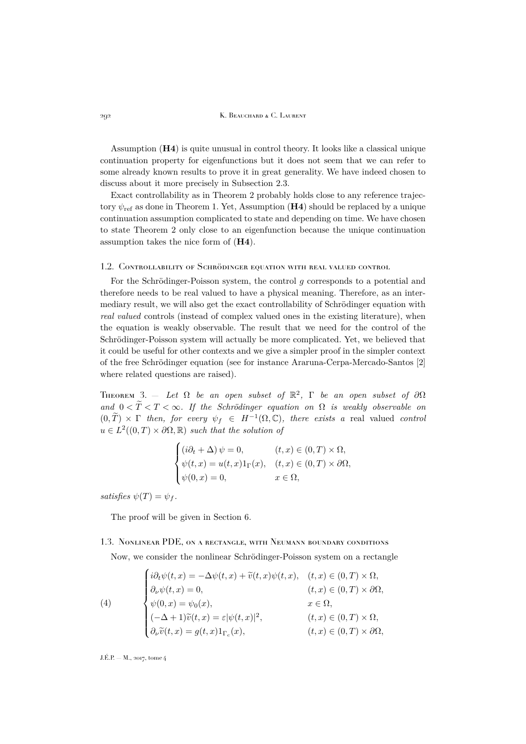#### 292 K. Beauchard & C. Laurent

Assumption (H4) is quite unusual in control theory. It looks like a classical unique continuation property for eigenfunctions but it does not seem that we can refer to some already known results to prove it in great generality. We have indeed chosen to discuss about it more precisely in Subsection [2.3.](#page-11-1)

Exact controllability as in Theorem [2](#page-5-0) probably holds close to any reference trajectory  $\psi_{\text{ref}}$  as done in Theorem [1.](#page-4-0) Yet, Assumption ( $\textbf{H4}$ ) should be replaced by a unique continuation assumption complicated to state and depending on time. We have chosen to state Theorem [2](#page-5-0) only close to an eigenfunction because the unique continuation assumption takes the nice form of (H4).

#### 1.2. Controllability of Schrödinger equation with real valued control

For the Schrödinger-Poisson system, the control g corresponds to a potential and therefore needs to be real valued to have a physical meaning. Therefore, as an intermediary result, we will also get the exact controllability of Schrödinger equation with *real valued* controls (instead of complex valued ones in the existing literature), when the equation is weakly observable. The result that we need for the control of the Schrödinger-Poisson system will actually be more complicated. Yet, we believed that it could be useful for other contexts and we give a simpler proof in the simpler context of the free Schrödinger equation (see for instance Araruna-Cerpa-Mercado-Santos [\[2\]](#page-48-1) where related questions are raised).

<span id="page-6-1"></span>THEOREM 3.  $-$  *Let*  $\Omega$  *be an open subset of*  $\mathbb{R}^2$ ,  $\Gamma$  *be an open subset of*  $\partial\Omega$ and  $0 < \tilde{T} < T < \infty$ . If the Schrödinger equation on  $\Omega$  is weakly observable on  $(0, \widetilde{T}) \times \Gamma$  *then, for every*  $\psi_f \in H^{-1}(\Omega, \mathbb{C})$ *, there exists a* real valued *control*  $u \in L^2((0,T) \times \partial \Omega, \mathbb{R})$  *such that the solution of* 

$$
\begin{cases}\n(i\partial_t + \Delta) \psi = 0, & (t, x) \in (0, T) \times \Omega, \\
\psi(t, x) = u(t, x)1_\Gamma(x), & (t, x) \in (0, T) \times \partial\Omega, \\
\psi(0, x) = 0, & x \in \Omega,\n\end{cases}
$$

*satisfies*  $\psi(T) = \psi_f$ .

The proof will be given in Section [6.](#page-34-0)

#### 1.3. Nonlinear PDE, on a rectangle, with Neumann boundary conditions

Now, we consider the nonlinear Schrödinger-Poisson system on a rectangle

<span id="page-6-0"></span>(4)  
\n
$$
\begin{cases}\ni\partial_t\psi(t,x) = -\Delta\psi(t,x) + \tilde{v}(t,x)\psi(t,x), & (t,x) \in (0,T) \times \Omega, \\
\partial_\nu\psi(t,x) = 0, & (t,x) \in (0,T) \times \partial\Omega, \\
\psi(0,x) = \psi_0(x), & x \in \Omega, \\
(-\Delta + 1)\tilde{v}(t,x) = \varepsilon|\psi(t,x)|^2, & (t,x) \in (0,T) \times \Omega, \\
\partial_\nu\tilde{v}(t,x) = g(t,x)1_{\Gamma_c}(x), & (t,x) \in (0,T) \times \partial\Omega,\n\end{cases}
$$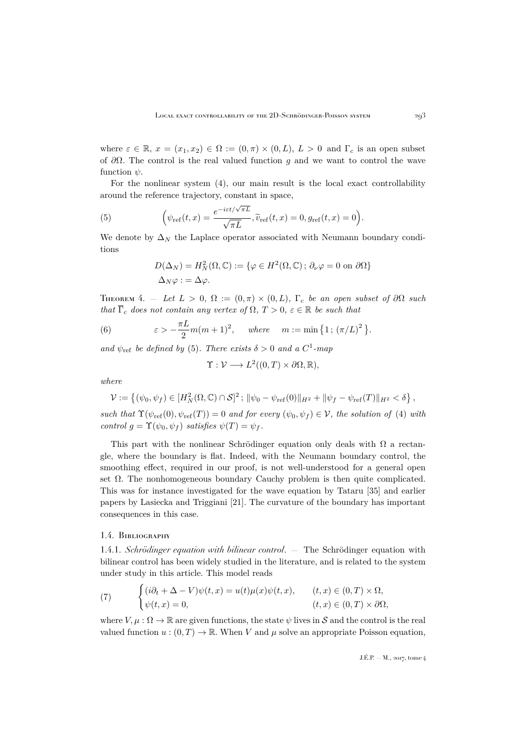where  $\varepsilon \in \mathbb{R}$ ,  $x = (x_1, x_2) \in \Omega := (0, \pi) \times (0, L)$ ,  $L > 0$  and  $\Gamma_c$  is an open subset of  $\partial\Omega$ . The control is the real valued function q and we want to control the wave function  $\psi$ .

For the nonlinear system [\(4\)](#page-6-0), our main result is the local exact controllability around the reference trajectory, constant in space,

(5) 
$$
\left(\psi_{\text{ref}}(t,x) = \frac{e^{-i\varepsilon t/\sqrt{\pi L}}}{\sqrt{\pi L}}, \widetilde{v}_{\text{ref}}(t,x) = 0, g_{\text{ref}}(t,x) = 0\right).
$$

We denote by  $\Delta_N$  the Laplace operator associated with Neumann boundary conditions

<span id="page-7-0"></span>
$$
D(\Delta_N) = H_N^2(\Omega, \mathbb{C}) := \{ \varphi \in H^2(\Omega, \mathbb{C}) \, ; \, \partial_\nu \varphi = 0 \text{ on } \partial \Omega \}
$$

$$
\Delta_N \varphi := \Delta \varphi.
$$

<span id="page-7-2"></span>THEOREM 4. — Let  $L > 0$ ,  $\Omega := (0, \pi) \times (0, L)$ ,  $\Gamma_c$  *be an open subset of*  $\partial \Omega$  *such that*  $\overline{\Gamma}_c$  *does not contain any vertex of*  $\Omega$ ,  $T > 0$ ,  $\varepsilon \in \mathbb{R}$  *be such that* 

<span id="page-7-3"></span>(6) 
$$
\varepsilon > -\frac{\pi L}{2}m(m+1)^2, \quad where \quad m := \min\left\{1; \left(\pi/L\right)^2\right\}.
$$

and  $\psi_{\text{ref}}$  be defined by [\(5\)](#page-7-0). There exists  $\delta > 0$  and a C<sup>1</sup>-map

$$
\Upsilon : \mathcal{V} \longrightarrow L^2((0,T) \times \partial \Omega, \mathbb{R}),
$$

*where*

$$
\mathcal{V} := \left\{ (\psi_0, \psi_f) \in [H_N^2(\Omega, \mathbb{C}) \cap S]^2 \, ; \, \|\psi_0 - \psi_{\text{ref}}(0)\|_{H^2} + \|\psi_f - \psi_{\text{ref}}(T)\|_{H^2} < \delta \right\},
$$

*such that*  $\Upsilon(\psi_{\text{ref}}(0), \psi_{\text{ref}}(T)) = 0$  *and for every*  $(\psi_0, \psi_f) \in \mathcal{V}$ , the solution of [\(4\)](#page-6-0) with *control*  $g = \Upsilon(\psi_0, \psi_f)$  *satisfies*  $\psi(T) = \psi_f$ .

This part with the nonlinear Schrödinger equation only deals with  $\Omega$  a rectangle, where the boundary is flat. Indeed, with the Neumann boundary control, the smoothing effect, required in our proof, is not well-understood for a general open set  $\Omega$ . The nonhomogeneous boundary Cauchy problem is then quite complicated. This was for instance investigated for the wave equation by Tataru [\[35\]](#page-50-1) and earlier papers by Lasiecka and Triggiani [\[21\]](#page-49-3). The curvature of the boundary has important consequences in this case.

#### 1.4. Bibliography

1.4.1. *Schrödinger equation with bilinear control*. — The Schrödinger equation with bilinear control has been widely studied in the literature, and is related to the system under study in this article. This model reads

<span id="page-7-1"></span>(7) 
$$
\begin{cases} (i\partial_t + \Delta - V)\psi(t, x) = u(t)\mu(x)\psi(t, x), & (t, x) \in (0, T) \times \Omega, \\ \psi(t, x) = 0, & (t, x) \in (0, T) \times \partial\Omega, \end{cases}
$$

where  $V, \mu : \Omega \to \mathbb{R}$  are given functions, the state  $\psi$  lives in S and the control is the real valued function  $u:(0,T)\to\mathbb{R}$ . When V and  $\mu$  solve an appropriate Poisson equation,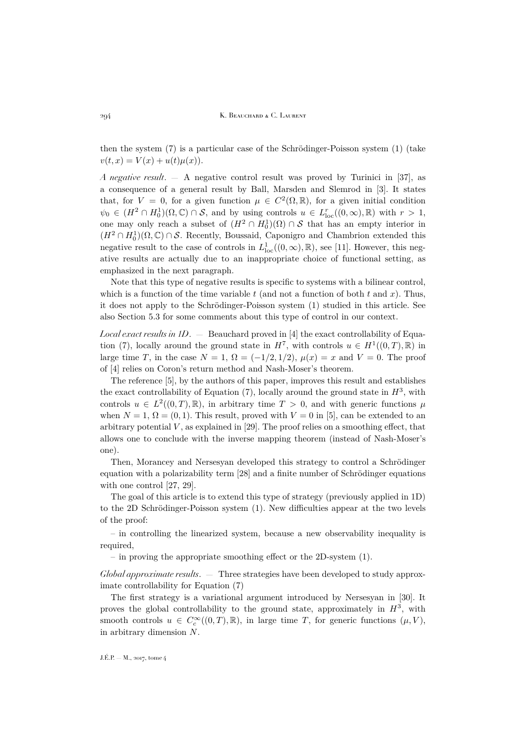294 K. BEAUCHARD & C. LAURENT

then the system [\(7\)](#page-7-1) is a particular case of the Schrödinger-Poisson system [\(1\)](#page-2-1) (take  $v(t, x) = V(x) + u(t) \mu(x)$ .

*A negative result*. — A negative control result was proved by Turinici in [\[37\]](#page-50-2), as a consequence of a general result by Ball, Marsden and Slemrod in [\[3\]](#page-48-2). It states that, for  $V = 0$ , for a given function  $\mu \in C^2(\Omega, \mathbb{R})$ , for a given initial condition  $\psi_0 \in (H^2 \cap H_0^1)(\Omega, \mathbb{C}) \cap \mathcal{S}$ , and by using controls  $u \in L^r_{loc}((0,\infty), \mathbb{R})$  with  $r > 1$ , one may only reach a subset of  $(H^2 \cap H_0^1)(\Omega) \cap S$  that has an empty interior in  $(H^2 \cap H_0^1)(\Omega, \mathbb{C}) \cap \mathcal{S}$ . Recently, Boussaid, Caponigro and Chambrion extended this negative result to the case of controls in  $L^1_{loc}((0,\infty),\mathbb{R})$ , see [\[11\]](#page-49-4). However, this negative results are actually due to an inappropriate choice of functional setting, as emphasized in the next paragraph.

Note that this type of negative results is specific to systems with a bilinear control, which is a function of the time variable  $t$  (and not a function of both  $t$  and  $x$ ). Thus, it does not apply to the Schrödinger-Poisson system [\(1\)](#page-2-1) studied in this article. See also Section [5.3](#page-33-0) for some comments about this type of control in our context.

*Local exact results in 1D*. — Beauchard proved in [\[4\]](#page-49-5) the exact controllability of Equa-tion [\(7\)](#page-7-1), locally around the ground state in  $H^7$ , with controls  $u \in H^1((0,T),\mathbb{R})$  in large time T, in the case  $N = 1$ ,  $\Omega = (-1/2, 1/2)$ ,  $\mu(x) = x$  and  $V = 0$ . The proof of [\[4\]](#page-49-5) relies on Coron's return method and Nash-Moser's theorem.

The reference [\[5\]](#page-49-6), by the authors of this paper, improves this result and establishes the exact controllability of Equation  $(7)$ , locally around the ground state in  $H^3$ , with controls  $u \in L^2((0,T),\mathbb{R})$ , in arbitrary time  $T > 0$ , and with generic functions  $\mu$ when  $N = 1$ ,  $\Omega = (0, 1)$ . This result, proved with  $V = 0$  in [\[5\]](#page-49-6), can be extended to an arbitrary potential  $V$ , as explained in [\[29\]](#page-49-7). The proof relies on a smoothing effect, that allows one to conclude with the inverse mapping theorem (instead of Nash-Moser's one).

Then, Morancey and Nersesyan developed this strategy to control a Schrödinger equation with a polarizability term [\[28\]](#page-49-8) and a finite number of Schrödinger equations with one control [\[27,](#page-49-9) [29\]](#page-49-7).

The goal of this article is to extend this type of strategy (previously applied in 1D) to the 2D Schrödinger-Poisson system [\(1\)](#page-2-1). New difficulties appear at the two levels of the proof:

– in controlling the linearized system, because a new observability inequality is required,

– in proving the appropriate smoothing effect or the 2D-system [\(1\)](#page-2-1).

*Global approximate results*. — Three strategies have been developed to study approximate controllability for Equation [\(7\)](#page-7-1)

The first strategy is a variational argument introduced by Nersesyan in [\[30\]](#page-50-3). It proves the global controllability to the ground state, approximately in  $H^3$ , with smooth controls  $u \in C_c^{\infty}((0,T),\mathbb{R})$ , in large time T, for generic functions  $(\mu, V)$ , in arbitrary dimension N.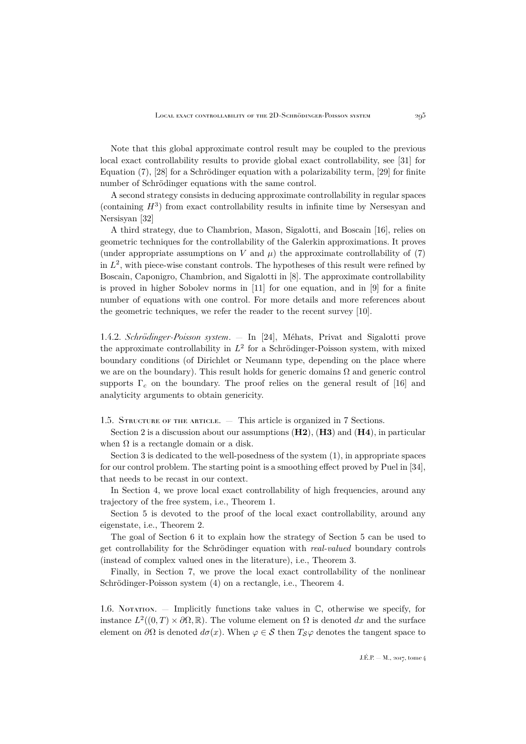Note that this global approximate control result may be coupled to the previous local exact controllability results to provide global exact controllability, see [\[31\]](#page-50-4) for Equation [\(7\)](#page-7-1), [\[28\]](#page-49-8) for a Schrödinger equation with a polarizability term, [\[29\]](#page-49-7) for finite number of Schrödinger equations with the same control.

A second strategy consists in deducing approximate controllability in regular spaces (containing  $H^3$ ) from exact controllability results in infinite time by Nersesyan and Nersisyan [\[32\]](#page-50-5)

A third strategy, due to Chambrion, Mason, Sigalotti, and Boscain [\[16\]](#page-49-10), relies on geometric techniques for the controllability of the Galerkin approximations. It proves (under appropriate assumptions on V and  $\mu$ ) the approximate controllability of [\(7\)](#page-7-1) in  $L^2$ , with piece-wise constant controls. The hypotheses of this result were refined by Boscain, Caponigro, Chambrion, and Sigalotti in [\[8\]](#page-49-11). The approximate controllability is proved in higher Sobolev norms in [\[11\]](#page-49-4) for one equation, and in [\[9\]](#page-49-12) for a finite number of equations with one control. For more details and more references about the geometric techniques, we refer the reader to the recent survey [\[10\]](#page-49-13).

1.4.2. *Schrödinger-Poisson system*. — In [\[24\]](#page-49-0), Méhats, Privat and Sigalotti prove the approximate controllability in  $L^2$  for a Schrödinger-Poisson system, with mixed boundary conditions (of Dirichlet or Neumann type, depending on the place where we are on the boundary). This result holds for generic domains  $\Omega$  and generic control supports  $\Gamma_c$  on the boundary. The proof relies on the general result of [\[16\]](#page-49-10) and analyticity arguments to obtain genericity.

1.5. Structure of the article. — This article is organized in 7 Sections.

Section 2 is a discussion about our assumptions  $(H2)$ ,  $(H3)$  and  $(H4)$ , in particular when  $\Omega$  is a rectangle domain or a disk.

Section 3 is dedicated to the well-posedness of the system [\(1\)](#page-2-1), in appropriate spaces for our control problem. The starting point is a smoothing effect proved by Puel in [\[34\]](#page-50-6), that needs to be recast in our context.

In Section 4, we prove local exact controllability of high frequencies, around any trajectory of the free system, i.e., Theorem [1.](#page-4-0)

Section 5 is devoted to the proof of the local exact controllability, around any eigenstate, i.e., Theorem [2.](#page-5-0)

The goal of Section 6 it to explain how the strategy of Section 5 can be used to get controllability for the Schrödinger equation with *real-valued* boundary controls (instead of complex valued ones in the literature), i.e., Theorem [3.](#page-6-1)

Finally, in Section 7, we prove the local exact controllability of the nonlinear Schrödinger-Poisson system [\(4\)](#page-6-0) on a rectangle, i.e., Theorem [4.](#page-7-2)

1.6. Notation. — Implicitly functions take values in  $\mathbb{C}$ , otherwise we specify, for instance  $L^2((0,T) \times \partial \Omega, \mathbb{R})$ . The volume element on  $\Omega$  is denoted dx and the surface element on  $\partial\Omega$  is denoted  $d\sigma(x)$ . When  $\varphi \in \mathcal{S}$  then  $T_{\mathcal{S}}\varphi$  denotes the tangent space to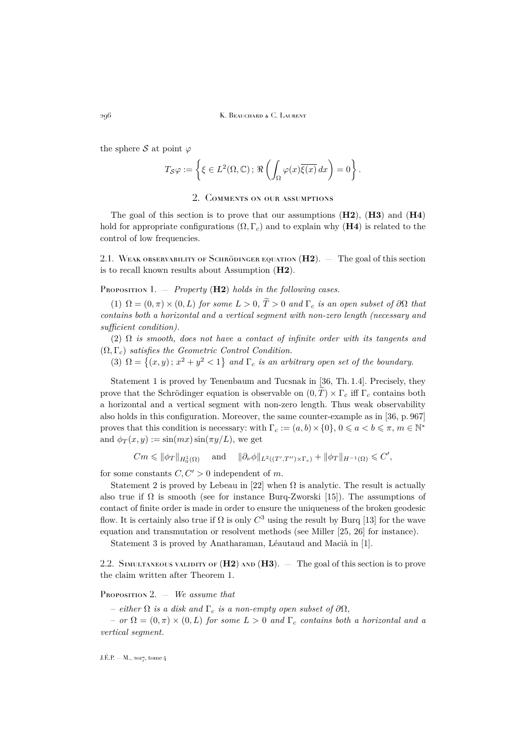296 K. Beauchard & C. Laurent

the sphere S at point  $\varphi$ 

$$
T_{\mathcal{S}}\varphi := \left\{ \xi \in L^2(\Omega,\mathbb{C})\,;\, \Re\left(\int_{\Omega}\varphi(x)\overline{\xi(x)}\,dx\right) = 0\right\}.
$$

### 2. Comments on our assumptions

<span id="page-10-0"></span>The goal of this section is to prove that our assumptions  $(H2)$ ,  $(H3)$  and  $(H4)$ hold for appropriate configurations  $(\Omega, \Gamma_c)$  and to explain why (H4) is related to the control of low frequencies.

<span id="page-10-1"></span>2.1. WEAK OBSERVABILITY OF SCHRÖDINGER EQUATION  $(H2)$ . – The goal of this section is to recall known results about Assumption (H2).

<span id="page-10-2"></span>Proposition 1. — *Property* (H2) *holds in the following cases.*

(1)  $\Omega = (0, \pi) \times (0, L)$  *for some*  $L > 0$ ,  $\widetilde{T} > 0$  *and*  $\Gamma_c$  *is an open subset of*  $\partial\Omega$  *that contains both a horizontal and a vertical segment with non-zero length (necessary and sufficient condition).*

(2) Ω *is smooth, does not have a contact of infinite order with its tangents and* (Ω, Γc) *satisfies the Geometric Control Condition.*

(3)  $\Omega = \{(x, y) : x^2 + y^2 < 1\}$  and  $\Gamma_c$  *is an arbitrary open set of the boundary.* 

Statement 1 is proved by Tenenbaum and Tucsnak in [\[36,](#page-50-7) Th. 1.4]. Precisely, they prove that the Schrödinger equation is observable on  $(0, T) \times \Gamma_c$  iff  $\Gamma_c$  contains both a horizontal and a vertical segment with non-zero length. Thus weak observability also holds in this configuration. Moreover, the same counter-example as in [\[36,](#page-50-7) p. 967] proves that this condition is necessary: with  $\Gamma_c := (a, b) \times \{0\}$ ,  $0 \leq a < b \leq \pi$ ,  $m \in \mathbb{N}^*$ and  $\phi_T(x, y) := \sin(mx) \sin(\pi y/L)$ , we get

 $Cm \leqslant \|\phi_T\|_{H_0^1(\Omega)}$  and  $\|\partial_\nu \phi\|_{L^2((T',T'')\times \Gamma_c)} + \|\phi_T\|_{H^{-1}(\Omega)} \leqslant C',$ 

for some constants  $C, C' > 0$  independent of m.

Statement 2 is proved by Lebeau in [\[22\]](#page-49-14) when  $\Omega$  is analytic. The result is actually also true if  $\Omega$  is smooth (see for instance Burq-Zworski [\[15\]](#page-49-15)). The assumptions of contact of finite order is made in order to ensure the uniqueness of the broken geodesic flow. It is certainly also true if  $\Omega$  is only  $C^3$  using the result by Burq [\[13\]](#page-49-16) for the wave equation and transmutation or resolvent methods (see Miller [\[25,](#page-49-17) [26\]](#page-49-18) for instance).

Statement 3 is proved by Anatharaman, Léautaud and Macià in [\[1\]](#page-48-3).

2.2. SIMULTANEOUS VALIDITY OF  $(H2)$  AND  $(H3)$ .  $-$  The goal of this section is to prove the claim written after Theorem [1.](#page-4-0)

<span id="page-10-3"></span>Proposition 2. — *We assume that*

 $-$  *either*  $\Omega$  *is a disk and*  $\Gamma_c$  *is a non-empty open subset of*  $\partial\Omega$ *,* 

 $-$  *or*  $\Omega = (0, \pi) \times (0, L)$  *for some*  $L > 0$  *and*  $\Gamma_c$  *contains both a horizontal and a vertical segment.*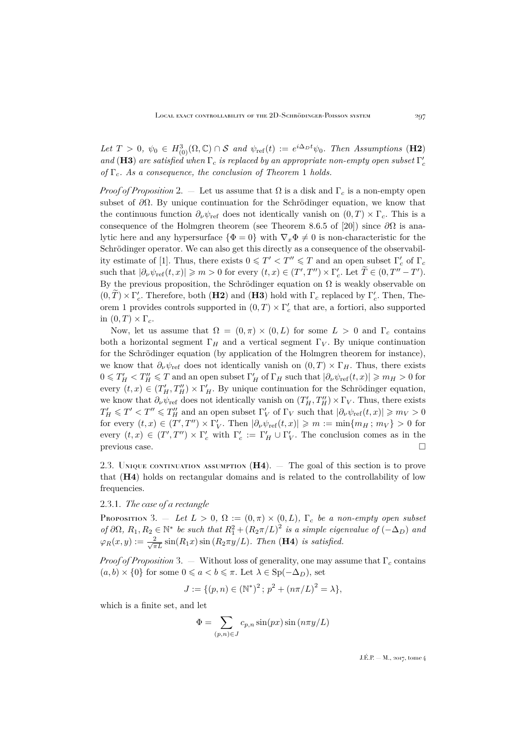Let  $T > 0$ ,  $\psi_0 \in H^3_{(0)}(\Omega, \mathbb{C}) \cap \mathcal{S}$  and  $\psi_{ref}(t) := e^{i\Delta_D t}\psi_0$ . Then Assumptions (**H2**)  $and$  **(H3)** are satisfied when  $\Gamma_c$  is replaced by an appropriate non-empty open subset  $\Gamma_c'$ *of*  $\Gamma_c$ *. As a consequence, the conclusion of Theorem [1](#page-4-0) holds.* 

*Proof of Proposition* [2.](#page-10-3) — Let us assume that  $\Omega$  is a disk and  $\Gamma_c$  is a non-empty open subset of  $\partial\Omega$ . By unique continuation for the Schrödinger equation, we know that the continuous function  $\partial_{\nu}\psi_{\text{ref}}$  does not identically vanish on  $(0,T) \times \Gamma_c$ . This is a consequence of the Holmgren theorem (see Theorem 8.6.5 of [\[20\]](#page-49-19)) since  $\partial\Omega$  is analytic here and any hypersurface  $\{\Phi = 0\}$  with  $\nabla_x \Phi \neq 0$  is non-characteristic for the Schrödinger operator. We can also get this directly as a consequence of the observabil-ity estimate of [\[1\]](#page-48-3). Thus, there exists  $0 \leq T' < T'' \leq T$  and an open subset  $\Gamma'_c$  of  $\Gamma_c$ such that  $|\partial_{\nu}\psi_{\text{ref}}(t,x)| \geqslant m > 0$  for every  $(t,x) \in (T',T'') \times \Gamma'_{c}$ . Let  $\widetilde{T} \in (0,T''-T')$ . By the previous proposition, the Schrödinger equation on  $\Omega$  is weakly observable on  $(0, \tilde{T}) \times \Gamma_c'$ . Therefore, both (H2) and (H3) hold with  $\Gamma_c$  replaced by  $\Gamma_c'$ . Then, The-orem [1](#page-4-0) provides controls supported in  $(0,T) \times \Gamma_c'$  that are, a fortiori, also supported in  $(0, T) \times \Gamma_c$ .

Now, let us assume that  $\Omega = (0, \pi) \times (0, L)$  for some  $L > 0$  and  $\Gamma_c$  contains both a horizontal segment  $\Gamma_H$  and a vertical segment  $\Gamma_V$ . By unique continuation for the Schrödinger equation (by application of the Holmgren theorem for instance), we know that  $\partial_{\nu}\psi_{\rm ref}$  does not identically vanish on  $(0, T) \times \Gamma_H$ . Thus, there exists  $0 \leq T'_H < T''_H \leq T$  and an open subset  $\Gamma'_H$  of  $\Gamma_H$  such that  $|\partial_\nu \psi_{\text{ref}}(t,x)| \geqslant m_H > 0$  for every  $(t, x) \in (T'_H, T''_H) \times \Gamma'_H$ . By unique continuation for the Schrödinger equation, we know that  $\partial_{\nu}\psi_{ref}$  does not identically vanish on  $(T'_H, T''_H) \times \Gamma_V$ . Thus, there exists  $T'_H \leq T' < T'' \leq T''_H$  and an open subset  $\Gamma'_V$  of  $\Gamma_V$  such that  $|\partial_\nu \psi_{\text{ref}}(t,x)| \geq m_V > 0$ for every  $(t, x) \in (T', T'') \times \Gamma'_V$ . Then  $|\partial_\nu \psi_{\text{ref}}(t, x)| \geqslant m := \min\{m_H; m_V\} > 0$  for every  $(t, x) \in (T', T'') \times \Gamma'_c$  with  $\Gamma'_c := \Gamma'_H \cup \Gamma'_V$ . The conclusion comes as in the previous case.

<span id="page-11-1"></span>2.3. UNIQUE CONTINUATION ASSUMPTION  $(H4)$ .  $-$  The goal of this section is to prove that (H4) holds on rectangular domains and is related to the controllability of low frequencies.

#### 2.3.1. *The case of a rectangle*

<span id="page-11-0"></span>Proposition 3. – Let  $L > 0$ ,  $\Omega := (0, \pi) \times (0, L)$ ,  $\Gamma_c$  *be a non-empty open subset of*  $\partial\Omega$ ,  $R_1, R_2 \in \mathbb{N}^*$  *be such that*  $R_1^2 + (R_2 \pi/L)^2$  *is a simple eigenvalue of*  $(-\Delta_D)$  *and*  $\varphi_R(x, y) := \frac{2}{\sqrt{\pi L}} \sin(R_1 x) \sin(R_2 \pi y/L)$ *. Then* (**H4**) *is satisfied.* 

*Proof of Proposition* [3.](#page-11-0) — Without loss of generality, one may assume that  $\Gamma_c$  contains  $(a, b) \times \{0\}$  for some  $0 \leq a < b \leq \pi$ . Let  $\lambda \in \text{Sp}(-\Delta_D)$ , set

$$
J := \{ (p, n) \in (\mathbb{N}^*)^2 \, ; \, p^2 + (n\pi/L)^2 = \lambda \},
$$

which is a finite set, and let

$$
\Phi = \sum_{(p,n)\in J} c_{p,n} \sin(px) \sin(n\pi y/L)
$$

 $J.E.P. = M$ , 2017, tome 4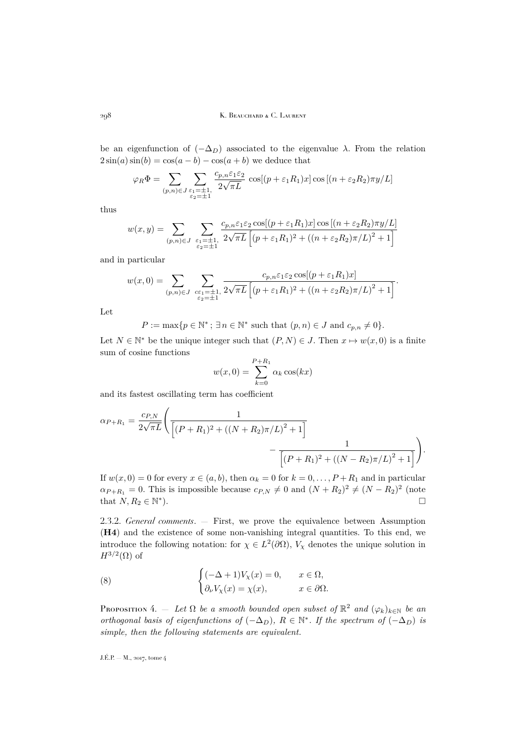be an eigenfunction of  $(-\Delta_D)$  associated to the eigenvalue  $\lambda$ . From the relation  $2\sin(a)\sin(b) = \cos(a-b) - \cos(a+b)$  we deduce that

$$
\varphi_R \Phi = \sum_{(p,n)\in J} \sum_{\substack{\varepsilon_1 = \pm 1,\\ \varepsilon_2 = \pm 1}} \frac{c_{p,n} \varepsilon_1 \varepsilon_2}{2\sqrt{\pi L}} \cos[(p + \varepsilon_1 R_1)x] \cos[(n + \varepsilon_2 R_2)\pi y/L]
$$

thus

$$
w(x,y) = \sum_{(p,n)\in J} \sum_{\substack{\varepsilon_1=\pm 1,\\ \varepsilon_2=\pm 1}} \frac{c_{p,n}\varepsilon_1\varepsilon_2 \cos[(p+\varepsilon_1 R_1)x] \cos[(n+\varepsilon_2 R_2)\pi y/L]}{(p+\varepsilon_1 R_1)^2 + ((n+\varepsilon_2 R_2)\pi/L)^2 + 1}
$$

and in particular

$$
w(x,0) = \sum_{(p,n)\in J} \sum_{\substack{c\varepsilon_1=\pm 1,\\ \varepsilon_2=\pm 1}} \frac{c_{p,n}\varepsilon_1\varepsilon_2 \cos[(p+\varepsilon_1 R_1)x]}{\left[(p+\varepsilon_1 R_1)^2 + \left((n+\varepsilon_2 R_2)\pi/L\right)^2 + 1\right]}.
$$

Let

$$
P := \max\{p \in \mathbb{N}^* \, ; \, \exists n \in \mathbb{N}^* \text{ such that } (p, n) \in J \text{ and } c_{p,n} \neq 0\}.
$$

Let  $N \in \mathbb{N}^*$  be the unique integer such that  $(P, N) \in J$ . Then  $x \mapsto w(x, 0)$  is a finite sum of cosine functions

$$
w(x,0) = \sum_{k=0}^{P+R_1} \alpha_k \cos(kx)
$$

and its fastest oscillating term has coefficient

$$
\alpha_{P+R_1} = \frac{c_{P,N}}{2\sqrt{\pi L}} \left( \frac{1}{\left[ (P+R_1)^2 + ((N+R_2)\pi/L)^2 + 1 \right]} - \frac{1}{\left[ (P+R_1)^2 + ((N-R_2)\pi/L)^2 + 1 \right]} \right).
$$

If  $w(x, 0) = 0$  for every  $x \in (a, b)$ , then  $\alpha_k = 0$  for  $k = 0, \ldots, P + R_1$  and in particular  $\alpha_{P+R_1} = 0$ . This is impossible because  $c_{P,N} \neq 0$  and  $(N + R_2)^2 \neq (N - R_2)^2$  (note that  $N, R_2 \in \mathbb{N}^*$ ).

2.3.2. *General comments*. — First, we prove the equivalence between Assumption (H4) and the existence of some non-vanishing integral quantities. To this end, we introduce the following notation: for  $\chi \in L^2(\partial\Omega)$ ,  $V_\chi$  denotes the unique solution in  $H^{3/2}(\Omega)$  of

(8) 
$$
\begin{cases} (-\Delta + 1)V_{\chi}(x) = 0, & x \in \Omega, \\ \partial_{\nu}V_{\chi}(x) = \chi(x), & x \in \partial\Omega. \end{cases}
$$

<span id="page-12-0"></span>PROPOSITION 4.  $-$  *Let*  $\Omega$  *be a smooth bounded open subset of*  $\mathbb{R}^2$  *and*  $(\varphi_k)_{k \in \mathbb{N}}$  *be an orthogonal basis of eigenfunctions of*  $(-\Delta_D)$ ,  $R \in \mathbb{N}^*$ . If the spectrum of  $(-\Delta_D)$  is *simple, then the following statements are equivalent.*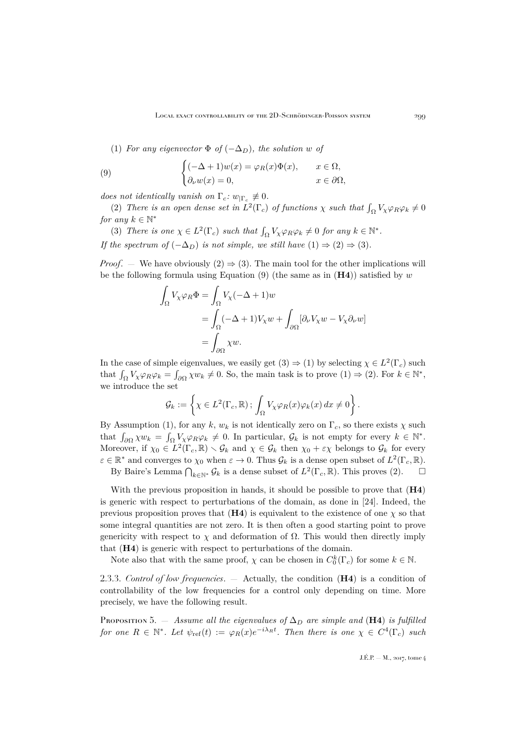<span id="page-13-4"></span><span id="page-13-1"></span>(1) *For any eigenvector*  $\Phi$  *of*  $(-\Delta_D)$ *, the solution* w *of* 

(9) 
$$
\begin{cases} (-\Delta + 1)w(x) = \varphi_R(x)\Phi(x), & x \in \Omega, \\ \partial_\nu w(x) = 0, & x \in \partial\Omega, \end{cases}
$$

*does not identically vanish on*  $\Gamma_c$ :  $w_{\vert \Gamma_c} \not\equiv 0$ .

<span id="page-13-2"></span>(2) *There is an open dense set in*  $L^2(\Gamma_c)$  *of functions*  $\chi$  *such that*  $\int_{\Omega} V_{\chi} \varphi_R \varphi_k \neq 0$ *for any*  $k \in \mathbb{N}^*$ 

<span id="page-13-3"></span>(3) *There is one*  $\chi \in L^2(\Gamma_c)$  *such that*  $\int_{\Omega} V_{\chi} \varphi_R \varphi_k \neq 0$  *for any*  $k \in \mathbb{N}^*$ *. If the spectrum of*  $(-\Delta_D)$  *is not simple, we still have*  $(1) \Rightarrow (2) \Rightarrow (3)$  $(1) \Rightarrow (2) \Rightarrow (3)$  $(1) \Rightarrow (2) \Rightarrow (3)$  $(1) \Rightarrow (2) \Rightarrow (3)$  $(1) \Rightarrow (2) \Rightarrow (3)$ *.* 

*Proof.* — We have obviously  $(2) \Rightarrow (3)$  $(2) \Rightarrow (3)$  $(2) \Rightarrow (3)$ . The main tool for the other implications will be the following formula using Equation  $(9)$  (the same as in  $(H4)$ ) satisfied by w

$$
\int_{\Omega} V_{\chi} \varphi_R \Phi = \int_{\Omega} V_{\chi} (-\Delta + 1) w
$$
  
= 
$$
\int_{\Omega} (-\Delta + 1) V_{\chi} w + \int_{\partial \Omega} [\partial_{\nu} V_{\chi} w - V_{\chi} \partial_{\nu} w]
$$
  
= 
$$
\int_{\partial \Omega} \chi w.
$$

In the case of simple eigenvalues, we easily get  $(3) \Rightarrow (1)$  $(3) \Rightarrow (1)$  $(3) \Rightarrow (1)$  by selecting  $\chi \in L^2(\Gamma_c)$  such that  $\int_{\Omega} V_{\chi} \varphi_R \varphi_k = \int_{\partial \Omega} \chi w_k \neq 0$ . So, the main task is to prove  $(1) \Rightarrow (2)$  $(1) \Rightarrow (2)$  $(1) \Rightarrow (2)$ . For  $k \in \mathbb{N}^*$ , we introduce the set

$$
\mathcal{G}_k := \left\{ \chi \in L^2(\Gamma_c, \mathbb{R}) \, ; \, \int_{\Omega} V_{\chi} \varphi_R(x) \varphi_k(x) \, dx \neq 0 \right\}.
$$

By Assumption [\(1\)](#page-13-1), for any k,  $w_k$  is not identically zero on  $\Gamma_c$ , so there exists  $\chi$  such that  $\int_{\partial\Omega} \chi w_k = \int_{\Omega} V_{\chi} \varphi_R \varphi_k \neq 0$ . In particular,  $\mathcal{G}_k$  is not empty for every  $k \in \mathbb{N}^*$ . Moreover, if  $\chi_0 \in L^2(\Gamma_c, \mathbb{R}) \setminus \mathcal{G}_k$  and  $\chi \in \mathcal{G}_k$  then  $\chi_0 + \varepsilon \chi$  belongs to  $\mathcal{G}_k$  for every  $\varepsilon \in \mathbb{R}^*$  and converges to  $\chi_0$  when  $\varepsilon \to 0$ . Thus  $\mathcal{G}_k$  is a dense open subset of  $L^2(\Gamma_c, \mathbb{R})$ .

By Baire's Lemma  $\bigcap_{k\in\mathbb{N}^*} \mathcal{G}_k$  is a dense subset of  $L^2(\Gamma_c, \mathbb{R})$ . This proves [\(2\)](#page-13-2).

With the previous proposition in hands, it should be possible to prove that  $(H4)$ is generic with respect to perturbations of the domain, as done in [\[24\]](#page-49-0). Indeed, the previous proposition proves that  $(H4)$  is equivalent to the existence of one  $\chi$  so that some integral quantities are not zero. It is then often a good starting point to prove genericity with respect to  $\chi$  and deformation of  $\Omega$ . This would then directly imply that (H4) is generic with respect to perturbations of the domain.

Note also that with the same proof,  $\chi$  can be chosen in  $C_0^k(\Gamma_c)$  for some  $k \in \mathbb{N}$ .

2.3.3. *Control of low frequencies*. — Actually, the condition (H4) is a condition of controllability of the low frequencies for a control only depending on time. More precisely, we have the following result.

<span id="page-13-0"></span>Proposition 5. — *Assume all the eigenvalues of*  $\Delta_D$  *are simple and* (H4) *is fulfilled for one*  $R \in \mathbb{N}^*$ *. Let*  $\psi_{ref}(t) := \varphi_R(x) e^{-i\lambda_R t}$ *. Then there is one*  $\chi \in C^4(\Gamma_c)$  *such*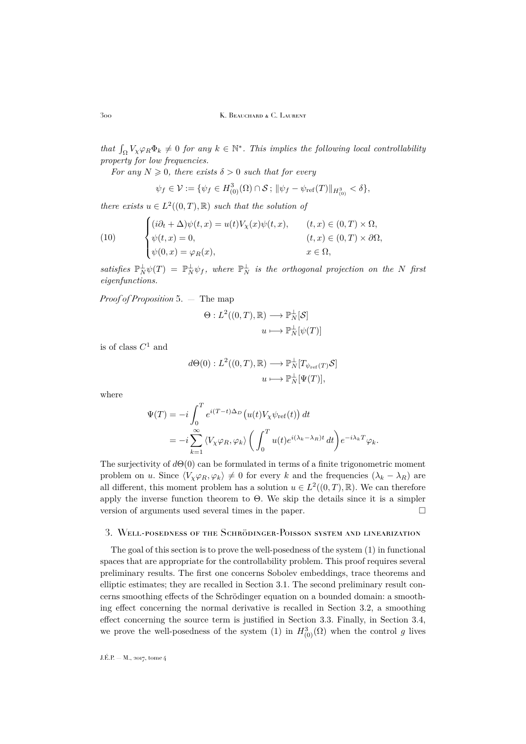*that*  $\int_{\Omega} V_{\chi} \varphi_R \Phi_k \neq 0$  *for any*  $k \in \mathbb{N}^*$ . *This implies the following local controllability property for low frequencies.*

*For any*  $N \geq 0$ *, there exists*  $\delta > 0$  *such that for every* 

$$
\psi_f \in \mathcal{V} := \{ \psi_f \in H^3_{(0)}(\Omega) \cap \mathcal{S} ; \, \|\psi_f - \psi_{\text{ref}}(T)\|_{H^3_{(0)}} < \delta \},
$$

*there exists*  $u \in L^2((0,T),\mathbb{R})$  *such that the solution of* 

(10) 
$$
\begin{cases} (i\partial_t + \Delta)\psi(t,x) = u(t)V_{\chi}(x)\psi(t,x), & (t,x) \in (0,T) \times \Omega, \\ \psi(t,x) = 0, & (t,x) \in (0,T) \times \partial\Omega, \\ \psi(0,x) = \varphi_R(x), & x \in \Omega, \end{cases}
$$

satisfies  $\mathbb{P}_N^{\perp} \psi(T) = \mathbb{P}_N^{\perp} \psi_f$ , where  $\mathbb{P}_N^{\perp}$  is the orthogonal projection on the N first *eigenfunctions.*

*Proof of Proposition* [5.](#page-13-0) — The map

$$
\Theta: L^2((0,T), \mathbb{R}) \longrightarrow \mathbb{P}_N^{\perp}[\mathcal{S}]
$$

$$
u \longmapsto \mathbb{P}_N^{\perp}[\psi(T)]
$$

is of class  $C^1$  and

$$
d\Theta(0): L^2((0,T), \mathbb{R}) \longrightarrow \mathbb{P}_N^{\perp}[T_{\psi_{\text{ref}}(T)}\mathcal{S}]
$$

$$
u \longmapsto \mathbb{P}_N^{\perp}[\Psi(T)],
$$

where

$$
\Psi(T) = -i \int_0^T e^{i(T-t)\Delta_D} \left( u(t) V_\chi \psi_{\text{ref}}(t) \right) dt
$$
  
= 
$$
-i \sum_{k=1}^\infty \langle V_\chi \varphi_R, \varphi_k \rangle \left( \int_0^T u(t) e^{i(\lambda_k - \lambda_R)t} dt \right) e^{-i\lambda_k T} \varphi_k.
$$

The surjectivity of  $d\Theta(0)$  can be formulated in terms of a finite trigonometric moment problem on u. Since  $\langle V_{\chi}\varphi_R,\varphi_k\rangle\neq 0$  for every k and the frequencies  $(\lambda_k - \lambda_R)$  are all different, this moment problem has a solution  $u \in L^2((0,T),\mathbb{R})$ . We can therefore apply the inverse function theorem to Θ. We skip the details since it is a simpler version of arguments used several times in the paper.

#### <span id="page-14-0"></span>3. Well-posedness of the Schrödinger-Poisson system and linearization

The goal of this section is to prove the well-posedness of the system [\(1\)](#page-2-1) in functional spaces that are appropriate for the controllability problem. This proof requires several preliminary results. The first one concerns Sobolev embeddings, trace theorems and elliptic estimates; they are recalled in Section [3.1.](#page-15-0) The second preliminary result concerns smoothing effects of the Schrödinger equation on a bounded domain: a smoothing effect concerning the normal derivative is recalled in Section [3.2,](#page-17-0) a smoothing effect concerning the source term is justified in Section [3.3.](#page-18-0) Finally, in Section [3.4,](#page-20-0) we prove the well-posedness of the system [\(1\)](#page-2-1) in  $H^3_{(0)}(\Omega)$  when the control g lives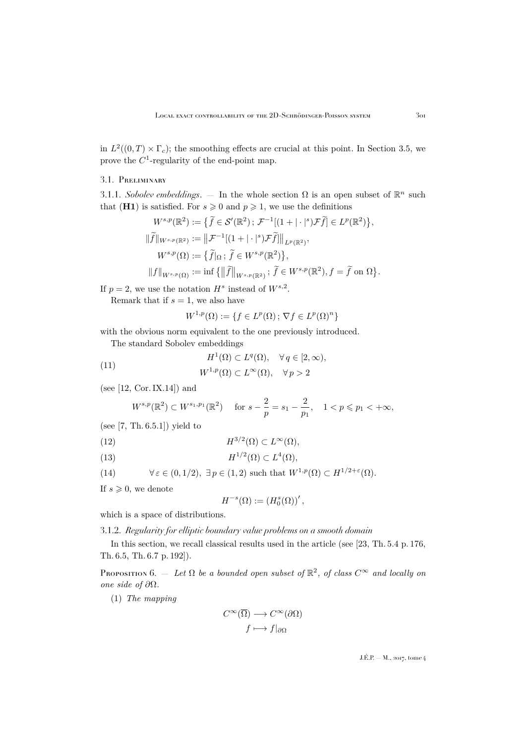in  $L^2((0,T) \times \Gamma_c)$ ; the smoothing effects are crucial at this point. In Section [3.5,](#page-22-0) we prove the  $C^1$ -regularity of the end-point map.

# <span id="page-15-0"></span>3.1. Preliminary

3.1.1. *Sobolev embeddings*.  $-$  In the whole section  $\Omega$  is an open subset of  $\mathbb{R}^n$  such that (H1) is satisfied. For  $s \geq 0$  and  $p \geq 1$ , we use the definitions

$$
W^{s,p}(\mathbb{R}^2) := \{ \tilde{f} \in \mathcal{S}'(\mathbb{R}^2) ; \mathcal{F}^{-1}[(1+|\cdot|^s)\mathcal{F}\tilde{f}] \in L^p(\mathbb{R}^2) \},
$$
  

$$
\|\tilde{f}\|_{W^{s,p}(\mathbb{R}^2)} := \|\mathcal{F}^{-1}[(1+|\cdot|^s)\mathcal{F}\tilde{f}] \|_{L^p(\mathbb{R}^2)},
$$
  

$$
W^{s,p}(\Omega) := \{ \tilde{f}|_{\Omega} ; \tilde{f} \in W^{s,p}(\mathbb{R}^2) \},
$$
  

$$
\|f\|_{W^{s,p}(\Omega)} := \inf \{ \|\tilde{f}\|_{W^{s,p}(\mathbb{R}^2)} ; \tilde{f} \in W^{s,p}(\mathbb{R}^2), f = \tilde{f} \text{ on } \Omega \}.
$$

If  $p=2$ , we use the notation  $H^s$  instead of  $W^{s,2}$ .

Remark that if  $s = 1$ , we also have

$$
W^{1,p}(\Omega) := \{ f \in L^p(\Omega) \, ; \, \nabla f \in L^p(\Omega)^n \}
$$

with the obvious norm equivalent to the one previously introduced.

The standard Sobolev embeddings

<span id="page-15-4"></span>(11) 
$$
H^{1}(\Omega) \subset L^{q}(\Omega), \quad \forall q \in [2, \infty),
$$

$$
W^{1,p}(\Omega) \subset L^{\infty}(\Omega), \quad \forall p > 2
$$

(see [\[12,](#page-49-20) Cor. IX.14]) and

$$
W^{s,p}(\mathbb{R}^2) \subset W^{s_1,p_1}(\mathbb{R}^2) \quad \text{ for } s - \frac{2}{p} = s_1 - \frac{2}{p_1}, \quad 1 < p \leq p_1 < +\infty,
$$

(see  $[7, Th. 6.5.1]$  $[7, Th. 6.5.1]$ ) yield to

<span id="page-15-2"></span>(12) 
$$
H^{3/2}(\Omega) \subset L^{\infty}(\Omega),
$$

<span id="page-15-3"></span>(13) 
$$
H^{1/2}(\Omega) \subset L^4(\Omega),
$$

<span id="page-15-5"></span>(14) 
$$
\forall \varepsilon \in (0, 1/2), \exists p \in (1, 2) \text{ such that } W^{1, p}(\Omega) \subset H^{1/2 + \varepsilon}(\Omega).
$$

If  $s \geqslant 0$ , we denote

$$
H^{-s}(\Omega) := (H_0^s(\Omega))'
$$
,

which is a space of distributions.

3.1.2. *Regularity for elliptic boundary value problems on a smooth domain*

In this section, we recall classical results used in the article (see [\[23,](#page-49-22) Th. 5.4 p. 176, Th. 6.5, Th. 6.7 p. 192]).

<span id="page-15-1"></span>PROPOSITION  $6.$  — Let  $\Omega$  be a bounded open subset of  $\mathbb{R}^2$ , of class  $C^{\infty}$  and locally on *one side of* ∂Ω*.*

(1) *The mapping*

$$
C^{\infty}(\overline{\Omega}) \longrightarrow C^{\infty}(\partial \Omega)
$$

$$
f \longmapsto f|_{\partial \Omega}
$$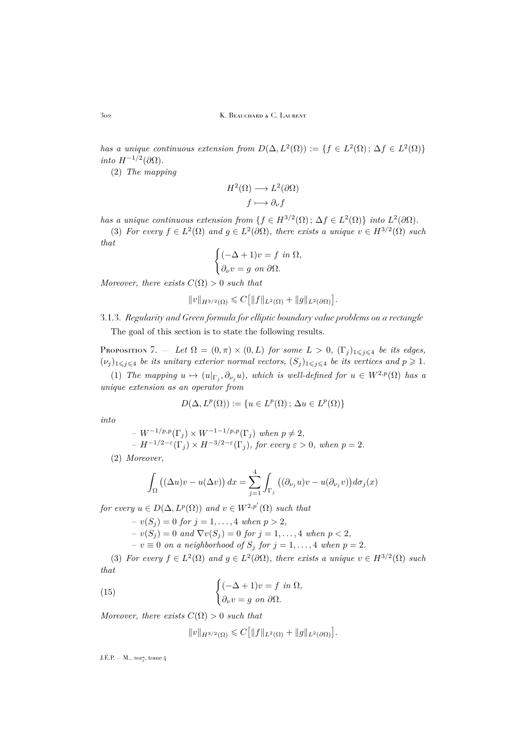302 K. Beauchard & C. Laurent

*has a unique continuous extension from*  $D(\Delta, L^2(\Omega)) := \{f \in L^2(\Omega) ; \Delta f \in L^2(\Omega) \}$  $\int$ *into*  $H^{-1/2}(\partial\Omega)$ .

(2) *The mapping*

$$
H^{2}(\Omega) \longrightarrow L^{2}(\partial \Omega)
$$

$$
f \longmapsto \partial_{\nu} f
$$

*has a unique continuous extension from*  $\{f \in H^{3/2}(\Omega) \,;\, \Delta f \in L^2(\Omega)\}\)$  *into*  $L^2(\partial\Omega)$ *.* (3) *For every*  $f \in L^2(\Omega)$  *and*  $g \in L^2(\partial \Omega)$ *, there exists a unique*  $v \in H^{3/2}(\Omega)$  *such that*

$$
\begin{cases}\n(-\Delta + 1)v = f \text{ in } \Omega, \\
\partial_{\nu}v = g \text{ on } \partial\Omega.\n\end{cases}
$$

*Moreover, there exists*  $C(\Omega) > 0$  *such that* 

$$
||v||_{H^{3/2}(\Omega)} \leq C [||f||_{L^2(\Omega)} + ||g||_{L^2(\partial\Omega)}].
$$

3.1.3. *Regularity and Green formula for elliptic boundary value problems on a rectangle* The goal of this section is to state the following results.

<span id="page-16-1"></span>PROPOSITION 7. — Let  $\Omega = (0, \pi) \times (0, L)$  for some  $L > 0$ ,  $(\Gamma_j)_{1 \leq j \leq 4}$  be its edges,  $(\nu_j)_{1\leq j\leq 4}$  *be its unitary exterior normal vectors,*  $(S_j)_{1\leq j\leq 4}$  *be its vertices and*  $p \geq 1$ *.* 

(1) *The mapping*  $u \mapsto (u|_{\Gamma_j}, \partial_{\nu_j} u)$ *, which is well-defined for*  $u \in W^{2,p}(\Omega)$  *has a unique extension as an operator from*

$$
D(\Delta, L^p(\Omega)) := \{ u \in L^p(\Omega) ; \, \Delta u \in L^p(\Omega) \}
$$

*into*

 $- W^{-1/p,p}(\Gamma_i) \times W^{-1-1/p,p}(\Gamma_i)$  when  $p \neq 2$ ,

 $-H^{-1/2-\varepsilon}(\Gamma_j) \times H^{-3/2-\varepsilon}(\Gamma_j)$ , for every  $\varepsilon > 0$ , when  $p = 2$ .

(2) *Moreover,*

$$
\int_{\Omega} ((\Delta u)v - u(\Delta v)) dx = \sum_{j=1}^{4} \int_{\Gamma_j} ((\partial_{\nu_j} u)v - u(\partial_{\nu_j} v)) d\sigma_j(x)
$$

*for every*  $u \in D(\Delta, L^p(\Omega))$  *and*  $v \in W^{2,p'}(\Omega)$  *such that* 

 $-v(S_i) = 0$  *for*  $j = 1, ..., 4$  *when*  $p > 2$ *,*  $-v(S_j) = 0$  *and*  $\nabla v(S_j) = 0$  *for*  $j = 1, ..., 4$  *when*  $p < 2$ *,*  $− v \equiv 0$  *on a neighborhood of*  $S_j$  *for*  $j = 1, ..., 4$  *when*  $p = 2$ *.* 

(3) *For every*  $f \in L^2(\Omega)$  *and*  $g \in L^2(\partial \Omega)$ *, there exists a unique*  $v \in H^{3/2}(\Omega)$  *such that*

(15) 
$$
\begin{cases} (-\Delta + 1)v = f \text{ in } \Omega, \\ \partial_{\nu}v = g \text{ on } \partial\Omega. \end{cases}
$$

*Moreover, there exists*  $C(\Omega) > 0$  *such that* 

<span id="page-16-0"></span>
$$
||v||_{H^{3/2}(\Omega)} \leq C [||f||_{L^2(\Omega)} + ||g||_{L^2(\partial\Omega)}].
$$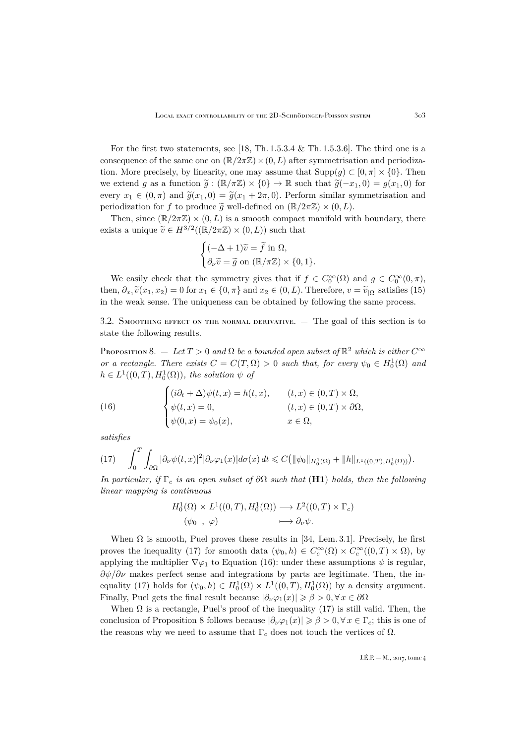For the first two statements, see [\[18,](#page-49-23) Th.  $1.5.3.4 \&$  Th.  $1.5.3.6$ ]. The third one is a consequence of the same one on  $(\mathbb{R}/2\pi\mathbb{Z}) \times (0,L)$  after symmetrisation and periodization. More precisely, by linearity, one may assume that  $\text{Supp}(g) \subset [0, \pi] \times \{0\}$ . Then we extend g as a function  $\tilde{g}: (\mathbb{R}/\pi\mathbb{Z}) \times \{0\} \to \mathbb{R}$  such that  $\tilde{g}(-x_1, 0) = g(x_1, 0)$  for every  $x_1 \in (0, \pi)$  and  $\tilde{g}(x_1, 0) = \tilde{g}(x_1 + 2\pi, 0)$ . Perform similar symmetrisation and periodization for f to produce  $\tilde{g}$  well-defined on  $(\mathbb{R}/2\pi\mathbb{Z}) \times (0,L)$ .

Then, since  $(\mathbb{R}/2\pi\mathbb{Z}) \times (0,L)$  is a smooth compact manifold with boundary, there exists a unique  $\widetilde{v} \in H^{3/2}((\mathbb{R}/2\pi\mathbb{Z}) \times (0,L))$  such that

$$
\begin{cases}\n(-\Delta + 1)\widetilde{v} = \widetilde{f} \text{ in } \Omega, \\
\partial_{\nu}\widetilde{v} = \widetilde{g} \text{ on } (\mathbb{R}/\pi\mathbb{Z}) \times \{0, 1\}.\n\end{cases}
$$

We easily check that the symmetry gives that if  $f \in C_0^{\infty}(\Omega)$  and  $g \in C_0^{\infty}(0, \pi)$ , then,  $\partial_{x_1} \tilde{v}(x_1, x_2) = 0$  for  $x_1 \in \{0, \pi\}$  and  $x_2 \in (0, L)$ . Therefore,  $v = \tilde{v}_{|\Omega}$  satisfies [\(15\)](#page-16-0) in the weak sense. The uniqueness can be obtained by following the same process.

<span id="page-17-0"></span>3.2. Smoothing effect on the normal derivative. — The goal of this section is to state the following results.

<span id="page-17-3"></span>Proposition 8.  $-$  *Let*  $T > 0$  *and*  $\Omega$  *be a bounded open subset of*  $\mathbb{R}^2$  *which is either*  $C^{\infty}$ *or a rectangle. There exists*  $C = C(T, \Omega) > 0$  *such that, for every*  $\psi_0 \in H_0^1(\Omega)$  *and*  $h \in L^1((0,T), H_0^1(\Omega))$ , the solution  $\psi$  of

<span id="page-17-2"></span>(16) 
$$
\begin{cases} (i\partial_t + \Delta)\psi(t, x) = h(t, x), & (t, x) \in (0, T) \times \Omega, \\ \psi(t, x) = 0, & (t, x) \in (0, T) \times \partial\Omega, \\ \psi(0, x) = \psi_0(x), & x \in \Omega, \end{cases}
$$

*satisfies*

<span id="page-17-1"></span>
$$
(17)\qquad \int_0^T \int_{\partial\Omega} |\partial_{\nu}\psi(t,x)|^2 |\partial_{\nu}\varphi_1(x)| d\sigma(x) dt \leqslant C \big( \|\psi_0\|_{H_0^1(\Omega)} + \|h\|_{L^1((0,T),H_0^1(\Omega))} \big).
$$

*In particular, if*  $\Gamma_c$  *is an open subset of*  $\partial\Omega$  *such that* (**H1**) *holds, then the following linear mapping is continuous*

$$
H_0^1(\Omega) \times L^1((0,T), H_0^1(\Omega)) \longrightarrow L^2((0,T) \times \Gamma_c)
$$
  

$$
(\psi_0 , \varphi) \longmapsto \partial_\nu \psi.
$$

When  $\Omega$  is smooth, Puel proves these results in [\[34,](#page-50-6) Lem. 3.1]. Precisely, he first proves the inequality [\(17\)](#page-17-1) for smooth data  $(\psi_0, h) \in C_c^{\infty}(\Omega) \times C_c^{\infty}((0,T) \times \Omega)$ , by applying the multiplier  $\nabla \varphi_1$  to Equation [\(16\)](#page-17-2): under these assumptions  $\psi$  is regular,  $\partial \psi / \partial \nu$  makes perfect sense and integrations by parts are legitimate. Then, the in-equality [\(17\)](#page-17-1) holds for  $(\psi_0, h) \in H_0^1(\Omega) \times L^1((0,T), H_0^1(\Omega))$  by a density argument. Finally, Puel gets the final result because  $|\partial_{\nu}\varphi_1(x)| \geq \beta > 0, \forall x \in \partial\Omega$ 

When  $\Omega$  is a rectangle, Puel's proof of the inequality [\(17\)](#page-17-1) is still valid. Then, the conclusion of Proposition [8](#page-17-3) follows because  $|\partial_{\nu}\varphi_1(x)| \geqslant \beta > 0, \forall x \in \Gamma_c$ ; this is one of the reasons why we need to assume that  $\Gamma_c$  does not touch the vertices of  $\Omega$ .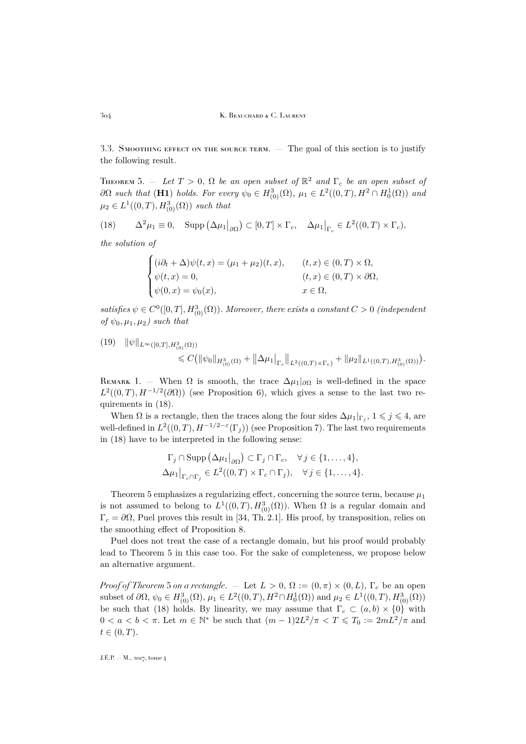<span id="page-18-0"></span>3.3. SMOOTHING EFFECT ON THE SOURCE TERM. — The goal of this section is to justify the following result.

<span id="page-18-2"></span>THEOREM 5.  $-$  *Let*  $T > 0$ ,  $\Omega$  *be an open subset of*  $\mathbb{R}^2$  *and*  $\Gamma_c$  *be an open subset of*  $\partial\Omega$  such that (H1) holds. For every  $\psi_0 \in H^3_{(0)}(\Omega)$ ,  $\mu_1 \in L^2((0,T), H^2 \cap H^1_0(\Omega))$  and  $\mu_2 \in L^1((0,T), H^3_{(0)}(\Omega))$  *such that* 

<span id="page-18-1"></span>(18) 
$$
\Delta^2 \mu_1 \equiv 0, \quad \text{Supp}\left(\Delta \mu_1 \big|_{\partial \Omega}\right) \subset [0, T] \times \Gamma_c, \quad \Delta \mu_1 \big|_{\Gamma_c} \in L^2((0, T) \times \Gamma_c),
$$

*the solution of*

$$
\begin{cases}\n(i\partial_t + \Delta)\psi(t, x) = (\mu_1 + \mu_2)(t, x), & (t, x) \in (0, T) \times \Omega, \\
\psi(t, x) = 0, & (t, x) \in (0, T) \times \partial\Omega, \\
\psi(0, x) = \psi_0(x), & x \in \Omega,\n\end{cases}
$$

satisfies  $\psi \in C^0([0,T], H^3_{(0)}(\Omega))$ *. Moreover, there exists a constant*  $C > 0$  *(independent of*  $\psi_0, \mu_1, \mu_2$ *)* such that

<span id="page-18-3"></span>
$$
(19) \quad \|\psi\|_{L^{\infty}([0,T],H^3_{(0)}(\Omega))}\n\leq C\big(\|\psi_0\|_{H^3_{(0)}(\Omega)} + \|\Delta\mu_1\|_{\Gamma_c}\|_{L^2((0,T)\times\Gamma_c)} + \|\mu_2\|_{L^1((0,T),H^3_{(0)}(\Omega))}\big).
$$

REMARK 1. — When  $\Omega$  is smooth, the trace  $\Delta \mu_1|_{\partial \Omega}$  is well-defined in the space  $L^2((0,T),H^{-1/2}(\partial\Omega))$  (see Proposition [6\)](#page-15-1), which gives a sense to the last two requirements in [\(18\)](#page-18-1).

When  $\Omega$  is a rectangle, then the traces along the four sides  $\Delta \mu_1|_{\Gamma_j}$ ,  $1 \leqslant j \leqslant 4$ , are well-defined in  $L^2((0,T),H^{-1/2-\varepsilon}(\Gamma_j))$  (see Proposition [7\)](#page-16-1). The last two requirements in [\(18\)](#page-18-1) have to be interpreted in the following sense:

$$
\Gamma_j \cap \text{Supp}\left(\Delta \mu_1 \big|_{\partial \Omega}\right) \subset \Gamma_j \cap \Gamma_c, \quad \forall j \in \{1, \dots, 4\},
$$
  

$$
\Delta \mu_1 \big|_{\Gamma_c \cap \Gamma_j} \in L^2((0, T) \times \Gamma_c \cap \Gamma_j), \quad \forall j \in \{1, \dots, 4\}.
$$

Theorem [5](#page-18-2) emphasizes a regularizing effect, concerning the source term, because  $\mu_1$ is not assumed to belong to  $L^1((0,T), H^3_{(0)}(\Omega))$ . When  $\Omega$  is a regular domain and  $\Gamma_c = \partial\Omega$ , Puel proves this result in [\[34,](#page-50-6) Th. 2.1]. His proof, by transposition, relies on the smoothing effect of Proposition [8.](#page-17-3)

Puel does not treat the case of a rectangle domain, but his proof would probably lead to Theorem [5](#page-18-2) in this case too. For the sake of completeness, we propose below an alternative argument.

*Proof of Theorem* [5](#page-18-2) *on a rectangle*. — Let  $L > 0$ ,  $\Omega := (0, \pi) \times (0, L)$ ,  $\Gamma_c$  be an open subset of  $\partial\Omega, \psi_0 \in H^3_{(0)}(\Omega), \mu_1 \in L^2((0,T), H^2 \cap H^1_0(\Omega))$  and  $\mu_2 \in L^1((0,T), H^3_{(0)}(\Omega))$ be such that [\(18\)](#page-18-1) holds. By linearity, we may assume that  $\Gamma_c \subset (a, b) \times \{0\}$  with  $0 < a < b < \pi$ . Let  $m \in \mathbb{N}^*$  be such that  $(m-1)2L^2/\pi < T \leq T_0 := 2mL^2/\pi$  and  $t \in (0, T)$ .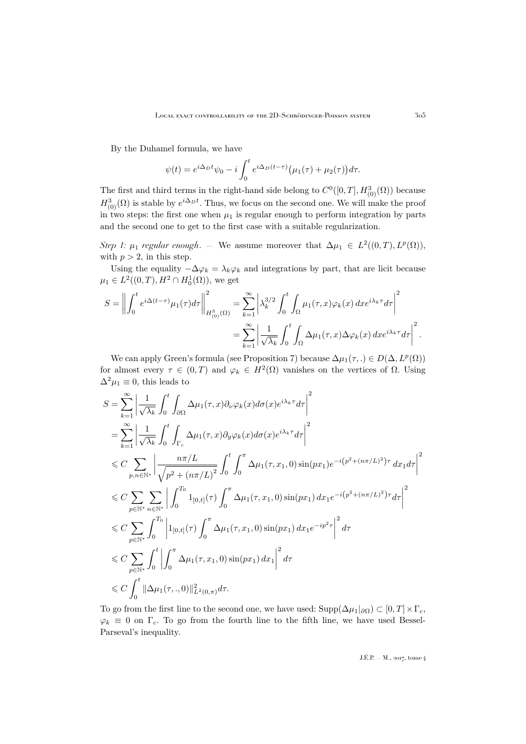By the Duhamel formula, we have

$$
\psi(t) = e^{i\Delta_D t}\psi_0 - i\int_0^t e^{i\Delta_D (t-\tau)} \big(\mu_1(\tau) + \mu_2(\tau)\big)d\tau.
$$

The first and third terms in the right-hand side belong to  $C^0([0,T], H^3_{(0)}(\Omega))$  because  $H^3_{(0)}(\Omega)$  is stable by  $e^{i\Delta_D t}$ . Thus, we focus on the second one. We will make the proof in two steps: the first one when  $\mu_1$  is regular enough to perform integration by parts and the second one to get to the first case with a suitable regularization.

*Step 1:*  $\mu_1$  *regular enough.* — We assume moreover that  $\Delta \mu_1 \in L^2((0,T), L^p(\Omega))$ , with  $p > 2$ , in this step.

Using the equality  $-\Delta\varphi_k = \lambda_k\varphi_k$  and integrations by part, that are licit because  $\mu_1 \in L^2((0,T),H^2 \cap H_0^1(\Omega))$ , we get

$$
S = \left\| \int_0^t e^{i\Delta(t-\tau)} \mu_1(\tau) d\tau \right\|_{H^3_{(0)}(\Omega)}^2 = \sum_{k=1}^\infty \left| \lambda_k^{3/2} \int_0^t \int_{\Omega} \mu_1(\tau, x) \varphi_k(x) dx e^{i\lambda_k \tau} d\tau \right|^2
$$
  

$$
= \sum_{k=1}^\infty \left| \frac{1}{\sqrt{\lambda_k}} \int_0^t \int_{\Omega} \Delta \mu_1(\tau, x) \Delta \varphi_k(x) dx e^{i\lambda_k \tau} d\tau \right|^2.
$$

We can apply Green's formula (see Proposition [7\)](#page-16-1) because  $\Delta \mu_1(\tau,.) \in D(\Delta, L^p(\Omega))$ for almost every  $\tau \in (0,T)$  and  $\varphi_k \in H^2(\Omega)$  vanishes on the vertices of  $\Omega$ . Using  $\Delta^2 \mu_1 \equiv 0$ , this leads to

$$
S = \sum_{k=1}^{\infty} \left| \frac{1}{\sqrt{\lambda_k}} \int_0^t \int_{\partial \Omega} \Delta \mu_1(\tau, x) \partial_{\nu} \varphi_k(x) d\sigma(x) e^{i\lambda_k \tau} d\tau \right|^2
$$
  
\n
$$
= \sum_{k=1}^{\infty} \left| \frac{1}{\sqrt{\lambda_k}} \int_0^t \int_{\Gamma_c} \Delta \mu_1(\tau, x) \partial_{\nu} \varphi_k(x) d\sigma(x) e^{i\lambda_k \tau} d\tau \right|^2
$$
  
\n
$$
\leq C \sum_{p,n \in \mathbb{N}^*} \left| \frac{n\pi/L}{\sqrt{p^2 + (n\pi/L)^2}} \int_0^t \int_0^{\pi} \Delta \mu_1(\tau, x_1, 0) \sin(px_1) e^{-i(p^2 + (n\pi/L)^2)\tau} dx_1 d\tau \right|^2
$$
  
\n
$$
\leq C \sum_{p \in \mathbb{N}^*} \sum_{n \in \mathbb{N}^*} \left| \int_0^{T_0} 1_{[0,t]}(\tau) \int_0^{\pi} \Delta \mu_1(\tau, x_1, 0) \sin(px_1) dx_1 e^{-i(p^2 + (n\pi/L)^2)\tau} d\tau \right|^2
$$
  
\n
$$
\leq C \sum_{p \in \mathbb{N}^*} \int_0^{T_0} \left| 1_{[0,t]}(\tau) \int_0^{\pi} \Delta \mu_1(\tau, x_1, 0) \sin(px_1) dx_1 e^{-ip^2 \tau} \right|^2 d\tau
$$
  
\n
$$
\leq C \sum_{p \in \mathbb{N}^*} \int_0^t \left| \int_0^{\pi} \Delta \mu_1(\tau, x_1, 0) \sin(px_1) dx_1 \right|^2 d\tau
$$
  
\n
$$
\leq C \int_0^t ||\Delta \mu_1(\tau, ., 0)||^2_{L^2(0, \pi)} d\tau.
$$

To go from the first line to the second one, we have used:  $\text{Supp}(\Delta \mu_1|_{\partial \Omega}) \subset [0, T] \times \Gamma_c$ ,  $\varphi_k \equiv 0$  on  $\Gamma_c$ . To go from the fourth line to the fifth line, we have used Bessel-Parseval's inequality.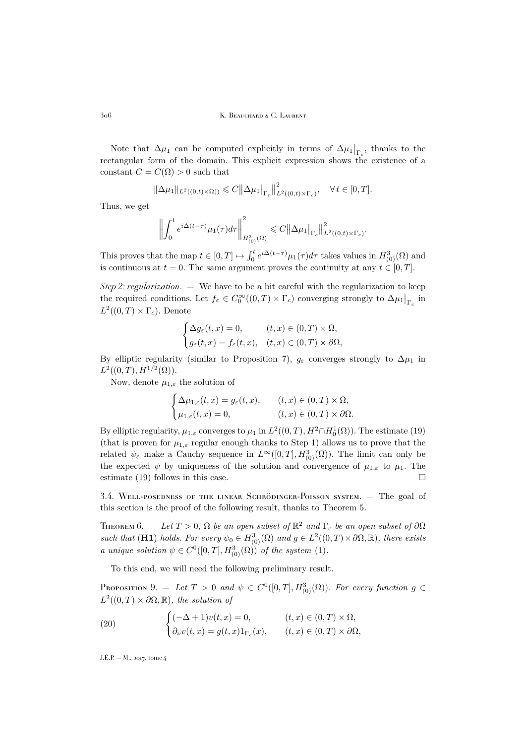Note that  $\Delta \mu_1$  can be computed explicitly in terms of  $\Delta \mu_1|_{\Gamma_c}$ , thanks to the rectangular form of the domain. This explicit expression shows the existence of a constant  $C = C(\Omega) > 0$  such that

$$
\|\Delta \mu_1\|_{L^2((0,t)\times\Omega))} \leq C \|\Delta \mu_1\|_{\Gamma_c} \|^2_{L^2((0,t)\times\Gamma_c)}, \quad \forall \, t \in [0,T].
$$

Thus, we get

$$
\left\| \int_0^t e^{i\Delta(t-\tau)} \mu_1(\tau) d\tau \right\|_{H^3_{(0)}(\Omega)}^2 \leq C \|\Delta \mu_1\|_{\Gamma_c} \|^2_{L^2((0,t)\times \Gamma_c)}
$$

.

This proves that the map  $t \in [0,T] \mapsto \int_0^t e^{i\Delta(t-\tau)} \mu_1(\tau) d\tau$  takes values in  $H^3_{(0)}(\Omega)$  and is continuous at  $t = 0$ . The same argument proves the continuity at any  $t \in [0, T]$ .

*Step 2: regularization*. — We have to be a bit careful with the regularization to keep the required conditions. Let  $f_{\varepsilon} \in C_0^{\infty}((0,T) \times \Gamma_c)$  converging strongly to  $\Delta \mu_1|_{\Gamma_c}$  in  $L^2((0,T)\times\Gamma_c)$ . Denote

$$
\begin{cases} \Delta g_{\varepsilon}(t,x) = 0, & (t,x) \in (0,T) \times \Omega, \\ g_{\varepsilon}(t,x) = f_{\varepsilon}(t,x), & (t,x) \in (0,T) \times \partial\Omega, \end{cases}
$$

By elliptic regularity (similar to Proposition [7\)](#page-16-1),  $g_{\varepsilon}$  converges strongly to  $\Delta \mu_1$  in  $L^2((0,T),H^{1/2}(\Omega)).$ 

Now, denote  $\mu_{1,\varepsilon}$  the solution of

$$
\begin{cases} \Delta \mu_{1,\varepsilon}(t,x) = g_{\varepsilon}(t,x), & (t,x) \in (0,T) \times \Omega, \\ \mu_{1,\varepsilon}(t,x) = 0, & (t,x) \in (0,T) \times \partial\Omega. \end{cases}
$$

By elliptic regularity,  $\mu_{1,\varepsilon}$  converges to  $\mu_1$  in  $L^2((0,T),H^2 \cap H_0^1(\Omega))$ . The estimate [\(19\)](#page-18-3) (that is proven for  $\mu_{1,\varepsilon}$  regular enough thanks to Step 1) allows us to prove that the related  $\psi_{\varepsilon}$  make a Cauchy sequence in  $L^{\infty}([0,T], H^3_{(0)}(\Omega))$ . The limit can only be the expected  $\psi$  by uniqueness of the solution and convergence of  $\mu_{1,\varepsilon}$  to  $\mu_1$ . The estimate [\(19\)](#page-18-3) follows in this case.  $\square$ 

<span id="page-20-0"></span>3.4. Well-posedness of the linear Schrödinger-Poisson system. — The goal of this section is the proof of the following result, thanks to Theorem [5.](#page-18-2)

<span id="page-20-2"></span>THEOREM 6.  $-$  *Let*  $T > 0$ ,  $\Omega$  *be an open subset of*  $\mathbb{R}^2$  *and*  $\Gamma_c$  *be an open subset of*  $\partial\Omega$ such that (**H1**) *holds. For every*  $\psi_0 \in H^3_{(0)}(\Omega)$  and  $g \in L^2((0,T) \times \partial \Omega, \mathbb{R})$ , there exists *a* unique solution  $\psi \in C^0([0,T], H^3_{(0)}(\Omega))$  of the system [\(1\)](#page-2-1).

To this end, we will need the following preliminary result.

<span id="page-20-1"></span>PROPOSITION 9.  $-$  *Let*  $T > 0$  *and*  $\psi \in C^0([0,T], H^3_{(0)}(\Omega))$ *. For every function*  $g \in C^0([0,T], H^{3}_{(0)}(\Omega))$  $L^2((0,T)\times\partial\Omega,\mathbb{R})$ *, the solution of* 

<span id="page-20-3"></span>(20) 
$$
\begin{cases} (-\Delta + 1)v(t, x) = 0, & (t, x) \in (0, T) \times \Omega, \\ \partial_{\nu}v(t, x) = g(t, x)1_{\Gamma_c}(x), & (t, x) \in (0, T) \times \partial\Omega, \end{cases}
$$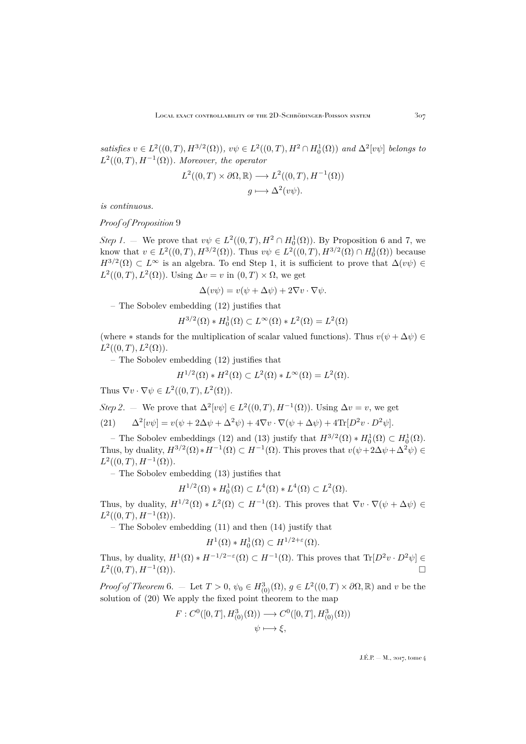*satisfies*  $v \in L^2((0,T), H^{3/2}(\Omega))$ ,  $v\psi \in L^2((0,T), H^2 \cap H_0^1(\Omega))$  and  $\Delta^2[v\psi]$  belongs to  $L^2((0,T),H^{-1}(\Omega))$ *. Moreover, the operator* 

$$
L^{2}((0, T) \times \partial \Omega, \mathbb{R}) \longrightarrow L^{2}((0, T), H^{-1}(\Omega))
$$

$$
g \longmapsto \Delta^{2}(v\psi).
$$

*is continuous.*

*Proof of Proposition* [9](#page-20-1)

*Step 1*. — We prove that  $v\psi \in L^2((0,T), H^2 \cap H_0^1(\Omega))$ . By Proposition [6](#page-15-1) and [7,](#page-16-1) we know that  $v \in L^2((0,T), H^{3/2}(\Omega))$ . Thus  $v\psi \in L^2((0,T), H^{3/2}(\Omega) \cap H_0^1(\Omega))$  because  $H^{3/2}(\Omega) \subset L^{\infty}$  is an algebra. To end Step 1, it is sufficient to prove that  $\Delta(v\psi) \in$  $L^2((0,T), L^2(\Omega))$ . Using  $\Delta v = v$  in  $(0,T) \times \Omega$ , we get

$$
\Delta(v\psi) = v(\psi + \Delta\psi) + 2\nabla v \cdot \nabla\psi.
$$

– The Sobolev embedding [\(12\)](#page-15-2) justifies that

$$
H^{3/2}(\Omega) * H_0^1(\Omega) \subset L^\infty(\Omega) * L^2(\Omega) = L^2(\Omega)
$$

(where  $*$  stands for the multiplication of scalar valued functions). Thus  $v(\psi + \Delta \psi) \in$  $L^2((0,T), L^2(\Omega)).$ 

– The Sobolev embedding [\(12\)](#page-15-2) justifies that

$$
H^{1/2}(\Omega) * H^2(\Omega) \subset L^2(\Omega) * L^\infty(\Omega) = L^2(\Omega).
$$

Thus  $\nabla v \cdot \nabla \psi \in L^2((0,T), L^2(\Omega)).$ 

<span id="page-21-0"></span>Step 2. – We prove that 
$$
\Delta^2[v\psi] \in L^2((0,T), H^{-1}(\Omega))
$$
. Using  $\Delta v = v$ , we get  
\n(21)  $\Delta^2[v\psi] = v(\psi + 2\Delta\psi + \Delta^2\psi) + 4\nabla v \cdot \nabla(\psi + \Delta\psi) + 4\text{Tr}[D^2v \cdot D^2\psi]$ .

– The Sobolev embeddings [\(12\)](#page-15-2) and [\(13\)](#page-15-3) justify that  $H^{3/2}(\Omega) * H_0^1(\Omega) \subset H_0^1(\Omega)$ . Thus, by duality,  $H^{3/2}(\Omega) * H^{-1}(\Omega) \subset H^{-1}(\Omega)$ . This proves that  $v(\psi + 2\Delta \psi + \Delta^2 \psi) \in$  $L^2((0,T),H^{-1}(\Omega)).$ 

– The Sobolev embedding [\(13\)](#page-15-3) justifies that

$$
H^{1/2}(\Omega) * H_0^1(\Omega) \subset L^4(\Omega) * L^4(\Omega) \subset L^2(\Omega).
$$

Thus, by duality,  $H^{1/2}(\Omega) * L^2(\Omega) \subset H^{-1}(\Omega)$ . This proves that  $\nabla v \cdot \nabla (\psi + \Delta \psi) \in$  $L^2((0,T),H^{-1}(\Omega)).$ 

– The Sobolev embedding [\(11\)](#page-15-4) and then [\(14\)](#page-15-5) justify that

$$
H^1(\Omega) * H_0^1(\Omega) \subset H^{1/2+\varepsilon}(\Omega).
$$

Thus, by duality,  $H^1(\Omega) * H^{-1/2-\epsilon}(\Omega) \subset H^{-1}(\Omega)$ . This proves that  $\text{Tr}[D^2v \cdot D^2\psi] \in$  $L^2((0,T),H^{-1})$  $(\Omega)$ ).

*Proof of Theorem* [6.](#page-20-2) – Let  $T > 0$ ,  $\psi_0 \in H^3_{(0)}(\Omega)$ ,  $g \in L^2((0,T) \times \partial \Omega, \mathbb{R})$  and v be the solution of [\(20\)](#page-20-3) We apply the fixed point theorem to the map

$$
F: C^{0}([0, T], H^{3}_{(0)}(\Omega)) \longrightarrow C^{0}([0, T], H^{3}_{(0)}(\Omega))
$$
  

$$
\psi \longmapsto \xi,
$$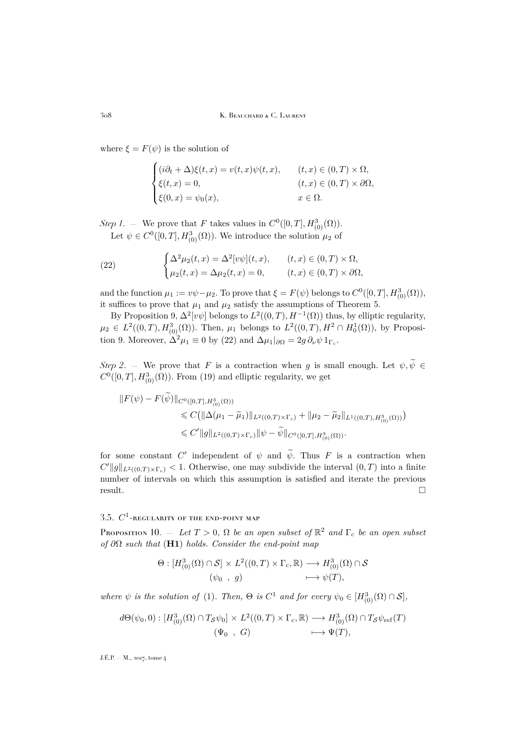where  $\xi = F(\psi)$  is the solution of

$$
\begin{cases}\n(i\partial_t + \Delta)\xi(t, x) = v(t, x)\psi(t, x), & (t, x) \in (0, T) \times \Omega, \\
\xi(t, x) = 0, & (t, x) \in (0, T) \times \partial\Omega, \\
\xi(0, x) = \psi_0(x), & x \in \Omega.\n\end{cases}
$$

*Step 1*. – We prove that F takes values in  $C^0([0, T], H^3_{(0)}(\Omega))$ . Let  $\psi \in C^0([0,T], H^3_{(0)}(\Omega))$ . We introduce the solution  $\mu_2$  of

<span id="page-22-1"></span>(22) 
$$
\begin{cases} \Delta^2 \mu_2(t,x) = \Delta^2[v\psi](t,x), & (t,x) \in (0,T) \times \Omega, \\ \mu_2(t,x) = \Delta \mu_2(t,x) = 0, & (t,x) \in (0,T) \times \partial\Omega, \end{cases}
$$

and the function  $\mu_1 := v\psi - \mu_2$ . To prove that  $\xi = F(\psi)$  belongs to  $C^0([0, T], H^3_{(0)}(\Omega)),$ it suffices to prove that  $\mu_1$  and  $\mu_2$  satisfy the assumptions of Theorem [5.](#page-18-2)

By Proposition [9,](#page-20-1)  $\Delta^2[v\psi]$  belongs to  $L^2((0,T),H^{-1}(\Omega))$  thus, by elliptic regularity,  $\mu_2 \in L^2((0,T), H^3_{(0)}(\Omega))$ . Then,  $\mu_1$  belongs to  $L^2((0,T), H^2 \cap H^1_0(\Omega))$ , by Proposi-tion [9.](#page-20-1) Moreover,  $\Delta^2 \mu_1 \equiv 0$  by [\(22\)](#page-22-1) and  $\Delta \mu_1|_{\partial \Omega} = 2g \partial_\nu \psi \mathbb{1}_{\Gamma_c}$ .

*Step 2.* — We prove that F is a contraction when g is small enough. Let  $\psi, \tilde{\psi} \in$  $C^0([0,T], H^3_{(0)}(\Omega))$ . From [\(19\)](#page-18-3) and elliptic regularity, we get

$$
\|F(\psi) - F(\psi)\|_{C^0([0,T], H^3_{(0)}(\Omega))}
$$
  
\$\leq C(\|\Delta(\mu\_1 - \tilde{\mu}\_1)\|\_{L^2((0,T)\times\Gamma\_c)} + \|\mu\_2 - \tilde{\mu}\_2\|\_{L^1((0,T), H^3\_{(0)}(\Omega))})\$  
\$\leq C' \|g\|\_{L^2((0,T)\times\Gamma\_c)} \|\psi - \tilde{\psi}\|\_{C^0([0,T], H^3\_{(0)}(\Omega))}.

for some constant C' independent of  $\psi$  and  $\tilde{\psi}$ . Thus F is a contraction when  $C' \|g\|_{L^2((0,T)\times\Gamma_c)} < 1.$  Otherwise, one may subdivide the interval  $(0,T)$  into a finite number of intervals on which this assumption is satisfied and iterate the previous result.

# <span id="page-22-0"></span>3.5.  $C^1$ -regularity of the end-point map

<span id="page-22-2"></span>Proposition 10.  $-$  *Let*  $T > 0$ ,  $\Omega$  *be an open subset of*  $\mathbb{R}^2$  *and*  $\Gamma_c$  *be an open subset of* ∂Ω *such that* (H1) *holds. Consider the end-point map*

$$
\Theta : [H^3_{(0)}(\Omega) \cap \mathcal{S}] \times L^2((0,T) \times \Gamma_c, \mathbb{R}) \longrightarrow H^3_{(0)}(\Omega) \cap \mathcal{S}
$$
  

$$
(\psi_0, g) \longmapsto \psi(T),
$$

*where*  $\psi$  *is the solution of* [\(1\)](#page-2-1)*. Then,*  $\Theta$  *is*  $C^1$  *and for every*  $\psi_0 \in [H^3_{(0)}(\Omega) \cap S]$ *,* 

$$
d\Theta(\psi_0, 0) : [H^3_{(0)}(\Omega) \cap T_{\mathcal{S}}\psi_0] \times L^2((0, T) \times \Gamma_c, \mathbb{R}) \longrightarrow H^3_{(0)}(\Omega) \cap T_{\mathcal{S}}\psi_{\text{ref}}(T)
$$
  

$$
(\Psi_0, G) \longmapsto \Psi(T),
$$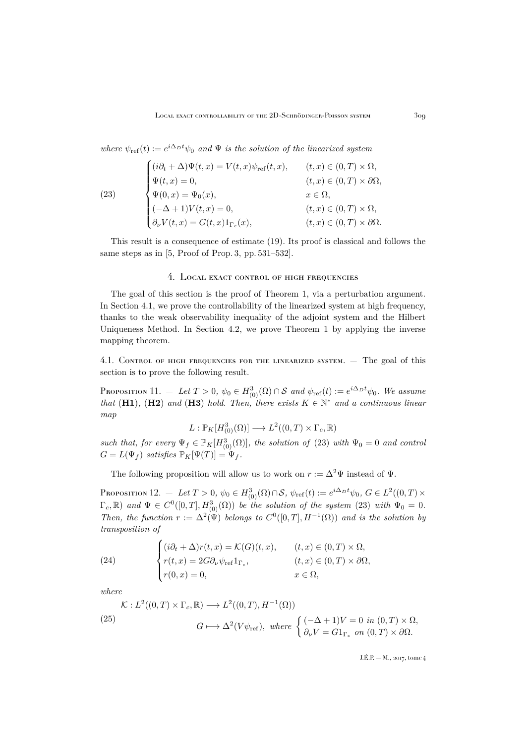where  $\psi_{\text{ref}}(t) := e^{i\Delta_D t} \psi_0$  and  $\Psi$  *is the solution of the linearized system* 

<span id="page-23-2"></span>(23)  
\n
$$
\begin{cases}\n(i\partial_t + \Delta)\Psi(t, x) = V(t, x)\psi_{\text{ref}}(t, x), & (t, x) \in (0, T) \times \Omega, \\
\Psi(t, x) = 0, & (t, x) \in (0, T) \times \partial\Omega, \\
\Psi(0, x) = \Psi_0(x), & x \in \Omega, \\
(-\Delta + 1)V(t, x) = 0, & (t, x) \in (0, T) \times \Omega, \\
\partial_\nu V(t, x) = G(t, x)1_{\Gamma_c}(x), & (t, x) \in (0, T) \times \partial\Omega.\n\end{cases}
$$

This result is a consequence of estimate [\(19\)](#page-18-3). Its proof is classical and follows the same steps as in [\[5,](#page-49-6) Proof of Prop. 3, pp. 531–532].

#### 4. LOCAL EXACT CONTROL OF HIGH FREQUENCIES

<span id="page-23-0"></span>The goal of this section is the proof of Theorem [1,](#page-4-0) via a perturbation argument. In Section [4.1,](#page-23-1) we prove the controllability of the linearized system at high frequency, thanks to the weak observability inequality of the adjoint system and the Hilbert Uniqueness Method. In Section [4.2,](#page-28-0) we prove Theorem [1](#page-4-0) by applying the inverse mapping theorem.

<span id="page-23-1"></span>4.1. Control of high frequencies for the linearized system. — The goal of this section is to prove the following result.

<span id="page-23-5"></span>Proposition 11. – Let  $T > 0$ ,  $\psi_0 \in H^3_{(0)}(\Omega) \cap S$  and  $\psi_{\text{ref}}(t) := e^{i\Delta_D t}\psi_0$ . We assume *that* (H1), (H2) and (H3) *hold. Then, there exists*  $K \in \mathbb{N}^*$  and a continuous linear *map*

$$
L: \mathbb{P}_K[H^3_{(0)}(\Omega)] \longrightarrow L^2((0,T) \times \Gamma_c, \mathbb{R})
$$

*such that, for every*  $\Psi_f \in \mathbb{P}_K[H_{(0)}^3(\Omega)]$ *, the solution of* [\(23\)](#page-23-2) *with*  $\Psi_0 = 0$  *and control*  $G = L(\Psi_f)$  *satisfies*  $\mathbb{P}_K[\Psi(T)] = \Psi_f$ .

The following proposition will allow us to work on  $r := \Delta^2 \Psi$  instead of  $\Psi$ .

<span id="page-23-4"></span>Proposition 12. – Let  $T > 0$ ,  $\psi_0 \in H^3_{(0)}(\Omega) \cap S$ ,  $\psi_{\text{ref}}(t) := e^{i\Delta_D t} \psi_0$ ,  $G \in L^2((0, T) \times T)$  $\Gamma_c$ , R) and  $\Psi \in C^0([0,T], H^3_{(0)}(\Omega))$  be the solution of the system [\(23\)](#page-23-2) with  $\Psi_0 = 0$ . *Then, the function*  $r := \Delta^2(\Psi)$  *belongs to*  $C^0([0,T], H^{-1}(\Omega))$  *and is the solution by transposition of*

<span id="page-23-3"></span>(24) 
$$
\begin{cases} (i\partial_t + \Delta)r(t, x) = \mathcal{K}(G)(t, x), & (t, x) \in (0, T) \times \Omega, \\ r(t, x) = 2G\partial_\nu \psi_{\text{ref}} 1_{\Gamma_c}, & (t, x) \in (0, T) \times \partial\Omega, \\ r(0, x) = 0, & x \in \Omega, \end{cases}
$$

*where*

<span id="page-23-6"></span>(25)  
\n
$$
\mathcal{K}: L^2((0,T) \times \Gamma_c, \mathbb{R}) \longrightarrow L^2((0,T), H^{-1}(\Omega))
$$
\n
$$
G \longmapsto \Delta^2(V\psi_{\text{ref}}), \text{ where } \begin{cases} (-\Delta + 1)V = 0 \text{ in } (0,T) \times \Omega, \\ \partial_\nu V = G1_{\Gamma_c} \text{ on } (0,T) \times \partial\Omega. \end{cases}
$$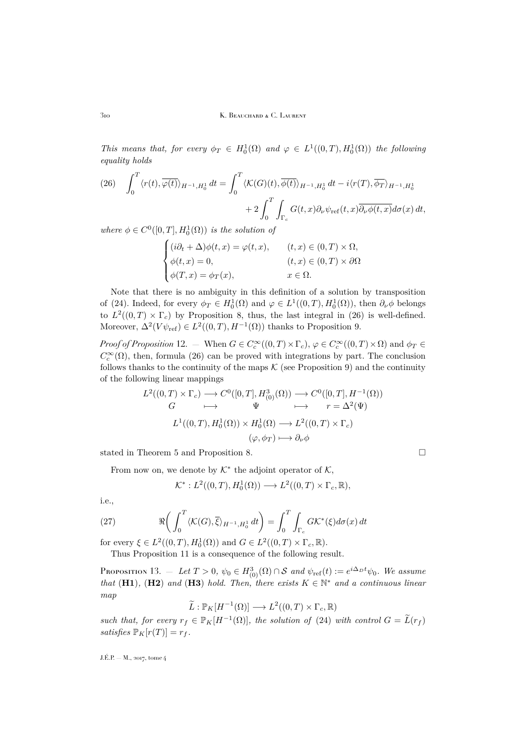310 K. BEAUCHARD & C. LAURENT

*This means that, for every*  $\phi_T \in H_0^1(\Omega)$  *and*  $\varphi \in L^1((0,T), H_0^1(\Omega))$  *the following equality holds*

<span id="page-24-0"></span>(26) 
$$
\int_0^T \langle r(t), \overline{\varphi(t)} \rangle_{H^{-1}, H_0^1} dt = \int_0^T \langle K(G)(t), \overline{\phi(t)} \rangle_{H^{-1}, H_0^1} dt - i \langle r(T), \overline{\phi_T} \rangle_{H^{-1}, H_0^1} + 2 \int_0^T \int_{\Gamma_c} G(t, x) \partial_\nu \psi_{\text{ref}}(t, x) \overline{\partial_\nu \phi(t, x)} d\sigma(x) dt,
$$

where  $\phi \in C^0([0,T], H_0^1(\Omega))$  *is the solution of* 

$$
\begin{cases}\n(i\partial_t + \Delta)\phi(t, x) = \varphi(t, x), & (t, x) \in (0, T) \times \Omega, \\
\phi(t, x) = 0, & (t, x) \in (0, T) \times \partial\Omega \\
\phi(T, x) = \phi_T(x), & x \in \Omega.\n\end{cases}
$$

Note that there is no ambiguity in this definition of a solution by transposition of [\(24\)](#page-23-3). Indeed, for every  $\phi_T \in H_0^1(\Omega)$  and  $\varphi \in L^1((0,T), H_0^1(\Omega))$ , then  $\partial_{\nu} \phi$  belongs to  $L^2((0,T) \times \Gamma_c)$  by Proposition [8,](#page-17-3) thus, the last integral in [\(26\)](#page-24-0) is well-defined. Moreover,  $\Delta^2(V\psi_{\text{ref}}) \in L^2((0,T),H^{-1}(\Omega))$  thanks to Proposition [9.](#page-20-1)

*Proof of Proposition* [12.](#page-23-4) – When  $G \in C_c^{\infty}((0,T) \times \Gamma_c)$ ,  $\varphi \in C_c^{\infty}((0,T) \times \Omega)$  and  $\phi_T \in C_c^{\infty}$  $C_c^{\infty}(\Omega)$ , then, formula [\(26\)](#page-24-0) can be proved with integrations by part. The conclusion follows thanks to the continuity of the maps  $\mathcal K$  (see Proposition [9\)](#page-20-1) and the continuity of the following linear mappings

$$
L^2((0,T) \times \Gamma_c) \longrightarrow C^0([0,T], H^3_{(0)}(\Omega)) \longrightarrow C^0([0,T], H^{-1}(\Omega))
$$
  
\n
$$
G \longrightarrow \Psi \longmapsto r = \Delta^2(\Psi)
$$
  
\n
$$
L^1((0,T), H^1_0(\Omega)) \times H^1_0(\Omega) \longrightarrow L^2((0,T) \times \Gamma_c)
$$
  
\n
$$
(\varphi, \phi_T) \longmapsto \partial_\nu \phi
$$

stated in Theorem [5](#page-18-2) and Proposition [8.](#page-17-3)

From now on, we denote by  $K^*$  the adjoint operator of  $K$ ,

<span id="page-24-2"></span>
$$
\mathcal{K}^*: L^2((0,T), H_0^1(\Omega)) \longrightarrow L^2((0,T) \times \Gamma_c, \mathbb{R}),
$$

i.e.,

(27) 
$$
\Re\bigg(\int_0^T \langle\mathcal{K}(G),\overline{\xi}\rangle_{H^{-1},H_0^1} dt\bigg) = \int_0^T \int_{\Gamma_c} G\mathcal{K}^*(\xi) d\sigma(x) dt
$$

for every  $\xi \in L^2((0,T), H_0^1(\Omega))$  and  $G \in L^2((0,T) \times \Gamma_c, \mathbb{R})$ .

Thus Proposition [11](#page-23-5) is a consequence of the following result.

<span id="page-24-1"></span>Proposition 13. — Let  $T > 0$ ,  $\psi_0 \in H^3_{(0)}(\Omega) \cap S$  and  $\psi_{\text{ref}}(t) := e^{i\Delta_D t}\psi_0$ . We assume *that* (H1), (H2) and (H3) *hold. Then, there exists*  $K \in \mathbb{N}^*$  and a continuous linear *map*

$$
\widetilde{L}: \mathbb{P}_K[H^{-1}(\Omega)] \longrightarrow L^2((0,T) \times \Gamma_c, \mathbb{R})
$$

*such that, for every*  $r_f \in \mathbb{P}_K[H^{-1}(\Omega)]$ *, the solution of* [\(24\)](#page-23-3) *with control*  $G = \widetilde{L}(r_f)$ *satisfies*  $\mathbb{P}_K[r(T)] = r_f$ .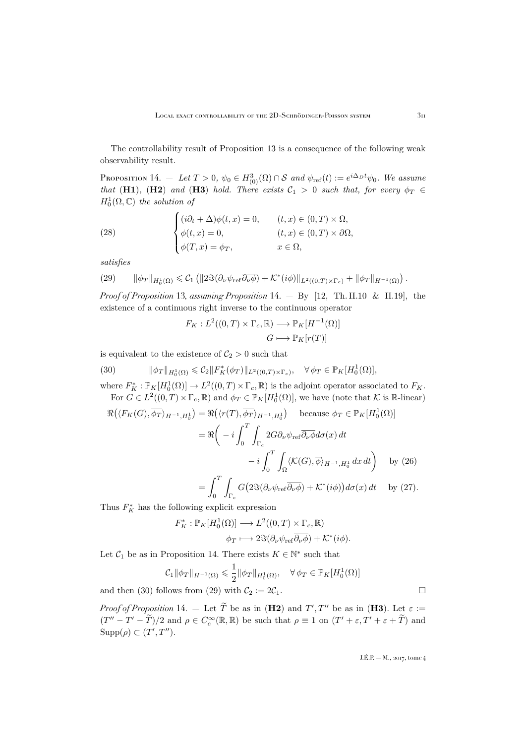The controllability result of Proposition [13](#page-24-1) is a consequence of the following weak observability result.

<span id="page-25-0"></span>Proposition 14. – Let  $T > 0$ ,  $\psi_0 \in H^3_{(0)}(\Omega) \cap S$  and  $\psi_{\text{ref}}(t) := e^{i\Delta_D t}\psi_0$ . We assume *that* (H1), (H2) *and* (H3) *hold. There exists*  $C_1 > 0$  *such that, for every*  $\phi_T \in$  $H_0^1(\Omega,\mathbb{C})$  the solution of

<span id="page-25-3"></span>(28) 
$$
\begin{cases} (i\partial_t + \Delta)\phi(t, x) = 0, & (t, x) \in (0, T) \times \Omega, \\ \phi(t, x) = 0, & (t, x) \in (0, T) \times \partial\Omega, \\ \phi(T, x) = \phi_T, & x \in \Omega, \end{cases}
$$

*satisfies*

<span id="page-25-2"></span>
$$
(29) \qquad \|\phi_T\|_{H_0^1(\Omega)} \leq C_1 \left( \|2\Im(\partial_\nu \psi_{\rm ref} \overline{\partial_\nu \phi}) + \mathcal{K}^*(i\phi) \|_{L^2((0,T)\times\Gamma_c)} + \|\phi_T\|_{H^{-1}(\Omega)} \right).
$$

*Proof of Proposition* [13](#page-24-1)*, assuming Proposition* [14.](#page-25-0) — By [\[12,](#page-49-20) Th. II.10 & II.19], the existence of a continuous right inverse to the continuous operator

$$
F_K: L^2((0,T) \times \Gamma_c, \mathbb{R}) \longrightarrow \mathbb{P}_K[H^{-1}(\Omega)]
$$

$$
G \longmapsto \mathbb{P}_K[r(T)]
$$

is equivalent to the existence of  $\mathcal{C}_2 > 0$  such that

<span id="page-25-1"></span>(30) 
$$
\|\phi_T\|_{H_0^1(\Omega)} \leq C_2 \|F_K^*(\phi_T)\|_{L^2((0,T)\times\Gamma_c)}, \quad \forall \phi_T \in \mathbb{P}_K[H_0^1(\Omega)],
$$

where  $F_K^* : \mathbb{P}_K[H_0^1(\Omega)] \to L^2((0,T) \times \Gamma_c, \mathbb{R})$  is the adjoint operator associated to  $F_K$ . For  $G \in L^2((0,T) \times \Gamma_c, \mathbb{R})$  and  $\phi_T \in \mathbb{P}_K[H_0^1(\Omega)],$  we have (note that K is R-linear)

$$
\Re\left(\langle F_K(G), \overline{\phi_T} \rangle_{H^{-1}, H_0^1}\right) = \Re\left(\langle r(T), \overline{\phi_T} \rangle_{H^{-1}, H_0^1}\right) \quad \text{because } \phi_T \in \mathbb{P}_K[H_0^1(\Omega)]
$$
\n
$$
= \Re\left(-i \int_0^T \int_{\Gamma_c} 2G \partial_\nu \psi_{\text{ref}} \overline{\partial_\nu \phi} d\sigma(x) dt -i \int_0^T \int_{\Omega} \langle K(G), \overline{\phi} \rangle_{H^{-1}, H_0^1} dx dt\right) \quad \text{by (26)}
$$
\n
$$
= \int_0^T \int_{\Gamma_c} G\left(2\Im(\partial_\nu \psi_{\text{ref}} \overline{\partial_\nu \phi}) + \mathcal{K}^*(i\phi)\right) d\sigma(x) dt \quad \text{by (27)}.
$$

Thus  $F_K^*$  has the following explicit expression

$$
F_K^* : \mathbb{P}_K[H_0^1(\Omega)] \longrightarrow L^2((0,T) \times \Gamma_c, \mathbb{R})
$$
  

$$
\phi_T \longmapsto 2\Im(\partial_\nu \psi_{\text{ref}} \overline{\partial_\nu \phi}) + \mathcal{K}^*(i\phi).
$$

Let  $C_1$  be as in Proposition [14.](#page-25-0) There exists  $K \in \mathbb{N}^*$  such that

$$
\mathcal{C}_1 \|\phi_T\|_{H^{-1}(\Omega)} \leq \frac{1}{2} \|\phi_T\|_{H_0^1(\Omega)}, \quad \forall \phi_T \in \mathbb{P}_K[H_0^1(\Omega)]
$$

and then [\(30\)](#page-25-1) follows from [\(29\)](#page-25-2) with  $C_2 := 2C_1$ .

*Proof of Proposition* [14.](#page-25-0) – Let  $\widetilde{T}$  be as in (**H2**) and  $T', T''$  be as in (**H3**). Let  $\varepsilon :=$  $(T'' - T' - \tilde{T})/2$  and  $\rho \in C_c^{\infty}(\mathbb{R}, \mathbb{R})$  be such that  $\rho \equiv 1$  on  $(T' + \varepsilon, T' + \varepsilon + \tilde{T})$  and  $\text{Supp}(\rho) \subset (T', T'').$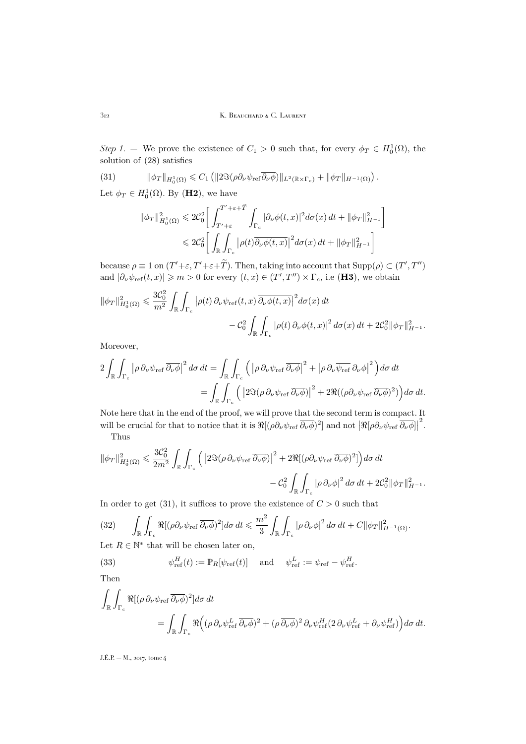312 K. Beauchard & C. Laurent

*Step 1*. – We prove the existence of  $C_1 > 0$  such that, for every  $\phi_T \in H_0^1(\Omega)$ , the solution of [\(28\)](#page-25-3) satisfies

(31) 
$$
\|\phi_T\|_{H_0^1(\Omega)} \leq C_1 \left( \|2\Im(\rho\partial_\nu\psi_{\rm ref}\overline{\partial_\nu\phi})\|_{L^2(\mathbb{R}\times\Gamma_c)} + \|\phi_T\|_{H^{-1}(\Omega)} \right).
$$

Let  $\phi_T \in H_0^1(\Omega)$ . By (**H2**), we have

<span id="page-26-0"></span>
$$
\begin{aligned} \|\phi_T\|_{H^1_0(\Omega)}^2 &\leq 2\mathcal{C}_0^2 \bigg[ \int_{T'+\varepsilon}^{T'+\varepsilon+\widetilde{T}} \int_{\Gamma_c} |\partial_\nu \phi(t,x)|^2 d\sigma(x) dt + \|\phi_T\|_{H^{-1}}^2 \bigg] \\ &\leqslant 2\mathcal{C}_0^2 \bigg[ \int_{\mathbb{R}} \int_{\Gamma_c} |\rho(t)\overline{\partial_\nu \phi(t,x)}|^2 d\sigma(x) dt + \|\phi_T\|_{H^{-1}}^2 \bigg] \end{aligned}
$$

because  $\rho \equiv 1$  on  $(T'+\varepsilon, T'+\varepsilon+\tilde{T})$ . Then, taking into account that  $\text{Supp}(\rho) \subset (T', T'')$ and  $|\partial_{\nu}\psi_{\text{ref}}(t,x)| \geq m > 0$  for every  $(t,x) \in (T',T'') \times \Gamma_c$ , i.e (**H3**), we obtain

$$
\|\phi_T\|_{H_0^1(\Omega)}^2 \leq \frac{3\mathcal{C}_0^2}{m^2} \int_{\mathbb{R}} \int_{\Gamma_c} |\rho(t) \, \partial_\nu \psi_{\text{ref}}(t, x) \overline{\partial_\nu \phi(t, x)}|^2 d\sigma(x) dt - C_0^2 \int_{\mathbb{R}} \int_{\Gamma_c} |\rho(t) \, \partial_\nu \phi(t, x)|^2 d\sigma(x) dt + 2\mathcal{C}_0^2 \|\phi_T\|_{H^{-1}}^2.
$$

Moreover,

$$
2\int_{\mathbb{R}}\int_{\Gamma_c} \left| \rho \, \partial_{\nu} \psi_{\text{ref}} \, \overline{\partial_{\nu} \phi} \right|^2 d\sigma dt = \int_{\mathbb{R}} \int_{\Gamma_c} \left( \left| \rho \, \partial_{\nu} \psi_{\text{ref}} \, \overline{\partial_{\nu} \phi} \right|^2 + \left| \rho \, \partial_{\nu} \overline{\psi_{\text{ref}}} \, \partial_{\nu} \phi \right|^2 \right) d\sigma dt
$$
  
= 
$$
\int_{\mathbb{R}} \int_{\Gamma_c} \left( \left| 2 \Im(\rho \, \partial_{\nu} \psi_{\text{ref}} \, \overline{\partial_{\nu} \phi}) \right|^2 + 2 \Re((\rho \partial_{\nu} \psi_{\text{ref}} \, \overline{\partial_{\nu} \phi})^2) \right) d\sigma dt.
$$

Note here that in the end of the proof, we will prove that the second term is compact. It will be crucial for that to notice that it is  $\Re[(\rho \partial_\nu \psi_{\rm ref} \overline{\partial_\nu \phi})^2]$  and not  $|\Re[\rho \partial_\nu \psi_{\rm ref} \overline{\partial_\nu \phi}]|$ 2 . Thus

$$
\begin{aligned} \|\phi_T\|_{H^1_0(\Omega)}^2 &\leq \frac{3\mathcal{C}_0^2}{2m^2} \int_\mathbb{R} \int_{\Gamma_c} \Big( \left|2\Im(\rho\,\partial_\nu\psi_\text{ref}\,\overline{\partial_\nu\phi})\right|^2 + 2\Re[(\rho\partial_\nu\psi_\text{ref}\,\overline{\partial_\nu\phi})^2] \Big) d\sigma \,dt \\ &- \mathcal{C}_0^2 \int_\mathbb{R} \int_{\Gamma_c} |\rho\,\partial_\nu\phi|^2 \,d\sigma \,dt + 2\mathcal{C}_0^2 \|\phi_T\|_{H^{-1}}^2. \end{aligned}
$$

In order to get [\(31\)](#page-26-0), it suffices to prove the existence of  $C > 0$  such that

<span id="page-26-1"></span>
$$
(32) \qquad \int_{\mathbb{R}} \int_{\Gamma_c} \Re[(\rho \partial_\nu \psi_{\rm ref} \overline{\partial_\nu \phi})^2] d\sigma dt \leq \frac{m^2}{3} \int_{\mathbb{R}} \int_{\Gamma_c} |\rho \partial_\nu \phi|^2 d\sigma dt + C \|\phi_T\|_{H^{-1}(\Omega)}^2.
$$

Let  $R \in \mathbb{N}^*$  that will be chosen later on,

<span id="page-26-2"></span>(33) 
$$
\psi_{\text{ref}}^H(t) := \mathbb{P}_R[\psi_{\text{ref}}(t)] \quad \text{and} \quad \psi_{\text{ref}}^L := \psi_{\text{ref}} - \psi_{\text{ref}}^H.
$$

Then

$$
\int_{\mathbb{R}} \int_{\Gamma_c} \Re[(\rho \, \partial_\nu \psi_{\text{ref}} \, \overline{\partial_\nu \phi})^2] d\sigma \, dt
$$
\n
$$
= \int_{\mathbb{R}} \int_{\Gamma_c} \Re((\rho \, \partial_\nu \psi_{\text{ref}}^L \, \overline{\partial_\nu \phi})^2 + (\rho \, \overline{\partial_\nu \phi})^2 \, \partial_\nu \psi_{\text{ref}}^H (2 \, \partial_\nu \psi_{\text{ref}}^L + \partial_\nu \psi_{\text{ref}}^H)) d\sigma \, dt.
$$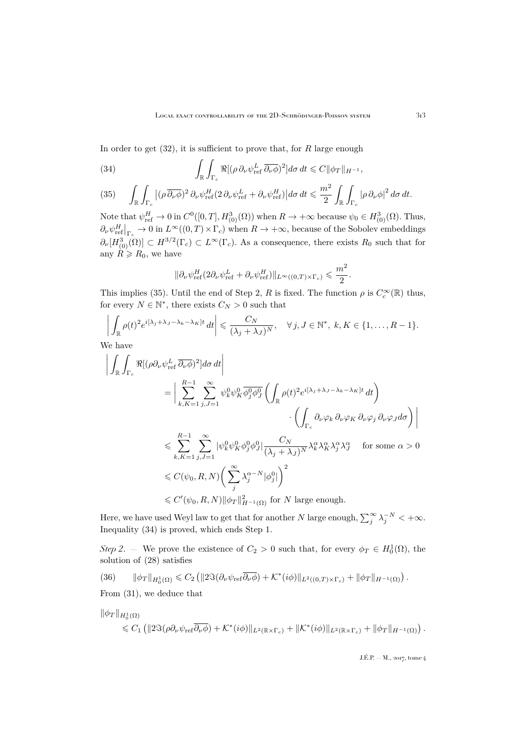In order to get  $(32)$ , it is sufficient to prove that, for R large enough

<span id="page-27-1"></span>(34) 
$$
\int_{\mathbb{R}} \int_{\Gamma_c} \Re[(\rho \, \partial_\nu \psi_{\rm ref}^L \, \overline{\partial_\nu \phi})^2] d\sigma \, dt \leqslant C \|\phi_T\|_{H^{-1}},
$$

<span id="page-27-0"></span>(35) 
$$
\int_{\mathbb{R}} \int_{\Gamma_c} |(\rho \overline{\partial_\nu \phi})^2 \partial_\nu \psi_{\rm ref}^H (2 \partial_\nu \psi_{\rm ref}^L + \partial_\nu \psi_{\rm ref}^H) | d\sigma dt \leq \frac{m^2}{2} \int_{\mathbb{R}} \int_{\Gamma_c} |\rho \partial_\nu \phi|^2 d\sigma dt.
$$

Note that  $\psi_{\text{ref}}^H \to 0$  in  $C^0([0,T], H^3_{(0)}(\Omega))$  when  $R \to +\infty$  because  $\psi_0 \in H^3_{(0)}(\Omega)$ . Thus,  $\partial_{\nu}\psi_{\text{ref}}^{H}\big|_{\Gamma_c} \to 0$  in  $L^{\infty}((0,T)\times\Gamma_c)$  when  $R\to+\infty$ , because of the Sobolev embeddings  $\partial_{\nu}[H_{(0)}^{3}(\Omega)] \subset H^{3/2}(\Gamma_c) \subset L^{\infty}(\Gamma_c)$ . As a consequence, there exists  $R_0$  such that for any  $R \ge R_0$ , we have

$$
\|\partial_\nu \psi^H_{\rm ref} (2\partial_\nu \psi^L_{\rm ref} + \partial_\nu \psi^H_{\rm ref})\|_{L^\infty((0,T)\times \Gamma_c)} \leqslant \frac{m^2}{2}.
$$

This implies [\(35\)](#page-27-0). Until the end of Step 2, R is fixed. The function  $\rho$  is  $C_c^{\infty}(\mathbb{R})$  thus, for every  $N \in \mathbb{N}^*$ , there exists  $C_N > 0$  such that

$$
\left| \int_{\mathbb{R}} \rho(t)^2 e^{i[\lambda_j + \lambda_j - \lambda_k - \lambda_K]t} dt \right| \leq \frac{C_N}{(\lambda_j + \lambda_j)^N}, \quad \forall j, J \in \mathbb{N}^*, \ k, K \in \{1, \dots, R-1\}.
$$

We have

$$
\left| \int_{\mathbb{R}} \int_{\Gamma_c} \Re[(\rho \partial_{\nu} \psi_{\text{ref}}^L \overline{\partial_{\nu} \phi})^2] d\sigma dt \right|
$$
\n
$$
= \left| \sum_{k,K=1}^{R-1} \sum_{j,J=1}^{\infty} \psi_k^0 \psi_K^0 \overline{\phi_j^0 \phi_j^0} \left( \int_{\mathbb{R}} \rho(t)^2 e^{i[\lambda_j + \lambda_j - \lambda_k - \lambda_K]t} dt \right) \right|
$$
\n
$$
< \left( \int_{\Gamma_c} \partial_{\nu} \varphi_k \partial_{\nu} \varphi_K \partial_{\nu} \varphi_j \partial_{\nu} \varphi_J d\sigma \right) \right|
$$
\n
$$
\leqslant \sum_{k,K=1}^{R-1} \sum_{j,J=1}^{\infty} |\psi_k^0 \psi_K^0 \phi_j^0 \phi_j^0| \frac{C_N}{(\lambda_j + \lambda_J)^N} \lambda_k^{\alpha} \lambda_K^{\alpha} \lambda_j^{\alpha} \lambda_J^{\alpha} \quad \text{for some } \alpha > 0
$$
\n
$$
\leqslant C(\psi_0, R, N) \left( \sum_j^{\infty} \lambda_j^{\alpha - N} |\phi_j^0| \right)^2
$$
\n
$$
\leqslant C'(\psi_0, R, N) \|\phi_T\|_{H^{-1}(\Omega)}^2 \text{ for } N \text{ large enough.}
$$

Here, we have used Weyl law to get that for another N large enough,  $\sum_{j}^{\infty} \lambda_j^{-N} < +\infty$ . Inequality [\(34\)](#page-27-1) is proved, which ends Step 1.

*Step 2.* – We prove the existence of  $C_2 > 0$  such that, for every  $\phi_T \in H_0^1(\Omega)$ , the solution of [\(28\)](#page-25-3) satisfies

<span id="page-27-2"></span>
$$
(36) \qquad \|\phi_T\|_{H_0^1(\Omega)} \leq C_2 \left( \|2\Im(\partial_\nu \psi_{\rm ref} \overline{\partial_\nu \phi}) + \mathcal{K}^*(i\phi) \|_{L^2((0,T)\times\Gamma_c)} + \|\phi_T\|_{H^{-1}(\Omega)} \right).
$$

From [\(31\)](#page-26-0), we deduce that

$$
\|\phi_T\|_{H_0^1(\Omega)} \leq C_1 \left( \|2\Im(\rho\partial_\nu\psi_{\rm ref}\overline{\partial_\nu\phi}) + \mathcal{K}^*(i\phi)\|_{L^2(\mathbb{R}\times\Gamma_c)} + \|\mathcal{K}^*(i\phi)\|_{L^2(\mathbb{R}\times\Gamma_c)} + \|\phi_T\|_{H^{-1}(\Omega)} \right).
$$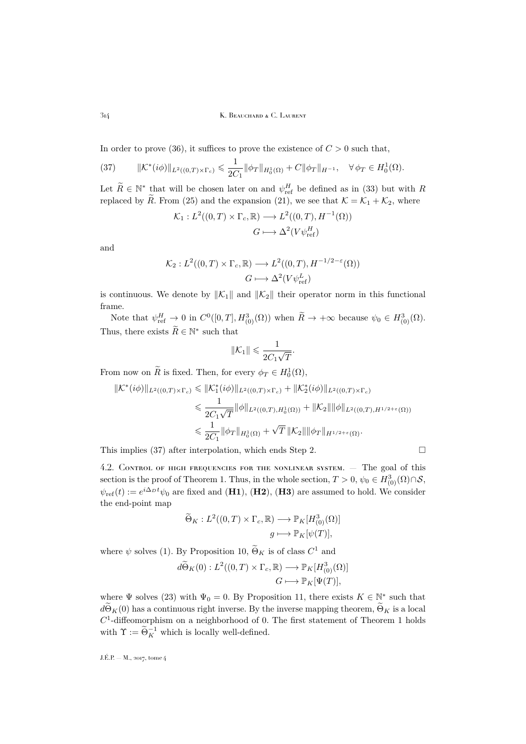314 K. BEAUCHARD & C. LAURENT

In order to prove [\(36\)](#page-27-2), it suffices to prove the existence of  $C > 0$  such that,

<span id="page-28-1"></span>(37) 
$$
\|\mathcal{K}^*(i\phi)\|_{L^2((0,T)\times\Gamma_c)} \leq \frac{1}{2C_1} \|\phi_T\|_{H_0^1(\Omega)} + C \|\phi_T\|_{H^{-1}}, \quad \forall \phi_T \in H_0^1(\Omega).
$$

Let  $\widetilde{R} \in \mathbb{N}^*$  that will be chosen later on and  $\psi_{\text{ref}}^H$  be defined as in [\(33\)](#page-26-2) but with R replaced by  $\widetilde{R}$ . From [\(25\)](#page-23-6) and the expansion [\(21\)](#page-21-0), we see that  $\mathcal{K} = \mathcal{K}_1 + \mathcal{K}_2$ , where

$$
\mathcal{K}_1: L^2((0,T) \times \Gamma_c, \mathbb{R}) \longrightarrow L^2((0,T), H^{-1}(\Omega))
$$
  

$$
G \longmapsto \Delta^2(V\psi_{\text{ref}}^H)
$$

and

$$
\mathcal{K}_2: L^2((0,T) \times \Gamma_c, \mathbb{R}) \longrightarrow L^2((0,T), H^{-1/2-\varepsilon}(\Omega))
$$
  

$$
G \longmapsto \Delta^2(V\psi_{\text{ref}}^L)
$$

is continuous. We denote by  $\|\mathcal{K}_1\|$  and  $\|\mathcal{K}_2\|$  their operator norm in this functional frame.

Note that  $\psi_{\text{ref}}^H \to 0$  in  $C^0([0,T], H^3_{(0)}(\Omega))$  when  $\widetilde{R} \to +\infty$  because  $\psi_0 \in H^3_{(0)}(\Omega)$ . Thus, there exists  $\widetilde{R} \in \mathbb{N}^*$  such that

$$
\|\mathcal{K}_1\| \leqslant \frac{1}{2C_1\sqrt{T}}.
$$

From now on  $\widetilde{R}$  is fixed. Then, for every  $\phi_T \in H_0^1(\Omega)$ ,

$$
\begin{split} \|\mathcal{K}^*(i\phi)\|_{L^2((0,T)\times\Gamma_c)} &\leq \|\mathcal{K}_1^*(i\phi)\|_{L^2((0,T)\times\Gamma_c)} + \|\mathcal{K}_2^*(i\phi)\|_{L^2((0,T)\times\Gamma_c)} \\ &\leq \frac{1}{2C_1\sqrt{T}}\|\phi\|_{L^2((0,T),H_0^1(\Omega))} + \|\mathcal{K}_2\|\|\phi\|_{L^2((0,T),H^{1/2+\varepsilon}(\Omega))} \\ &\leq \frac{1}{2C_1}\|\phi_T\|_{H_0^1(\Omega)} + \sqrt{T}\|\mathcal{K}_2\|\|\phi_T\|_{H^{1/2+\varepsilon}(\Omega)}. \end{split}
$$

This implies [\(37\)](#page-28-1) after interpolation, which ends Step 2.  $\Box$ 

<span id="page-28-0"></span>4.2. Control of high frequencies for the nonlinear system. — The goal of this section is the proof of Theorem [1.](#page-4-0) Thus, in the whole section,  $T > 0$ ,  $\psi_0 \in H^3_{(0)}(\Omega) \cap \mathcal{S}$ ,  $\psi_{\text{ref}}(t) := e^{i\Delta_D t} \psi_0$  are fixed and (**H1**), (**H2**), (**H3**) are assumed to hold. We consider the end-point map

$$
\widetilde{\Theta}_K : L^2((0,T) \times \Gamma_c, \mathbb{R}) \longrightarrow \mathbb{P}_K[H^3_{(0)}(\Omega)]
$$

$$
g \longmapsto \mathbb{P}_K[\psi(T)],
$$

where  $\psi$  solves [\(1\)](#page-2-1). By Proposition [10,](#page-22-2)  $\tilde{\Theta}_K$  is of class  $C^1$  and

$$
d\widetilde{\Theta}_K(0): L^2((0,T) \times \Gamma_c, \mathbb{R}) \longrightarrow \mathbb{P}_K[H^3_{(0)}(\Omega)]
$$
  

$$
G \longmapsto \mathbb{P}_K[\Psi(T)],
$$

where  $\Psi$  solves [\(23\)](#page-23-2) with  $\Psi_0 = 0$ . By Proposition [11,](#page-23-5) there exists  $K \in \mathbb{N}^*$  such that  $d\widetilde{\Theta}_K(0)$  has a continuous right inverse. By the inverse mapping theorem,  $\widetilde{\Theta}_K$  is a local  $C<sup>1</sup>$  $C<sup>1</sup>$  $C<sup>1</sup>$ -diffeomorphism on a neighborhood of 0. The first statement of Theorem 1 holds with  $\Upsilon := \widetilde{\Theta}_K^{-1}$  which is locally well-defined.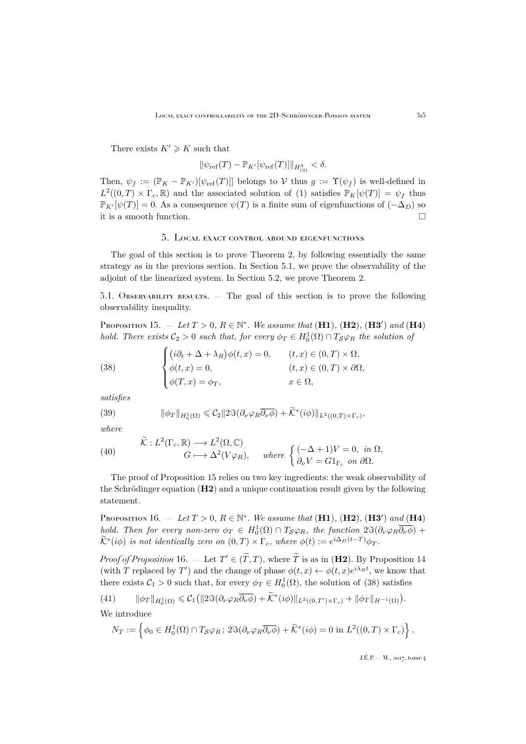There exists  $K' \geq K$  such that

$$
\|\psi_{\text{ref}}(T) - \mathbb{P}_{K'}[\psi_{\text{ref}}(T)]\|_{H^3_{(0)}} < \delta.
$$

Then,  $\psi_f := (\mathbb{P}_K - \mathbb{P}_{K'})[\psi_{\text{ref}}(T)]$  belongs to V thus  $g := \Upsilon(\psi_f)$  is well-defined in  $L^2((0,T) \times \Gamma_c, \mathbb{R})$  and the associated solution of [\(1\)](#page-2-1) satisfies  $\mathbb{P}_K[\psi(T)] = \psi_f$  thus  $\mathbb{P}_{K}[\psi(T)] = 0$ . As a consequence  $\psi(T)$  is a finite sum of eigenfunctions of  $(-\Delta_D)$  so it is a smooth function.  $\hfill \square$ 

#### 5. Local exact control around eigenfunctions

<span id="page-29-0"></span>The goal of this section is to prove Theorem [2,](#page-5-0) by following essentially the same strategy as in the previous section. In Section [5.1,](#page-29-1) we prove the observability of the adjoint of the linearized system. In Section [5.2,](#page-32-0) we prove Theorem [2.](#page-5-0)

<span id="page-29-1"></span>5.1. Observability results. — The goal of this section is to prove the following observability inequality.

<span id="page-29-2"></span>**PROPOSITION** 15.  $-$  Let  $T > 0$ ,  $R \in \mathbb{N}^*$ . We assume that  $(H1)$ ,  $(H2)$ ,  $(H3')$  and  $(H4)$ *hold. There exists*  $C_2 > 0$  *such that, for every*  $\phi_T \in H_0^1(\Omega) \cap T_{\mathcal{S}} \varphi_R$  *the solution of* 

<span id="page-29-4"></span>(38) 
$$
\begin{cases} (i\partial_t + \Delta + \lambda_R)\phi(t, x) = 0, & (t, x) \in (0, T) \times \Omega, \\ \phi(t, x) = 0, & (t, x) \in (0, T) \times \partial\Omega, \\ \phi(T, x) = \phi_T, & x \in \Omega, \end{cases}
$$

*satisfies*

<span id="page-29-7"></span>(39) 
$$
\|\phi_T\|_{H_0^1(\Omega)} \leqslant C_2 \|2\Im(\partial_\nu \varphi_R \overline{\partial_\nu \phi}) + \widetilde{\mathcal{K}}^*(i\phi)\|_{L^2((0,T)\times\Gamma_c)},
$$

*where*

<span id="page-29-6"></span>(40) 
$$
\begin{aligned}\n\widetilde{\mathcal{K}}: L^2(\Gamma_c, \mathbb{R}) &\longrightarrow L^2(\Omega, \mathbb{C}) \\
G &\longmapsto \Delta^2(V\varphi_R), \quad \text{where } \begin{cases}\n(-\Delta + 1)V = 0, \text{ in } \Omega, \\
\partial_\nu V = G1_{\Gamma_c} \text{ on } \partial\Omega.\n\end{cases}\n\end{aligned}
$$

The proof of Proposition [15](#page-29-2) relies on two key ingredients: the weak observability of the Schrödinger equation (H2) and a unique continuation result given by the following statement.

<span id="page-29-3"></span>**Proposition** 16.  $-$  Let  $T > 0$ ,  $R \in \mathbb{N}^*$ . We assume that  $(H1)$ ,  $(H2)$ ,  $(H3')$  and  $(H4)$ *hold. Then for every non-zero*  $\phi_T \in H_0^1(\Omega) \cap T_{\mathcal{S}} \varphi_R$ , the function  $2\Im(\partial_\nu \varphi_R \overline{\partial_\nu \phi})$  +  $\widetilde{\mathcal{K}}^*(i\phi)$  *is not identically zero on*  $(0,T) \times \Gamma_c$ *, where*  $\phi(t) := e^{i\Delta_D(t-T)}\phi_T$ *.* 

*Proof of Proposition* [16.](#page-29-3) — Let  $T' \in (\tilde{T}, T)$ , where  $\tilde{T}$  is as in (H2). By Proposition [14](#page-25-0) (with T replaced by T') and the change of phase  $\phi(t,x) \leftarrow \phi(t,x)e^{i\lambda_R t}$ , we know that there exists  $C_1 > 0$  such that, for every  $\phi_T \in H_0^1(\Omega)$ , the solution of [\(38\)](#page-29-4) satisfies

<span id="page-29-5"></span>(41) 
$$
\|\phi_T\|_{H_0^1(\Omega)} \leq C_1 \left( \|2\Im(\partial_\nu \varphi_R \overline{\partial_\nu \phi}) + \widetilde{\mathcal{K}}^*(i\phi) \|_{L^2((0,T') \times \Gamma_c)} + \|\phi_T\|_{H^{-1}(\Omega)} \right).
$$

We introduce

$$
N_T := \left\{ \phi_0 \in H_0^1(\Omega) \cap T_{\mathcal{S}} \varphi_R \, ; \, 2\Im(\partial_\nu \varphi_R \overline{\partial_\nu \phi}) + \widetilde{\mathcal{K}}^*(i\phi) = 0 \text{ in } L^2((0,T) \times \Gamma_c) \right\},
$$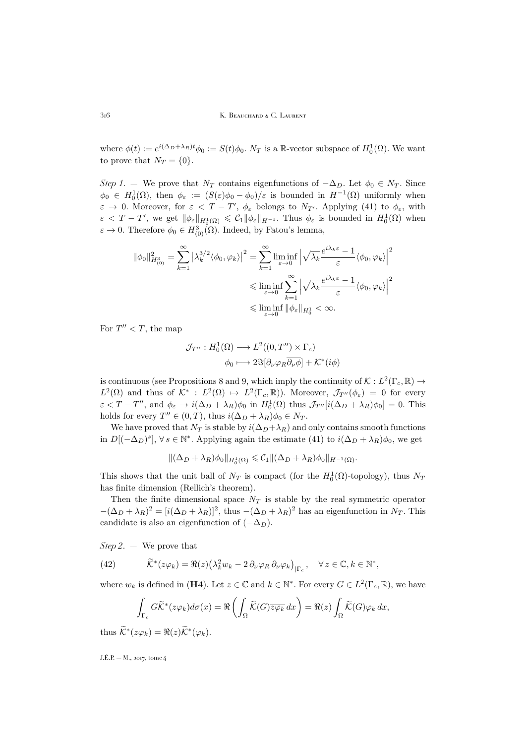316 K. BEAUCHARD & C. LAURENT

where  $\phi(t) := e^{i(\Delta_D + \lambda_R)t} \phi_0 := S(t) \phi_0$ .  $N_T$  is a R-vector subspace of  $H_0^1(\Omega)$ . We want to prove that  $N_T = \{0\}.$ 

*Step 1*. — We prove that  $N_T$  contains eigenfunctions of  $-\Delta_D$ . Let  $\phi_0 \in N_T$ . Since  $\phi_0 \in H_0^1(\Omega)$ , then  $\phi_\varepsilon := (S(\varepsilon)\phi_0 - \phi_0)/\varepsilon$  is bounded in  $H^{-1}(\Omega)$  uniformly when  $\varepsilon \to 0$ . Moreover, for  $\varepsilon < T - T'$ ,  $\phi_{\varepsilon}$  belongs to  $N_{T'}$ . Applying [\(41\)](#page-29-5) to  $\phi_{\varepsilon}$ , with  $\varepsilon < T - T'$ , we get  $\|\phi_{\varepsilon}\|_{H_0^1(\Omega)} \leqslant C_1 \|\phi_{\varepsilon}\|_{H^{-1}}$ . Thus  $\phi_{\varepsilon}$  is bounded in  $H_0^1(\Omega)$  when  $\varepsilon \to 0$ . Therefore  $\phi_0 \in H^3_{(0)}(\Omega)$ . Indeed, by Fatou's lemma,

$$
\|\phi_0\|_{H^3_{(0)}}^2 = \sum_{k=1}^{\infty} \left| \lambda_k^{3/2} \langle \phi_0, \varphi_k \rangle \right|^2 = \sum_{k=1}^{\infty} \liminf_{\varepsilon \to 0} \left| \sqrt{\lambda_k} \frac{e^{i\lambda_k \varepsilon} - 1}{\varepsilon} \langle \phi_0, \varphi_k \rangle \right|^2
$$
  
\$\leqslant \liminf\_{\varepsilon \to 0} \sum\_{k=1}^{\infty} \left| \sqrt{\lambda\_k} \frac{e^{i\lambda\_k \varepsilon} - 1}{\varepsilon} \langle \phi\_0, \varphi\_k \rangle \right|^2\$  
\$\leqslant \liminf\_{\varepsilon \to 0} \|\phi\_\varepsilon\|\_{H^1\_0} < \infty\$.

For  $T'' < T$ , the map

$$
\mathcal{J}_{T''}: H_0^1(\Omega) \longrightarrow L^2((0, T'') \times \Gamma_c)
$$

$$
\phi_0 \longmapsto 2\Im[\partial_\nu \varphi_R \overline{\partial_\nu \phi}] + \mathcal{K}^*(i\phi)
$$

is continuous (see Propositions [8](#page-17-3) and [9,](#page-20-1) which imply the continuity of  $\mathcal{K}: L^2(\Gamma_c, \mathbb{R}) \to$  $L^2(\Omega)$  and thus of  $\mathcal{K}^*: L^2(\Omega) \mapsto L^2(\Gamma_c, \mathbb{R})$ . Moreover,  $\mathcal{J}_{T''}(\phi_{\varepsilon}) = 0$  for every  $\varepsilon < T - T''$ , and  $\phi_{\varepsilon} \to i(\Delta_D + \lambda_R)\phi_0$  in  $H_0^1(\Omega)$  thus  $\mathcal{J}_{T''}[i(\Delta_D + \lambda_R)\phi_0] = 0$ . This holds for every  $T'' \in (0, T)$ , thus  $i(\Delta_D + \lambda_R)\phi_0 \in N_T$ .

We have proved that  $N_T$  is stable by  $i(\Delta_D+\lambda_R)$  and only contains smooth functions in  $D[(-\Delta_D)^s]$ ,  $\forall s \in \mathbb{N}^*$ . Applying again the estimate [\(41\)](#page-29-5) to  $i(\Delta_D + \lambda_R)\phi_0$ , we get

$$
\|(\Delta_D+\lambda_R)\phi_0\|_{H_0^1(\Omega)}\leqslant \mathcal{C}_1\|(\Delta_D+\lambda_R)\phi_0\|_{H^{-1}(\Omega)}.
$$

This shows that the unit ball of  $N_T$  is compact (for the  $H_0^1(\Omega)$ -topology), thus  $N_T$ has finite dimension (Rellich's theorem).

Then the finite dimensional space  $N_T$  is stable by the real symmetric operator  $-(\Delta_D + \lambda_R)^2 = [i(\Delta_D + \lambda_R)]^2$ , thus  $-(\Delta_D + \lambda_R)^2$  has an eigenfunction in  $N_T$ . This candidate is also an eigenfunction of  $(-\Delta_D)$ .

*Step 2*. — We prove that

(42) 
$$
\widetilde{\mathcal{K}}^*(z\varphi_k) = \Re(z) \big(\lambda_k^2 w_k - 2 \partial_\nu \varphi_R \partial_\nu \varphi_k\big)_{|\Gamma_c}, \quad \forall z \in \mathbb{C}, k \in \mathbb{N}^*,
$$

where  $w_k$  is defined in (**H4**). Let  $z \in \mathbb{C}$  and  $k \in \mathbb{N}^*$ . For every  $G \in L^2(\Gamma_c, \mathbb{R})$ , we have

$$
\int_{\Gamma_c} G\widetilde{\mathcal{K}}^*(z\varphi_k) d\sigma(x) = \Re \left( \int_{\Omega} \widetilde{\mathcal{K}}(G) \overline{z\varphi_k} dx \right) = \Re(z) \int_{\Omega} \widetilde{\mathcal{K}}(G) \varphi_k dx,
$$
  
thus  $\widetilde{\mathcal{K}}^*(z\varphi_k) = \Re(z) \widetilde{\mathcal{K}}^*(\varphi_k).$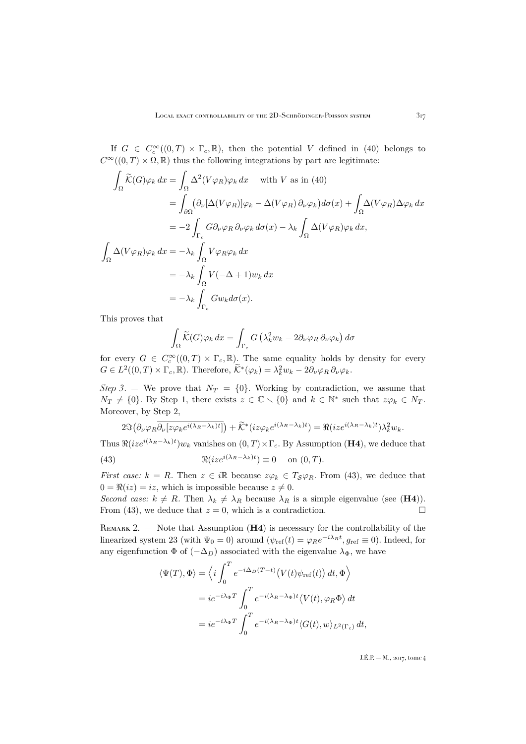If  $G \in C_c^{\infty}((0,T) \times \Gamma_c, \mathbb{R})$ , then the potential V defined in [\(40\)](#page-29-6) belongs to  $C^{\infty}((0,T) \times \Omega, \mathbb{R})$  thus the following integrations by part are legitimate:

$$
\int_{\Omega} \widetilde{K}(G)\varphi_k dx = \int_{\Omega} \Delta^2 (V\varphi_R)\varphi_k dx \quad \text{with } V \text{ as in (40)}
$$
  
\n
$$
= \int_{\partial\Omega} (\partial_{\nu}[\Delta(V\varphi_R)]\varphi_k - \Delta(V\varphi_R)\partial_{\nu}\varphi_k)d\sigma(x) + \int_{\Omega} \Delta(V\varphi_R)\Delta\varphi_k dx
$$
  
\n
$$
= -2\int_{\Gamma_c} G\partial_{\nu}\varphi_R \partial_{\nu}\varphi_k d\sigma(x) - \lambda_k \int_{\Omega} \Delta(V\varphi_R)\varphi_k dx,
$$
  
\n
$$
\int_{\Omega} \Delta(V\varphi_R)\varphi_k dx = -\lambda_k \int_{\Omega} V\varphi_R\varphi_k dx
$$
  
\n
$$
= -\lambda_k \int_{\Omega} V(-\Delta + 1)w_k dx
$$
  
\n
$$
= -\lambda_k \int_{\Gamma_c} Gw_k d\sigma(x).
$$

This proves that

$$
\int_{\Omega} \widetilde{\mathcal{K}}(G)\varphi_k \, dx = \int_{\Gamma_c} G\left(\lambda_k^2 w_k - 2\partial_\nu \varphi_R \partial_\nu \varphi_k\right) d\sigma
$$

for every  $G \in C_c^{\infty}((0,T) \times \Gamma_c, \mathbb{R})$ . The same equality holds by density for every  $G \in L^2((0,T) \times \Gamma_c, \mathbb{R})$ . Therefore,  $\widetilde{\mathcal{K}}^*(\varphi_k) = \lambda_k^2 w_k - 2 \partial_\nu \varphi_R \partial_\nu \varphi_k$ .

*Step 3*. — We prove that  $N_T = \{0\}$ . Working by contradiction, we assume that  $N_T \neq \{0\}$ . By Step 1, there exists  $z \in \mathbb{C} \setminus \{0\}$  and  $k \in \mathbb{N}^*$  such that  $z\varphi_k \in N_T$ . Moreover, by Step 2,

<span id="page-31-1"></span>
$$
2\Im\big(\partial_{\nu}\varphi_R\overline{\partial_{\nu}[z\varphi_k e^{i(\lambda_R-\lambda_k)t}]}+\widetilde{\mathcal{K}}^*(iz\varphi_k e^{i(\lambda_R-\lambda_k)t})=\Re(ize^{i(\lambda_R-\lambda_k)t})\lambda_k^2w_k.
$$

Thus  $\Re(ize^{i(\lambda_R-\lambda_k)t})w_k$  vanishes on  $(0,T)\times\Gamma_c$ . By Assumption (H4), we deduce that

(43) 
$$
\Re(ize^{i(\lambda_R - \lambda_k)t}) \equiv 0 \quad \text{on } (0, T).
$$

*First case:*  $k = R$ . Then  $z \in i\mathbb{R}$  because  $z\varphi_k \in T_S \varphi_R$ . From [\(43\)](#page-31-1), we deduce that  $0 = \Re(iz) = iz$ , which is impossible because  $z \neq 0$ .

*Second case:*  $k \neq R$ . Then  $\lambda_k \neq \lambda_R$  because  $\lambda_R$  is a simple eigenvalue (see (**H4**)). From [\(43\)](#page-31-1), we deduce that  $z = 0$ , which is a contradiction.

<span id="page-31-0"></span>REMARK 2.  $-$  Note that Assumption ( $\textbf{H4}$ ) is necessary for the controllability of the linearized system [23](#page-23-2) (with  $\Psi_0 = 0$ ) around  $(\psi_{ref}(t) = \varphi_R e^{-i\lambda_R t}, g_{ref} \equiv 0)$ . Indeed, for any eigenfunction  $\Phi$  of  $(-\Delta_D)$  associated with the eigenvalue  $\lambda_{\Phi}$ , we have

$$
\langle \Psi(T), \Phi \rangle = \left\langle i \int_0^T e^{-i\Delta_D (T-t)} \left( V(t) \psi_{\text{ref}}(t) \right) dt, \Phi \right\rangle
$$
  
=  $ie^{-i\lambda_{\Phi}T} \int_0^T e^{-i(\lambda_R - \lambda_{\Phi})t} \langle V(t), \varphi_R \Phi \rangle dt$   
=  $ie^{-i\lambda_{\Phi}T} \int_0^T e^{-i(\lambda_R - \lambda_{\Phi})t} \langle G(t), w \rangle_{L^2(\Gamma_c)} dt,$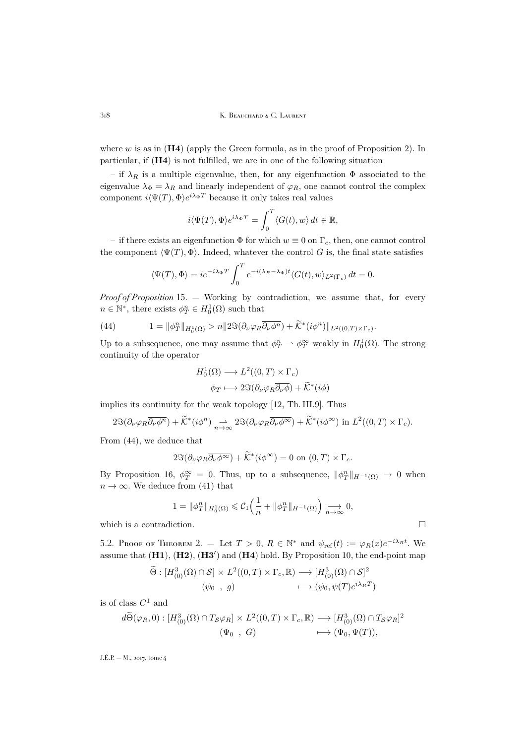318 K. BEAUCHARD & C. LAURENT

where  $w$  is as in  $(H4)$  (apply the Green formula, as in the proof of Proposition 2). In particular, if (H4) is not fulfilled, we are in one of the following situation

– if  $\lambda_R$  is a multiple eigenvalue, then, for any eigenfunction  $\Phi$  associated to the eigenvalue  $\lambda_{\Phi} = \lambda_R$  and linearly independent of  $\varphi_R$ , one cannot control the complex component  $i \langle \Psi(T), \Phi \rangle e^{i \lambda_{\Phi} T}$  because it only takes real values

$$
i\langle \Psi(T),\Phi\rangle e^{i\lambda_\Phi T} = \int_0^T \langle G(t),w\rangle dt \in \mathbb{R},
$$

– if there exists an eigenfunction  $\Phi$  for which  $w \equiv 0$  on  $\Gamma_c$ , then, one cannot control the component  $\langle \Psi(T), \Phi \rangle$ . Indeed, whatever the control G is, the final state satisfies

$$
\langle \Psi(T), \Phi \rangle = ie^{-i\lambda_{\Phi}T} \int_0^T e^{-i(\lambda_R - \lambda_{\Phi})t} \langle G(t), w \rangle_{L^2(\Gamma_c)} dt = 0.
$$

*Proof of Proposition* [15.](#page-29-2) — Working by contradiction, we assume that, for every  $n \in \mathbb{N}^*$ , there exists  $\phi_T^n \in H_0^1(\Omega)$  such that

<span id="page-32-1"></span>(44) 
$$
1 = \|\phi_T^n\|_{H_0^1(\Omega)} > n \|2\Im(\partial_\nu \varphi_R \overline{\partial_\nu \phi^n}) + \widetilde{\mathcal{K}}^*(i\phi^n) \|_{L^2((0,T)\times\Gamma_c)}.
$$

Up to a subsequence, one may assume that  $\phi_T^n \rightharpoonup \phi_T^\infty$  weakly in  $H_0^1(\Omega)$ . The strong continuity of the operator

$$
H_0^1(\Omega) \longrightarrow L^2((0,T) \times \Gamma_c)
$$
  

$$
\phi_T \longmapsto 2\Im(\partial_\nu \varphi_R \overline{\partial_\nu \phi}) + \widetilde{\mathcal{K}}^*(i\phi)
$$

implies its continuity for the weak topology [\[12,](#page-49-20) Th. III.9]. Thus

$$
2\Im(\partial_{\nu}\varphi_R\overline{\partial_{\nu}\phi^n})+\widetilde{\mathcal{K}}^*(i\phi^n)\underset{n\to\infty}{\to}2\Im(\partial_{\nu}\varphi_R\overline{\partial_{\nu}\phi^\infty})+\widetilde{\mathcal{K}}^*(i\phi^\infty)\text{ in }L^2((0,T)\times\Gamma_c).
$$

From [\(44\)](#page-32-1), we deduce that

$$
2\Im(\partial_{\nu}\varphi_R\overline{\partial_{\nu}\phi^{\infty}})+\widetilde{\mathcal{K}}^*(i\phi^{\infty})=0 \text{ on } (0,T)\times\Gamma_c.
$$

By Proposition [16,](#page-29-3)  $\phi_T^{\infty} = 0$ . Thus, up to a subsequence,  $\|\phi_T^n\|_{H^{-1}(\Omega)} \to 0$  when  $n \to \infty$ . We deduce from [\(41\)](#page-29-5) that

$$
1 = \|\phi_T^n\|_{H_0^1(\Omega)} \leqslant C_1 \left(\frac{1}{n} + \|\phi_T^n\|_{H^{-1}(\Omega)}\right) \underset{n \to \infty}{\longrightarrow} 0,
$$

which is a contradiction.  $\hfill \square$ 

<span id="page-32-0"></span>5.[2.](#page-5-0) Proof of Theorem 2. – Let  $T > 0$ ,  $R \in \mathbb{N}^*$  and  $\psi_{ref}(t) := \varphi_R(x)e^{-i\lambda_R t}$ . We assume that  $(H1)$ ,  $(H2)$ ,  $(H3')$  and  $(H4)$  hold. By Proposition [10,](#page-22-2) the end-point map

$$
\widetilde{\Theta}: [H^3_{(0)}(\Omega) \cap \mathcal{S}] \times L^2((0,T) \times \Gamma_c, \mathbb{R}) \longrightarrow [H^3_{(0)}(\Omega) \cap \mathcal{S}]^2
$$
  

$$
(\psi_0, g) \longmapsto (\psi_0, \psi(T)e^{i\lambda_R T})
$$

is of class  $C^1$  and

$$
d\widetilde{\Theta}(\varphi_R, 0) : [H^3_{(0)}(\Omega) \cap T_{\mathcal{S}} \varphi_R] \times L^2((0, T) \times \Gamma_c, \mathbb{R}) \longrightarrow [H^3_{(0)}(\Omega) \cap T_{\mathcal{S}} \varphi_R]^2
$$
  

$$
(\Psi_0 , G) \longmapsto (\Psi_0, \Psi(T)),
$$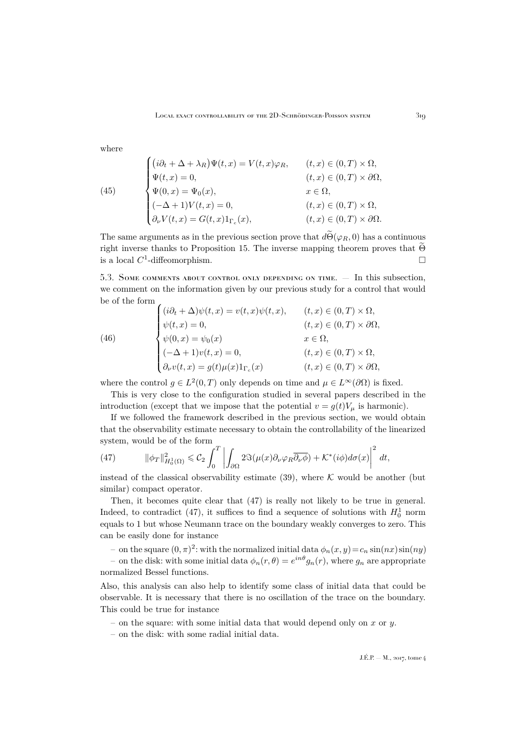where

(45)  
\n
$$
\begin{cases}\n(i\partial_t + \Delta + \lambda_R)\Psi(t, x) = V(t, x)\varphi_R, & (t, x) \in (0, T) \times \Omega, \\
\Psi(t, x) = 0, & (t, x) \in (0, T) \times \partial\Omega, \\
\Psi(0, x) = \Psi_0(x), & x \in \Omega, \\
(-\Delta + 1)V(t, x) = 0, & (t, x) \in (0, T) \times \Omega, \\
\partial_\nu V(t, x) = G(t, x)1_{\Gamma_c}(x), & (t, x) \in (0, T) \times \partial\Omega.\n\end{cases}
$$

The same arguments as in the previous section prove that  $d\widetilde{\Theta}(\varphi_R, 0)$  has a continuous right inverse thanks to Proposition [15.](#page-29-2) The inverse mapping theorem proves that  $\Theta$  is a local  $C^1$ -diffeomorphism. is a local  $C^1$ -diffeomorphism.

<span id="page-33-0"></span>5.3. Some comments about control only depending on time. — In this subsection, we comment on the information given by our previous study for a control that would be of the form

(46)  
\n
$$
\begin{cases}\n(i\partial_t + \Delta)\psi(t, x) = v(t, x)\psi(t, x), & (t, x) \in (0, T) \times \Omega, \\
\psi(t, x) = 0, & (t, x) \in (0, T) \times \partial\Omega, \\
\psi(0, x) = \psi_0(x) & x \in \Omega, \\
(-\Delta + 1)v(t, x) = 0, & (t, x) \in (0, T) \times \Omega, \\
\partial_\nu v(t, x) = g(t)\mu(x)1_{\Gamma_c}(x) & (t, x) \in (0, T) \times \partial\Omega,\n\end{cases}
$$

where the control  $g \in L^2(0,T)$  only depends on time and  $\mu \in L^{\infty}(\partial \Omega)$  is fixed.

This is very close to the configuration studied in several papers described in the introduction (except that we impose that the potential  $v = q(t)V_u$  is harmonic).

If we followed the framework described in the previous section, we would obtain that the observability estimate necessary to obtain the controllability of the linearized system, would be of the form

<span id="page-33-1"></span>(47) 
$$
\|\phi_T\|_{H_0^1(\Omega)}^2 \leq C_2 \int_0^T \left| \int_{\partial\Omega} 2\Im(\mu(x)\partial_\nu\varphi_R \overline{\partial_\nu\phi}) + \mathcal{K}^*(i\phi)d\sigma(x) \right|^2 dt,
$$

instead of the classical observability estimate [\(39\)](#page-29-7), where  $K$  would be another (but similar) compact operator.

Then, it becomes quite clear that [\(47\)](#page-33-1) is really not likely to be true in general. Indeed, to contradict [\(47\)](#page-33-1), it suffices to find a sequence of solutions with  $H_0^1$  norm equals to 1 but whose Neumann trace on the boundary weakly converges to zero. This can be easily done for instance

- on the square  $(0, \pi)^2$ : with the normalized initial data  $\phi_n(x, y) = c_n \sin(nx) \sin(ny)$ 

– on the disk: with some initial data  $\phi_n(r,\theta) = e^{in\theta} g_n(r)$ , where  $g_n$  are appropriate normalized Bessel functions.

Also, this analysis can also help to identify some class of initial data that could be observable. It is necessary that there is no oscillation of the trace on the boundary. This could be true for instance

- on the square: with some initial data that would depend only on x or y.
- on the disk: with some radial initial data.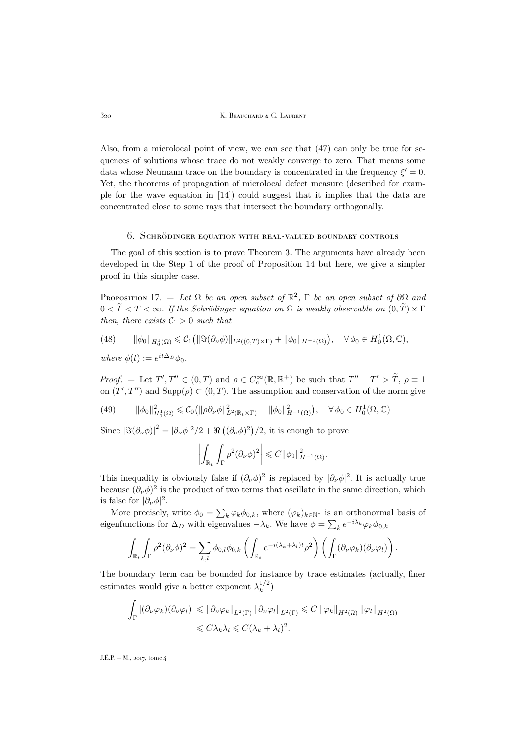320 K. Beauchard & C. Laurent

Also, from a microlocal point of view, we can see that [\(47\)](#page-33-1) can only be true for sequences of solutions whose trace do not weakly converge to zero. That means some data whose Neumann trace on the boundary is concentrated in the frequency  $\xi' = 0$ . Yet, the theorems of propagation of microlocal defect measure (described for example for the wave equation in [\[14\]](#page-49-24)) could suggest that it implies that the data are concentrated close to some rays that intersect the boundary orthogonally.

#### 6. Schrödinger equation with real-valued boundary controls

<span id="page-34-0"></span>The goal of this section is to prove Theorem [3.](#page-6-1) The arguments have already been developed in the Step 1 of the proof of Proposition [14](#page-25-0) but here, we give a simpler proof in this simpler case.

<span id="page-34-1"></span>PROPOSITION 17.  $-$  *Let*  $\Omega$  *be an open subset of*  $\mathbb{R}^2$ ,  $\Gamma$  *be an open subset of*  $\partial\Omega$  *and*  $0 < \widetilde{T} < T < \infty$ . If the Schrödinger equation on  $\Omega$  is weakly observable on  $(0, \widetilde{T}) \times \Gamma$ *then, there exists*  $C_1 > 0$  *such that* 

$$
(48)\qquad \|\phi_0\|_{H_0^1(\Omega)} \leqslant C_1\big(\|\Im(\partial_\nu\phi)\|_{L^2((0,T)\times\Gamma)}+\|\phi_0\|_{H^{-1}(\Omega)}\big),\quad \forall \phi_0\in H_0^1(\Omega,\mathbb{C}),
$$

*where*  $\phi(t) := e^{it\Delta_D}\phi_0$ .

*Proof.* – Let  $T', T'' \in (0, T)$  and  $\rho \in C_c^{\infty}(\mathbb{R}, \mathbb{R}^+)$  be such that  $T'' - T' > \tilde{T}, \rho \equiv 1$ on  $(T', T'')$  and  $\text{Supp}(\rho) \subset (0, T)$ . The assumption and conservation of the norm give

(49) 
$$
\|\phi_0\|_{H_0^1(\Omega)}^2 \leq C_0 \left( \|\rho \partial_\nu \phi\|_{L^2(\mathbb{R}_t \times \Gamma)}^2 + \|\phi_0\|_{H^{-1}(\Omega)}^2 \right), \quad \forall \phi_0 \in H_0^1(\Omega, \mathbb{C})
$$

Since  $|\Im(\partial_\nu \phi)|^2 = |\partial_\nu \phi|^2/2 + \Re((\partial_\nu \phi)^2)/2$ , it is enough to prove

$$
\left| \int_{\mathbb{R}_t} \int_{\Gamma} \rho^2 (\partial_{\nu} \phi)^2 \right| \leqslant C ||\phi_0||_{H^{-1}(\Omega)}^2.
$$

This inequality is obviously false if  $(\partial_{\nu}\phi)^2$  is replaced by  $|\partial_{\nu}\phi|^2$ . It is actually true because  $(\partial_{\nu}\phi)^{2}$  is the product of two terms that oscillate in the same direction, which is false for  $|\partial_{\nu}\phi|^2$ .

More precisely, write  $\phi_0 = \sum_k \varphi_k \phi_{0,k}$ , where  $(\varphi_k)_{k \in \mathbb{N}^*}$  is an orthonormal basis of eigenfunctions for  $\Delta_D$  with eigenvalues  $-\lambda_k$ . We have  $\phi = \sum_k e^{-i\lambda_k} \varphi_k \phi_{0,k}$ 

$$
\int_{\mathbb{R}_t} \int_{\Gamma} \rho^2 (\partial_{\nu} \phi)^2 = \sum_{k,l} \phi_{0,l} \phi_{0,k} \left( \int_{\mathbb{R}_t} e^{-i(\lambda_k + \lambda_l)t} \rho^2 \right) \left( \int_{\Gamma} (\partial_{\nu} \varphi_k)(\partial_{\nu} \varphi_l) \right).
$$

The boundary term can be bounded for instance by trace estimates (actually, finer estimates would give a better exponent  $\lambda_k^{1/2}$  $\binom{1/2}{k}$ 

$$
\int_{\Gamma} |(\partial_{\nu} \varphi_k)(\partial_{\nu} \varphi_l)| \leq \|\partial_{\nu} \varphi_k\|_{L^2(\Gamma)} \|\partial_{\nu} \varphi_l\|_{L^2(\Gamma)} \leq C \|\varphi_k\|_{H^2(\Omega)} \|\varphi_l\|_{H^2(\Omega)}
$$
  

$$
\leq C\lambda_k \lambda_l \leq C(\lambda_k + \lambda_l)^2.
$$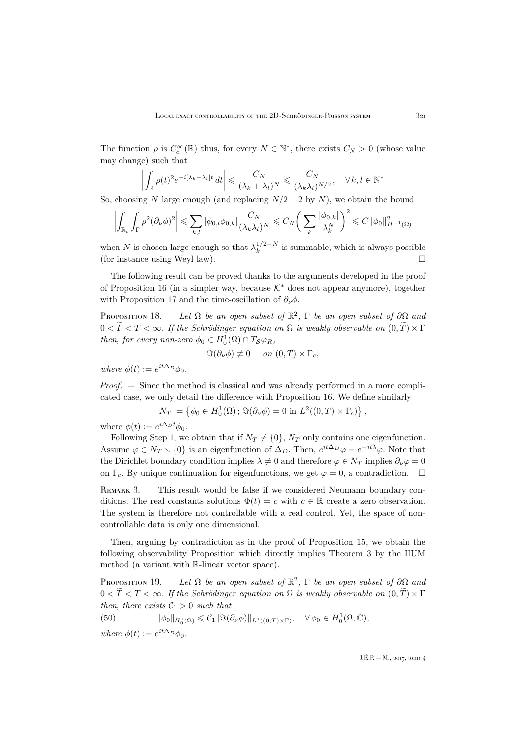The function  $\rho$  is  $C_c^{\infty}(\mathbb{R})$  thus, for every  $N \in \mathbb{N}^*$ , there exists  $C_N > 0$  (whose value may change) such that

$$
\left| \int_{\mathbb{R}} \rho(t)^2 e^{-i[\lambda_k + \lambda_l]t} dt \right| \leq \frac{C_N}{(\lambda_k + \lambda_l)^N} \leq \frac{C_N}{(\lambda_k \lambda_l)^{N/2}}, \quad \forall k, l \in \mathbb{N}^*
$$

So, choosing N large enough (and replacing  $N/2 - 2$  by N), we obtain the bound

$$
\left| \int_{\mathbb{R}_t} \int_{\Gamma} \rho^2 (\partial_{\nu} \phi)^2 \right| \leqslant \sum_{k,l} |\phi_{0,l} \phi_{0,k}| \frac{C_N}{(\lambda_k \lambda_l)^N} \leqslant C_N \left( \sum_k \frac{|\phi_{0,k}|}{\lambda_k^N} \right)^2 \leqslant C ||\phi_0||^2_{H^{-1}(\Omega)}
$$

when N is chosen large enough so that  $\lambda_k^{1/2-N}$  $\frac{1}{k}$ <sup> $\frac{1}{2}$ </sup> is summable, which is always possible (for instance using Weyl law).

The following result can be proved thanks to the arguments developed in the proof of Proposition [16](#page-29-3) (in a simpler way, because  $\mathcal{K}^*$  does not appear anymore), together with Proposition [17](#page-34-1) and the time-oscillation of  $\partial_{\nu}\phi$ .

PROPOSITION 18.  $-$  *Let*  $\Omega$  *be an open subset of*  $\mathbb{R}^2$ ,  $\Gamma$  *be an open subset of*  $\partial\Omega$  *and*  $0 < T < T < \infty$ . If the Schrödinger equation on  $\Omega$  is weakly observable on  $(0, T) \times \Gamma$ *then, for every non-zero*  $\phi_0 \in H_0^1(\Omega) \cap T_{\mathcal{S}} \varphi_R$ ,

$$
\Im(\partial_{\nu}\phi) \neq 0 \quad on \ (0,T) \times \Gamma_c,
$$

 $where \phi(t) := e^{it\Delta_D}\phi_0.$ 

*Proof*. — Since the method is classical and was already performed in a more complicated case, we only detail the difference with Proposition [16.](#page-29-3) We define similarly

$$
N_T := \left\{ \phi_0 \in H_0^1(\Omega) \, ; \, \Im(\partial_\nu \phi) = 0 \text{ in } L^2((0,T) \times \Gamma_c) \right\},\
$$

where  $\phi(t) := e^{i\Delta_D t} \phi_0$ .

Following Step 1, we obtain that if  $N_T \neq \{0\}$ ,  $N_T$  only contains one eigenfunction. Assume  $\varphi \in N_T \setminus \{0\}$  is an eigenfunction of  $\Delta_D$ . Then,  $e^{it\Delta_D}\varphi = e^{-it\lambda}\varphi$ . Note that the Dirichlet boundary condition implies  $\lambda \neq 0$  and therefore  $\varphi \in N_T$  implies  $\partial_\nu \varphi = 0$ on  $\Gamma_c$ . By unique continuation for eigenfunctions, we get  $\varphi = 0$ , a contradiction.  $\Box$ 

REMARK 3.  $-$  This result would be false if we considered Neumann boundary conditions. The real constants solutions  $\Phi(t) = c$  with  $c \in \mathbb{R}$  create a zero observation. The system is therefore not controllable with a real control. Yet, the space of noncontrollable data is only one dimensional.

Then, arguing by contradiction as in the proof of Proposition [15,](#page-29-2) we obtain the following observability Proposition which directly implies Theorem [3](#page-6-1) by the HUM method (a variant with R-linear vector space).

PROPOSITION 19.  $-$  *Let*  $\Omega$  *be an open subset of*  $\mathbb{R}^2$ ,  $\Gamma$  *be an open subset of*  $\partial\Omega$  *and*  $0 < \widetilde{T} < T < \infty$ . If the Schrödinger equation on  $\Omega$  is weakly observable on  $(0, T) \times \Gamma$ *then, there exists*  $C_1 > 0$  *such that* 

(50)  $\|\phi_0\|_{H_0^1(\Omega)} \leqslant C_1 \|\Im(\partial_\nu \phi)\|_{L^2((0,T)\times\Gamma)}, \quad \forall \phi_0 \in H_0^1(\Omega,\mathbb{C}),$ *where*  $\phi(t) := e^{it\Delta_D}\phi_0$ .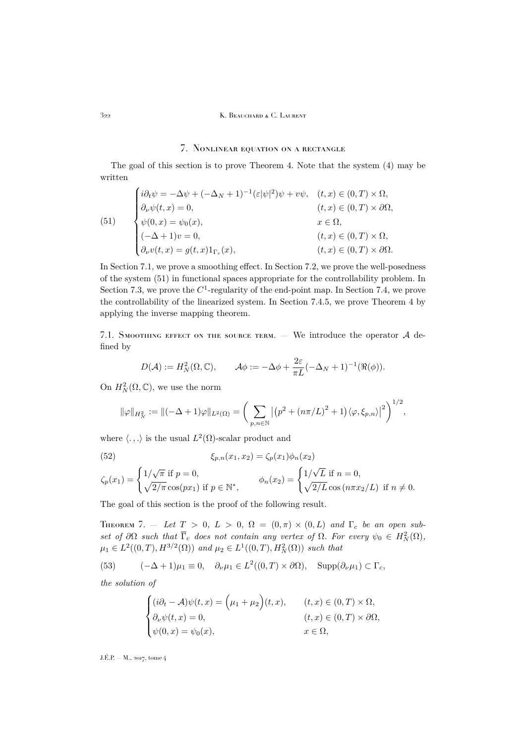### 322 K. Beauchard & C. Laurent

# 7. Nonlinear equation on a rectangle

<span id="page-36-0"></span>The goal of this section is to prove Theorem [4.](#page-7-2) Note that the system [\(4\)](#page-6-0) may be written

<span id="page-36-2"></span>(51)  

$$
\begin{cases}\ni\partial_t\psi = -\Delta\psi + (-\Delta_N + 1)^{-1}(\varepsilon|\psi|^2)\psi + v\psi, & (t, x) \in (0, T) \times \Omega, \\
\partial_\nu\psi(t, x) = 0, & (t, x) \in (0, T) \times \partial\Omega, \\
\psi(0, x) = \psi_0(x), & x \in \Omega, \\
(-\Delta + 1)v = 0, & (t, x) \in (0, T) \times \Omega, \\
\partial_\nu v(t, x) = g(t, x)1_{\Gamma_c}(x), & (t, x) \in (0, T) \times \partial\Omega.\n\end{cases}
$$

In Section [7.1,](#page-36-1) we prove a smoothing effect. In Section [7.2,](#page-39-0) we prove the well-posedness of the system [\(51\)](#page-36-2) in functional spaces appropriate for the controllability problem. In Section [7.3,](#page-41-0) we prove the  $C^1$ -regularity of the end-point map. In Section [7.4,](#page-42-0) we prove the controllability of the linearized system. In Section [7.4.5,](#page-48-4) we prove Theorem [4](#page-7-2) by applying the inverse mapping theorem.

<span id="page-36-1"></span>7.1. SMOOTHING EFFECT ON THE SOURCE TERM.  $-$  We introduce the operator  $A$  defined by

$$
D(\mathcal{A}) := H_N^2(\Omega, \mathbb{C}), \qquad \mathcal{A}\phi := -\Delta\phi + \frac{2\varepsilon}{\pi L}(-\Delta_N + 1)^{-1}(\Re(\phi)).
$$

On  $H_N^2(\Omega,\mathbb{C})$ , we use the norm

$$
\|\varphi\|_{H_N^2} := \|(-\Delta + 1)\varphi\|_{L^2(\Omega)} = \bigg(\sum_{p,n\in\mathbb{N}} \left| \left(p^2 + (n\pi/L)^2 + 1\right) \langle \varphi, \xi_{p,n} \rangle \right|^2 \bigg)^{1/2},
$$

where  $\langle . , . \rangle$  is the usual  $L^2(\Omega)$ -scalar product and

<span id="page-36-5"></span>(52) 
$$
\xi_{p,n}(x_1, x_2) = \zeta_p(x_1)\phi_n(x_2)
$$

$$
\zeta_p(x_1) = \begin{cases} 1/\sqrt{\pi} \text{ if } p = 0, \\ \sqrt{2/\pi} \cos(px_1) \text{ if } p \in \mathbb{N}^*, \end{cases} \qquad \phi_n(x_2) = \begin{cases} 1/\sqrt{L} \text{ if } n = 0, \\ \sqrt{2/L} \cos(n\pi x_2/L) \text{ if } n \neq 0. \end{cases}
$$

The goal of this section is the proof of the following result.

<span id="page-36-4"></span>THEOREM 7. – Let  $T > 0$ ,  $L > 0$ ,  $\Omega = (0, \pi) \times (0, L)$  and  $\Gamma_c$  be an open sub*set of*  $\partial\Omega$  *such that*  $\overline{\Gamma}_c$  *does not contain any vertex of*  $\Omega$ *. For every*  $\psi_0 \in H^2_N(\Omega)$ *,*  $\mu_1 \in L^2((0,T), H^{3/2}(\Omega))$  and  $\mu_2 \in L^1((0,T), H^2_N(\Omega))$  such that

(53) 
$$
(-\Delta + 1)\mu_1 \equiv 0, \quad \partial_\nu \mu_1 \in L^2((0,T) \times \partial \Omega), \quad \text{Supp}(\partial_\nu \mu_1) \subset \Gamma_c,
$$

*the solution of*

<span id="page-36-3"></span>
$$
\begin{cases} (i\partial_t - \mathcal{A})\psi(t,x) = \Big(\mu_1 + \mu_2\Big)(t,x), & (t,x) \in (0,T) \times \Omega, \\ \partial_\nu \psi(t,x) = 0, & (t,x) \in (0,T) \times \partial\Omega, \\ \psi(0,x) = \psi_0(x), & x \in \Omega, \end{cases}
$$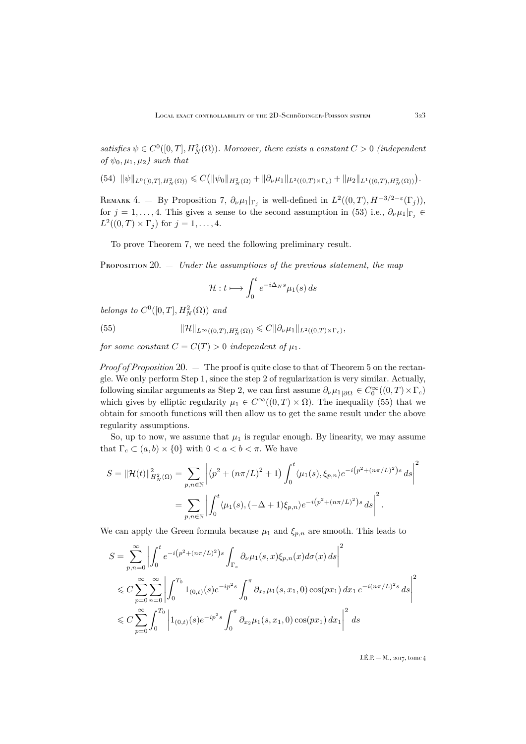satisfies  $\psi \in C^0([0,T], H^2_N(\Omega))$ *. Moreover, there exists a constant*  $C > 0$  *(independent of*  $\psi_0, \mu_1, \mu_2$ *)* such that

<span id="page-37-2"></span> $(54) \| \psi \|_{L^0([0,T],H^2_N(\Omega))} \leqslant C ( \| \psi_0 \|_{H^2_N(\Omega)} + \| \partial_\nu \mu_1 \|_{L^2((0,T)\times\Gamma_c)} + \| \mu_2 \|_{L^1((0,T),H^2_N(\Omega))}).$ 

REMARK 4. – By Proposition [7,](#page-16-1)  $\partial_{\nu}\mu_1|_{\Gamma_j}$  is well-defined in  $L^2((0,T),H^{-3/2-\varepsilon}(\Gamma_j)),$ for  $j = 1, \ldots, 4$ . This gives a sense to the second assumption in [\(53\)](#page-36-3) i.e.,  $\partial_{\nu} \mu_1|_{\Gamma_i} \in$  $L^2((0,T)\times\Gamma_j)$  for  $j=1,\ldots,4$ .

To prove Theorem [7,](#page-36-4) we need the following preliminary result.

<span id="page-37-0"></span>PROPOSITION 20. — *Under the assumptions of the previous statement, the map* 

<span id="page-37-1"></span>
$$
\mathcal{H}: t \longmapsto \int_0^t e^{-i\Delta_N s} \mu_1(s) \, ds
$$

*belongs to*  $C^0([0,T], H^2_N(\Omega))$  *and* 

(55) 
$$
\|\mathcal{H}\|_{L^{\infty}((0,T),H^2_N(\Omega))} \leqslant C \|\partial_{\nu}\mu_1\|_{L^2((0,T)\times\Gamma_c)},
$$

*for some constant*  $C = C(T) > 0$  *independent* of  $\mu_1$ *.* 

*Proof of Proposition* [20.](#page-37-0) — The proof is quite close to that of Theorem [5](#page-18-2) on the rectangle. We only perform Step 1, since the step 2 of regularization is very similar. Actually, following similar arguments as Step 2, we can first assume  $\partial_{\nu}\mu_{1|\partial\Omega} \in C_0^{\infty}((0,T) \times \Gamma_c)$ which gives by elliptic regularity  $\mu_1 \in C^{\infty}((0,T) \times \Omega)$ . The inequality [\(55\)](#page-37-1) that we obtain for smooth functions will then allow us to get the same result under the above regularity assumptions.

So, up to now, we assume that  $\mu_1$  is regular enough. By linearity, we may assume that  $\Gamma_c \subset (a, b) \times \{0\}$  with  $0 < a < b < \pi$ . We have

$$
S = ||\mathcal{H}(t)||_{H_N^2(\Omega)}^2 = \sum_{p,n \in \mathbb{N}} \left| (p^2 + (n\pi/L)^2 + 1) \int_0^t \langle \mu_1(s), \xi_{p,n} \rangle e^{-i(p^2 + (n\pi/L)^2)s} ds \right|^2
$$
  
= 
$$
\sum_{p,n \in \mathbb{N}} \left| \int_0^t \langle \mu_1(s), (-\Delta + 1)\xi_{p,n} \rangle e^{-i(p^2 + (n\pi/L)^2)s} ds \right|^2.
$$

We can apply the Green formula because  $\mu_1$  and  $\xi_{p,n}$  are smooth. This leads to

$$
S = \sum_{p,n=0}^{\infty} \left| \int_0^t e^{-i(p^2 + (n\pi/L)^2)s} \int_{\Gamma_c} \partial_{\nu} \mu_1(s,x) \xi_{p,n}(x) d\sigma(x) ds \right|^2
$$
  
\$\leq C \sum\_{p=0}^{\infty} \sum\_{n=0}^{\infty} \left| \int\_0^{T\_0} 1\_{(0,t)}(s) e^{-ip^2 s} \int\_0^{\pi} \partial\_{x\_2} \mu\_1(s,x\_1,0) \cos(px\_1) dx\_1 e^{-i(n\pi/L)^2 s} ds \right|^2\$  
\$\leq C \sum\_{p=0}^{\infty} \int\_0^{T\_0} \left| 1\_{(0,t)}(s) e^{-ip^2 s} \int\_0^{\pi} \partial\_{x\_2} \mu\_1(s,x\_1,0) \cos(px\_1) dx\_1 \right|^2 ds\$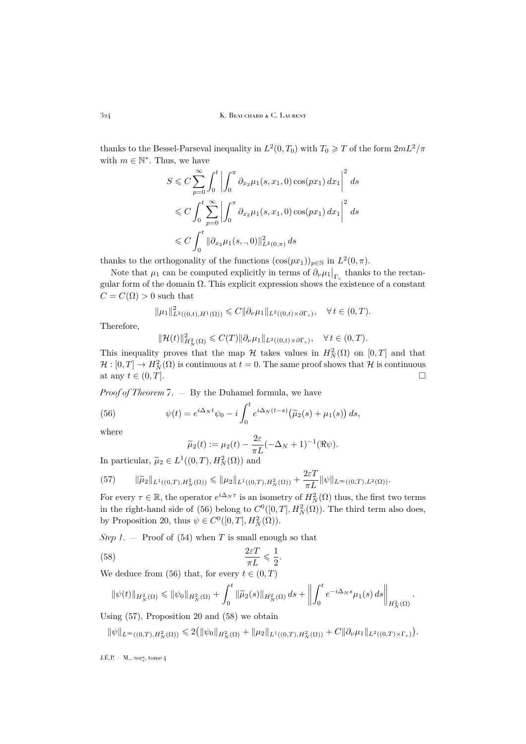thanks to the Bessel-Parseval inequality in  $L^2(0,T_0)$  with  $T_0 \geqslant T$  of the form  $2mL^2/\pi$ with  $m \in \mathbb{N}^*$ . Thus, we have

$$
S \leq C \sum_{p=0}^{\infty} \int_0^t \left| \int_0^{\pi} \partial_{x_2} \mu_1(s, x_1, 0) \cos(px_1) dx_1 \right|^2 ds
$$
  

$$
\leq C \int_0^t \sum_{p=0}^{\infty} \left| \int_0^{\pi} \partial_{x_2} \mu_1(s, x_1, 0) \cos(px_1) dx_1 \right|^2 ds
$$
  

$$
\leq C \int_0^t ||\partial_{x_2} \mu_1(s, .., 0)||_{L^2(0, \pi)}^2 ds
$$

thanks to the orthogonality of the functions  $(\cos(px_1))_{p \in \mathbb{N}}$  in  $L^2(0, \pi)$ .

Note that  $\mu_1$  can be computed explicitly in terms of  $\partial_{\nu}\mu_1|_{\Gamma_c}$  thanks to the rectangular form of the domain  $\Omega$ . This explicit expression shows the existence of a constant  $C = C(\Omega) > 0$  such that

$$
\|\mu_1\|_{L^2((0,t),H^1(\Omega))}^2 \leq C \|\partial_\nu \mu_1\|_{L^2((0,t)\times \partial \Gamma_c)}, \quad \forall \, t \in (0,T).
$$

Therefore,

$$
\|\mathcal{H}(t)\|_{H^2_{N}(\Omega)}^2 \leqslant C(T)\|\partial_\nu \mu_1\|_{L^2((0,t)\times \partial \Gamma_c)}, \quad \forall \, t\in (0,T).
$$

This inequality proves that the map  $\mathcal H$  takes values in  $H_N^2(\Omega)$  on  $[0,T]$  and that  $\mathcal{H}:[0,T]\to H^2_N(\Omega)$  is continuous at  $t=0$ . The same proof shows that  $\mathcal H$  is continuous at any  $t \in (0,T]$ .

*Proof of Theorem* [7.](#page-36-4) — By the Duhamel formula, we have

(56) 
$$
\psi(t) = e^{i\Delta_N t} \psi_0 - i \int_0^t e^{i\Delta_N (t-s)} \left(\tilde{\mu}_2(s) + \mu_1(s)\right) ds,
$$

where

<span id="page-38-2"></span><span id="page-38-0"></span>
$$
\widetilde{\mu}_2(t) := \mu_2(t) - \frac{2\varepsilon}{\pi L}(-\Delta_N + 1)^{-1}(\Re \psi).
$$

In particular,  $\tilde{\mu}_2 \in L^1((0,T), H^2_N(\Omega))$  and

<span id="page-38-1"></span>(57) 
$$
\|\widetilde{\mu}_2\|_{L^1((0,T),H^2_N(\Omega))} \le \|\mu_2\|_{L^1((0,T),H^2_N(\Omega))} + \frac{2\varepsilon T}{\pi L} \|\psi\|_{L^\infty((0,T),L^2(\Omega))}.
$$

For every  $\tau \in \mathbb{R}$ , the operator  $e^{i\Delta_N \tau}$  is an isometry of  $H_N^2(\Omega)$  thus, the first two terms in the right-hand side of [\(56\)](#page-38-0) belong to  $C^0([0,T], H_N^2(\Omega))$ . The third term also does, by Proposition [20,](#page-37-0) thus  $\psi \in C^0([0,T], H^2_N(\Omega)).$ 

*Step 1.* – Proof of [\(54\)](#page-37-2) when T is small enough so that

(58) 
$$
\frac{2\varepsilon T}{\pi L} \leqslant \frac{1}{2}.
$$

We deduce from [\(56\)](#page-38-0) that, for every  $t \in (0, T)$ 

$$
\|\psi(t)\|_{H_N^2(\Omega)} \le \|\psi_0\|_{H_N^2(\Omega)} + \int_0^t \|\widetilde{\mu}_2(s)\|_{H_N^2(\Omega)} ds + \left\|\int_0^t e^{-i\Delta_N s} \mu_1(s) \, ds\right\|_{H_N^2(\Omega)}.
$$

Using [\(57\)](#page-38-1), Proposition [20](#page-37-0) and [\(58\)](#page-38-2) we obtain

 $\|\psi\|_{L^{\infty}((0,T),H^2_N(\Omega))} \leqslant 2(\|\psi_0\|_{H^2_N(\Omega)} + \|\mu_2\|_{L^1((0,T),H^2_N(\Omega))} + C \|\partial_\nu \mu_1\|_{L^2((0,T)\times \Gamma_c)}).$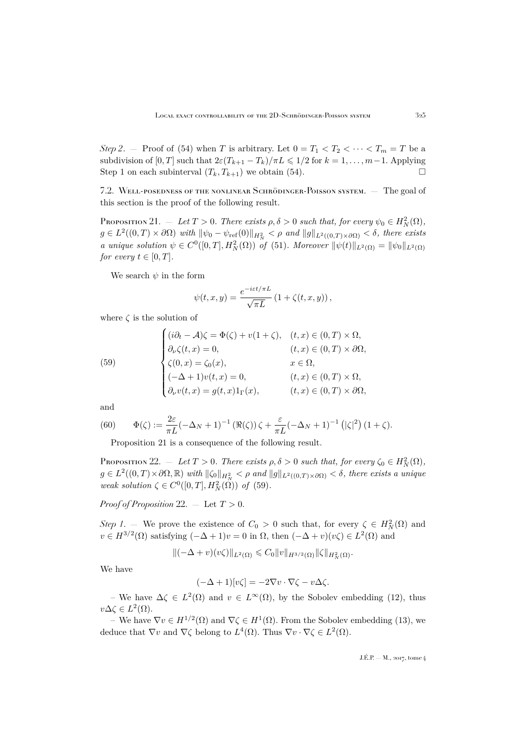*Step 2.* – Proof of [\(54\)](#page-37-2) when T is arbitrary. Let  $0 = T_1 < T_2 < \cdots < T_m = T$  be a subdivision of [0, T] such that  $2\varepsilon (T_{k+1} - T_k)/\pi L \leq 1/2$  for  $k = 1, ..., m-1$ . Applying Step 1 on each subinterval  $(T_k, T_{k+1})$  we obtain [\(54\)](#page-37-2).

<span id="page-39-0"></span>7.2. Well-posedness of the nonlinear Schrödinger-Poisson system. — The goal of this section is the proof of the following result.

<span id="page-39-1"></span>Proposition 21.  $-$  *Let*  $T > 0$ *. There exists*  $\rho, \delta > 0$  *such that, for every*  $\psi_0 \in H^2_N(\Omega)$ *,*  $g \in L^2((0,T) \times \partial \Omega)$  with  $\|\psi_0 - \psi_{\text{ref}}(0)\|_{H^2_N} < \rho$  and  $\|g\|_{L^2((0,T) \times \partial \Omega)} < \delta$ , there exists *a* unique solution  $\psi \in C^0([0,T], H^2_N(\Omega))$  *of* [\(51\)](#page-36-2)*.* Moreover  $\|\psi(t)\|_{L^2(\Omega)} = \|\psi_0\|_{L^2(\Omega)}$ *for every*  $t \in [0, T]$ *.* 

We search  $\psi$  in the form

$$
\psi(t,x,y) = \frac{e^{-i\varepsilon t/\pi L}}{\sqrt{\pi L}} \left(1 + \zeta(t,x,y)\right),\,
$$

where  $\zeta$  is the solution of

<span id="page-39-2"></span>(59)  

$$
\begin{cases}\n(i\partial_t - A)\zeta = \Phi(\zeta) + v(1 + \zeta), & (t, x) \in (0, T) \times \Omega, \\
\partial_\nu \zeta(t, x) = 0, & (t, x) \in (0, T) \times \partial\Omega, \\
\zeta(0, x) = \zeta_0(x), & x \in \Omega, \\
(-\Delta + 1)v(t, x) = 0, & (t, x) \in (0, T) \times \Omega, \\
\partial_\nu v(t, x) = g(t, x)1_\Gamma(x), & (t, x) \in (0, T) \times \partial\Omega,\n\end{cases}
$$

and

(60) 
$$
\Phi(\zeta) := \frac{2\varepsilon}{\pi L} (-\Delta_N + 1)^{-1} \left( \Re(\zeta) \right) \zeta + \frac{\varepsilon}{\pi L} (-\Delta_N + 1)^{-1} \left( |\zeta|^2 \right) (1 + \zeta).
$$

<span id="page-39-4"></span>Proposition [21](#page-39-1) is a consequence of the following result.

<span id="page-39-3"></span>Proposition 22.  $-$  *Let*  $T > 0$ *. There exists*  $\rho, \delta > 0$  *such that, for every*  $\zeta_0 \in H^2_N(\Omega)$ *,*  $g \in L^2((0,T) \times \partial \Omega, \mathbb{R})$  *with*  $\|\zeta_0\|_{H^2_N} < \rho$  and  $\|g\|_{L^2((0,T) \times \partial \Omega)} < \delta$ , there exists a unique *weak solution*  $\zeta \in C^0([0, T], H^2_N(\Omega))$  *of* [\(59\)](#page-39-2)*.* 

*Proof of Proposition* [22.](#page-39-3)  $-$  Let  $T > 0$ .

*Step 1*. – We prove the existence of  $C_0 > 0$  such that, for every  $\zeta \in H_N^2(\Omega)$  and  $v \in H^{3/2}(\Omega)$  satisfying  $(-\Delta + 1)v = 0$  in  $\Omega$ , then  $(-\Delta + v)(v\zeta) \in L^2(\Omega)$  and

$$
\|(-\Delta+v)(v\zeta)\|_{L^2(\Omega)}\leqslant C_0\|v\|_{H^{3/2}(\Omega)}\|\zeta\|_{H^2_N(\Omega)}.
$$

We have

$$
(-\Delta + 1)[v\zeta] = -2\nabla v \cdot \nabla \zeta - v\Delta \zeta.
$$

– We have  $\Delta \zeta$  ∈  $L^2(\Omega)$  and  $v \in L^{\infty}(\Omega)$ , by the Sobolev embedding [\(12\)](#page-15-2), thus  $v\Delta \zeta \in L^2(\Omega)$ .

– We have  $\nabla v \in H^{1/2}(\Omega)$  and  $\nabla \zeta \in H^1(\Omega)$ . From the Sobolev embedding [\(13\)](#page-15-3), we deduce that  $\nabla v$  and  $\nabla \zeta$  belong to  $L^4(\Omega)$ . Thus  $\nabla v \cdot \nabla \zeta \in L^2(\Omega)$ .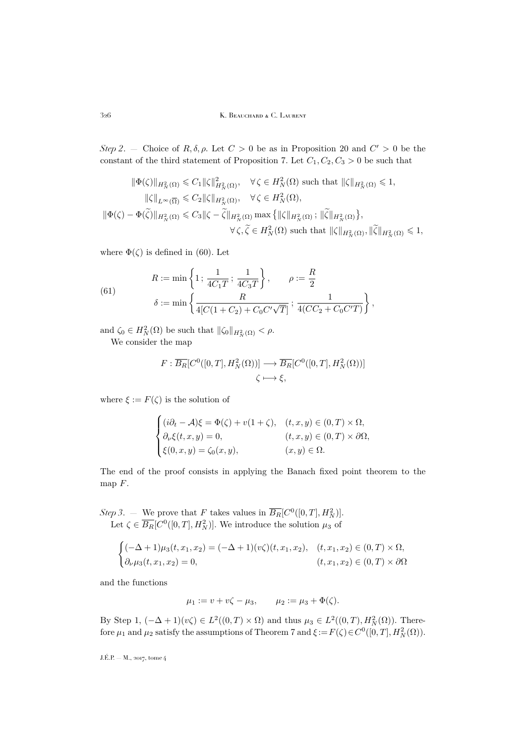*Step 2.* – Choice of  $R, \delta, \rho$ . Let  $C > 0$  be as in Proposition [20](#page-37-0) and  $C' > 0$  be the constant of the third statement of Proposition [7.](#page-16-1) Let  $C_1, C_2, C_3 > 0$  be such that

$$
\|\Phi(\zeta)\|_{H^2_N(\Omega)} \leq C_1 \|\zeta\|_{H^2_N(\Omega)}^2, \quad \forall \zeta \in H^2_N(\Omega) \text{ such that } \|\zeta\|_{H^2_N(\Omega)} \leq 1,
$$
  

$$
\|\zeta\|_{L^\infty(\overline{\Omega})} \leq C_2 \|\zeta\|_{H^2_N(\Omega)}, \quad \forall \zeta \in H^2_N(\Omega),
$$
  

$$
\|\Phi(\zeta) - \Phi(\widetilde{\zeta})\|_{H^2_N(\Omega)} \leq C_3 \|\zeta - \widetilde{\zeta}\|_{H^2_N(\Omega)} \max \{ \|\zeta\|_{H^2_N(\Omega)}; \|\widetilde{\zeta}\|_{H^2_N(\Omega)} \},
$$
  

$$
\forall \zeta, \widetilde{\zeta} \in H^2_N(\Omega) \text{ such that } \|\zeta\|_{H^2_N(\Omega)}, \|\widetilde{\zeta}\|_{H^2_N(\Omega)} \leq 1,
$$

where  $\Phi(\zeta)$  is defined in [\(60\)](#page-39-4). Let

<span id="page-40-0"></span>(61) 
$$
R := \min\left\{1; \frac{1}{4C_1T}; \frac{1}{4C_3T}\right\}, \qquad \rho := \frac{R}{2}
$$

$$
\delta := \min\left\{\frac{R}{4[C(1+C_2) + C_0C'\sqrt{T}]}; \frac{1}{4(CC_2 + C_0C'T)}\right\},\,
$$

and  $\zeta_0 \in H^2_N(\Omega)$  be such that  $\|\zeta_0\|_{H^2_N(\Omega)} < \rho$ .

We consider the map

$$
F: \overline{B_R}[C^0([0,T], H_N^2(\Omega))] \longrightarrow \overline{B_R}[C^0([0,T], H_N^2(\Omega))]
$$
  

$$
\zeta \longmapsto \xi,
$$

where  $\xi := F(\zeta)$  is the solution of

$$
\begin{cases}\n(i\partial_t - A)\xi = \Phi(\zeta) + v(1+\zeta), & (t, x, y) \in (0, T) \times \Omega, \\
\partial_\nu \xi(t, x, y) = 0, & (t, x, y) \in (0, T) \times \partial\Omega, \\
\xi(0, x, y) = \zeta_0(x, y), & (x, y) \in \Omega.\n\end{cases}
$$

The end of the proof consists in applying the Banach fixed point theorem to the map  $F$ .

*Step 3*. – We prove that F takes values in  $\overline{B_R}[C^0([0,T], H_N^2)]$ . Let  $\zeta \in \overline{B_R}[C^0([0,T], H_N^2)]$ . We introduce the solution  $\mu_3$  of

$$
\begin{cases} (-\Delta + 1)\mu_3(t, x_1, x_2) = (-\Delta + 1)(v\zeta)(t, x_1, x_2), & (t, x_1, x_2) \in (0, T) \times \Omega, \\ \partial_\nu \mu_3(t, x_1, x_2) = 0, & (t, x_1, x_2) \in (0, T) \times \partial\Omega \end{cases}
$$

and the functions

 $\mu_1 := v + v\zeta - \mu_3, \qquad \mu_2 := \mu_3 + \Phi(\zeta).$ 

By Step 1,  $(-\Delta + 1)(v\zeta) \in L^2((0,T) \times \Omega)$  and thus  $\mu_3 \in L^2((0,T), H^2_N(\Omega))$ . Therefore  $\mu_1$  and  $\mu_2$  satisfy the assumptions of Theorem [7](#page-36-4) and  $\xi := F(\zeta) \in C^0([0, T], H^2_N(\Omega)).$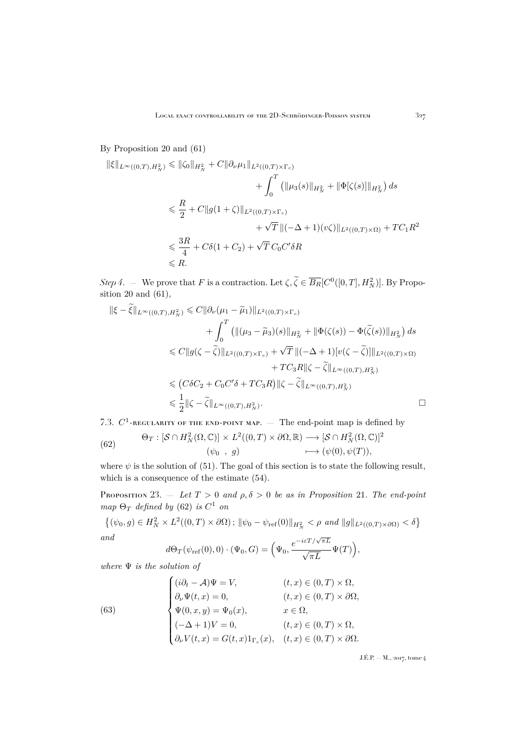### By Proposition [20](#page-37-0) and [\(61\)](#page-40-0)

$$
\begin{aligned} \|\xi\|_{L^{\infty}((0,T),H_N^2)} &\leq \|\zeta_0\|_{H_N^2} + C \|\partial_{\nu}\mu_1\|_{L^2((0,T)\times\Gamma_c)} \\ &+ \int_0^T \left(\|\mu_3(s)\|_{H_N^2} + \|\Phi[\zeta(s)]\|_{H_N^2}\right) ds \\ &\leqslant \frac{R}{2} + C \|g(1+\zeta)\|_{L^2((0,T)\times\Gamma_c)} \\ &+ \sqrt{T} \left\|(-\Delta+1)(v\zeta)\right\|_{L^2((0,T)\times\Omega)} + TC_1R^2 \\ &\leqslant \frac{3R}{4} + C\delta(1+C_2) + \sqrt{T}\,C_0C'\delta R \\ &\leqslant R. \end{aligned}
$$

*Step 4.* — We prove that F is a contraction. Let  $\zeta, \zeta \in \overline{B_R}[C^0([0,T], H_N^2)]$ . By Proposition [20](#page-37-0) and [\(61\)](#page-40-0),  $\sim$ 

$$
\begin{split}\n\|\xi - \tilde{\xi}\|_{L^{\infty}((0,T),H_N^2)} &\leq C \|\partial_{\nu}(\mu_1 - \tilde{\mu}_1)\|_{L^2((0,T)\times\Gamma_c)} \\
&\quad + \int_0^T \left( \|(\mu_3 - \tilde{\mu}_3)(s)\|_{H_N^2} + \|\Phi(\zeta(s)) - \Phi(\tilde{\zeta}(s))\|_{H_N^2} \right) ds \\
&\leq C \|g(\zeta - \tilde{\zeta})\|_{L^2((0,T)\times\Gamma_c)} + \sqrt{T} \|(-\Delta + 1)[v(\zeta - \tilde{\zeta})]\|_{L^2((0,T)\times\Omega)} \\
&\quad + TC_3R \|\zeta - \tilde{\zeta}\|_{L^{\infty}((0,T),H_N^2)} \\
&\leq (C\delta C_2 + C_0C'\delta + TC_3R) \|\zeta - \tilde{\zeta}\|_{L^{\infty}((0,T),H_N^2)} \\
&\leq \frac{1}{2} \|\zeta - \tilde{\zeta}\|_{L^{\infty}((0,T),H_N^2)}.\n\end{split}
$$

<span id="page-41-0"></span>7.3.  $C^1$ -regularity of the end-point map.  $-$  The end-point map is defined by

<span id="page-41-1"></span>(62) 
$$
\Theta_T : [\mathcal{S} \cap H_N^2(\Omega, \mathbb{C})] \times L^2((0, T) \times \partial \Omega, \mathbb{R}) \longrightarrow [\mathcal{S} \cap H_N^2(\Omega, \mathbb{C})]^2
$$

$$
(\psi_0, g) \longmapsto (\psi(0), \psi(T)),
$$

where  $\psi$  is the solution of [\(51\)](#page-36-2). The goal of this section is to state the following result, which is a consequence of the estimate [\(54\)](#page-37-2).

PROPOSITION 23.  $-$  *Let*  $T > 0$  *and*  $\rho, \delta > 0$  *be as in Proposition* [21](#page-39-1)*. The end-point*  $map \Theta_T$  *defined by* [\(62\)](#page-41-1) *is*  $C^1$  *on* 

$$
\{(\psi_0, g) \in H_N^2 \times L^2((0, T) \times \partial \Omega) ; \|\psi_0 - \psi_{\text{ref}}(0)\|_{H_N^2} < \rho \text{ and } \|g\|_{L^2((0, T) \times \partial \Omega)} < \delta\}
$$
  
and  

$$
e^{-i\varepsilon T/\sqrt{\pi L}}
$$

<span id="page-41-2"></span>
$$
d\Theta_T(\psi_{\text{ref}}(0),0) \cdot (\Psi_0, G) = \left(\Psi_0, \frac{e^{-i\varepsilon T/\sqrt{\pi L}}}{\sqrt{\pi L}} \Psi(T)\right),
$$

*where* Ψ *is the solution of*

(63)  

$$
\begin{cases}\n(i\partial_t - A)\Psi = V, & (t, x) \in (0, T) \times \Omega, \\
\partial_\nu \Psi(t, x) = 0, & (t, x) \in (0, T) \times \partial\Omega, \\
\Psi(0, x, y) = \Psi_0(x), & x \in \Omega, \\
(-\Delta + 1)V = 0, & (t, x) \in (0, T) \times \Omega, \\
\partial_\nu V(t, x) = G(t, x)1_{\Gamma_c}(x), & (t, x) \in (0, T) \times \partial\Omega.\n\end{cases}
$$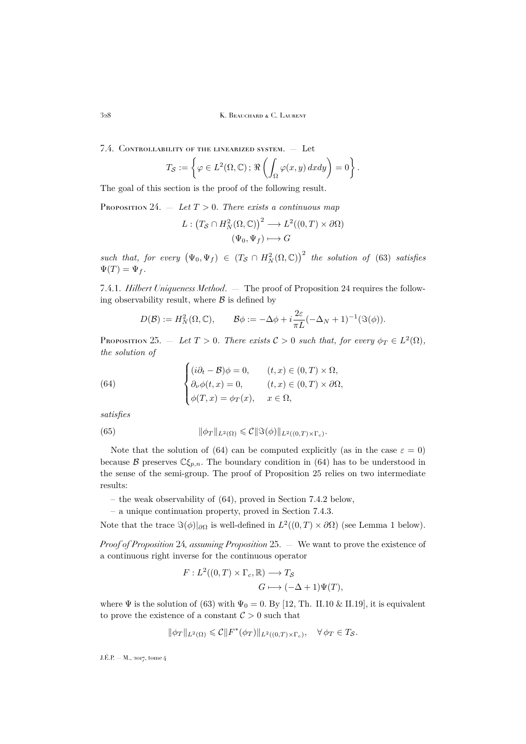328 K. BEAUCHARD & C. LAURENT

<span id="page-42-0"></span>7.4. Controllability of the linearized system. — Let

$$
T_{\mathcal{S}} := \left\{ \varphi \in L^{2}(\Omega, \mathbb{C}) \, ; \, \Re \left( \int_{\Omega} \varphi(x, y) \, dx \, dy \right) = 0 \right\}.
$$

The goal of this section is the proof of the following result.

<span id="page-42-1"></span>PROPOSITION 24.  $-$  *Let*  $T > 0$ *. There exists a continuous map* 

$$
L: (T_{\mathcal{S}} \cap H^2_N(\Omega, \mathbb{C}))^2 \longrightarrow L^2((0, T) \times \partial \Omega)
$$
  

$$
(\Psi_0, \Psi_f) \longmapsto G
$$

 $such that, for every  $(\Psi_0, \Psi_f) \in (T_S \cap H^2_N(\Omega, \mathbb{C}))^2$  the solution of [\(63\)](#page-41-2) satisfies$  $\Psi(T) = \Psi_f$ .

7.4.1. *Hilbert Uniqueness Method*. — The proof of Proposition [24](#page-42-1) requires the following observability result, where  $\beta$  is defined by

<span id="page-42-2"></span>
$$
D(\mathcal{B}) := H_N^2(\Omega, \mathbb{C}), \qquad \mathcal{B}\phi := -\Delta\phi + i\frac{2\varepsilon}{\pi L}(-\Delta_N + 1)^{-1}(\Im(\phi)).
$$

<span id="page-42-3"></span>PROPOSITION 25. — Let  $T > 0$ . There exists  $C > 0$  such that, for every  $\phi_T \in L^2(\Omega)$ , *the solution of*

(64) 
$$
\begin{cases} (i\partial_t - \mathcal{B})\phi = 0, & (t, x) \in (0, T) \times \Omega, \\ \partial_\nu \phi(t, x) = 0, & (t, x) \in (0, T) \times \partial \Omega, \\ \phi(T, x) = \phi_T(x), & x \in \Omega, \end{cases}
$$

*satisfies*

(65) 
$$
\|\phi_T\|_{L^2(\Omega)} \leqslant C \|\Im(\phi)\|_{L^2((0,T)\times\Gamma_c)}.
$$

Note that the solution of [\(64\)](#page-42-2) can be computed explicitly (as in the case  $\varepsilon = 0$ ) because B preserves  $\mathbb{C}\xi_{p,n}$ . The boundary condition in [\(64\)](#page-42-2) has to be understood in the sense of the semi-group. The proof of Proposition [25](#page-42-3) relies on two intermediate results:

- the weak observability of [\(64\)](#page-42-2), proved in Section [7.4.2](#page-44-0) below,
- a unique continuation property, proved in Section [7.4.3.](#page-46-0)

Note that the trace  $\Im(\phi)|_{\partial\Omega}$  is well-defined in  $L^2((0,T) \times \partial\Omega)$  (see Lemma [1](#page-43-0) below).

*Proof of Proposition* [24](#page-42-1)*, assuming Proposition* [25.](#page-42-3) — We want to prove the existence of a continuous right inverse for the continuous operator

$$
F: L^2((0,T) \times \Gamma_c, \mathbb{R}) \longrightarrow T_S
$$
  

$$
G \longmapsto (-\Delta + 1)\Psi(T),
$$

where  $\Psi$  is the solution of [\(63\)](#page-41-2) with  $\Psi_0 = 0$ . By [\[12,](#page-49-20) Th. II.10 & II.19], it is equivalent to prove the existence of a constant  $C > 0$  such that

$$
\|\phi_T\|_{L^2(\Omega)} \leqslant C \|F^*(\phi_T)\|_{L^2((0,T)\times\Gamma_c)}, \quad \forall \phi_T \in T_{\mathcal{S}}.
$$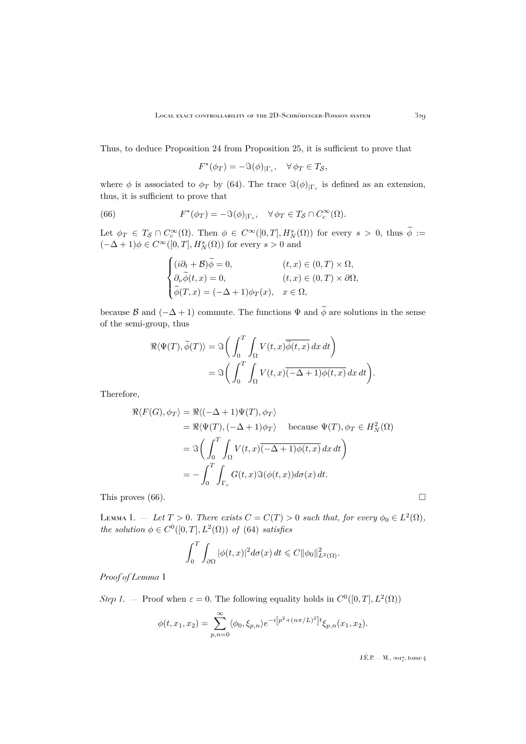Thus, to deduce Proposition [24](#page-42-1) from Proposition [25,](#page-42-3) it is sufficient to prove that

<span id="page-43-1"></span> $F^*(\phi_T) = -\Im(\phi)_{|\Gamma_c}, \quad \forall \phi_T \in T_S,$ 

where  $\phi$  is associated to  $\phi_T$  by [\(64\)](#page-42-2). The trace  $\Im(\phi)_{|\Gamma_c}$  is defined as an extension, thus, it is sufficient to prove that

(66) 
$$
F^*(\phi_T) = -\Im(\phi)_{|\Gamma_c}, \quad \forall \phi_T \in T_{\mathcal{S}} \cap C_c^{\infty}(\Omega).
$$

Let  $\phi_T \in T_S \cap C_c^{\infty}(\Omega)$ . Then  $\phi \in C^{\infty}([0,T], H_N^s(\Omega))$  for every  $s > 0$ , thus  $\phi :=$  $(-\Delta + 1)\phi \in C^{\infty}([0, T], H_N^s(\Omega))$  for every  $s > 0$  and

$$
\begin{cases}\n(i\partial_t + \mathcal{B})\widetilde{\phi} = 0, & (t, x) \in (0, T) \times \Omega, \\
\partial_\nu \widetilde{\phi}(t, x) = 0, & (t, x) \in (0, T) \times \partial\Omega, \\
\widetilde{\phi}(T, x) = (-\Delta + 1)\phi_T(x), & x \in \Omega,\n\end{cases}
$$

because B and  $(-\Delta + 1)$  commute. The functions  $\Psi$  and  $\widetilde{\phi}$  are solutions in the sense of the semi-group, thus

$$
\Re \langle \Psi(T), \widetilde{\phi}(T) \rangle = \Im \bigg( \int_0^T \int_{\Omega} V(t, x) \overline{\widetilde{\phi}(t, x)} dx dt \bigg)
$$
  
=  $\Im \bigg( \int_0^T \int_{\Omega} V(t, x) \overline{(-\Delta + 1) \phi(t, x)} dx dt \bigg).$ 

Therefore,

$$
\Re\langle F(G), \phi_T \rangle = \Re\langle (-\Delta + 1)\Psi(T), \phi_T \rangle
$$
  
=  $\Re\langle \Psi(T), (-\Delta + 1)\phi_T \rangle$  because  $\Psi(T), \phi_T \in H_N^2(\Omega)$   
=  $\Im\left(\int_0^T \int_{\Omega} V(t, x) \overline{(-\Delta + 1)\phi(t, x)} dx dt\right)$   
=  $-\int_0^T \int_{\Gamma_c} G(t, x) \Im(\phi(t, x)) d\sigma(x) dt.$ 

This proves  $(66)$ .

<span id="page-43-0"></span>LEMMA 1. – Let  $T > 0$ . There exists  $C = C(T) > 0$  such that, for every  $\phi_0 \in L^2(\Omega)$ , *the solution*  $\phi \in C^0([0,T], L^2(\Omega))$  *of* [\(64\)](#page-42-2) *satisfies* 

$$
\int_0^T \int_{\partial\Omega} |\phi(t,x)|^2 d\sigma(x) dt \leq C ||\phi_0||^2_{L^2(\Omega)}.
$$

*Proof of Lemma* [1](#page-43-0)

*Step 1*. – Proof when  $\varepsilon = 0$ . The following equality holds in  $C^0([0, T], L^2(\Omega))$ 

$$
\phi(t, x_1, x_2) = \sum_{p,n=0}^{\infty} \langle \phi_0, \xi_{p,n} \rangle e^{-i[p^2 + (n\pi/L)^2]} t \xi_{p,n}(x_1, x_2).
$$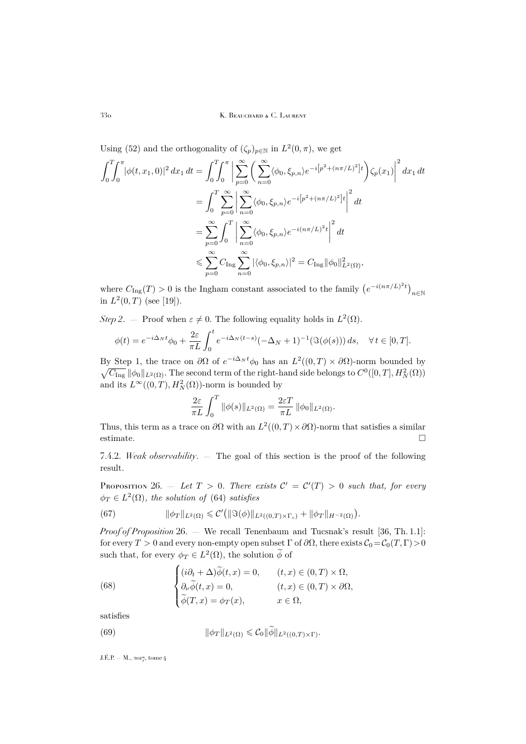Using [\(52\)](#page-36-5) and the orthogonality of  $(\zeta_p)_{p \in \mathbb{N}}$  in  $L^2(0, \pi)$ , we get

$$
\int_{0}^{T} \int_{0}^{\pi} |\phi(t, x_{1}, 0)|^{2} dx_{1} dt = \int_{0}^{T} \int_{0}^{\pi} \left| \sum_{p=0}^{\infty} \left( \sum_{n=0}^{\infty} \langle \phi_{0}, \xi_{p,n} \rangle e^{-i[p^{2} + (n\pi/L)^{2}]} t \right) \zeta_{p}(x_{1}) \right|^{2} dx_{1} dt
$$
  
\n
$$
= \int_{0}^{T} \sum_{p=0}^{\infty} \left| \sum_{n=0}^{\infty} \langle \phi_{0}, \xi_{p,n} \rangle e^{-i[p^{2} + (n\pi/L)^{2}]} t \right|^{2} dt
$$
  
\n
$$
= \sum_{p=0}^{\infty} \int_{0}^{T} \left| \sum_{n=0}^{\infty} \langle \phi_{0}, \xi_{p,n} \rangle e^{-i(n\pi/L)^{2}t} \right|^{2} dt
$$
  
\n
$$
\leq \sum_{p=0}^{\infty} C_{\text{Ing}} \sum_{n=0}^{\infty} |\langle \phi_{0}, \xi_{p,n} \rangle|^{2} = C_{\text{Ing}} ||\phi_{0}||_{L^{2}(\Omega)}^{2},
$$

where  $C_{\text{Ing}}(T) > 0$  is the Ingham constant associated to the family  $(e^{-i(n\pi/L)^2t})_{n \in \mathbb{N}}$ in  $L^2(0,T)$  (see [\[19\]](#page-49-25)).

*Step 2.* – Proof when  $\varepsilon \neq 0$ . The following equality holds in  $L^2(\Omega)$ .

$$
\phi(t) = e^{-i\Delta_N t} \phi_0 + \frac{2\varepsilon}{\pi L} \int_0^t e^{-i\Delta_N (t-s)} (-\Delta_N + 1)^{-1} (\Im(\phi(s))) ds, \quad \forall t \in [0, T].
$$

By Step 1, the trace on  $\partial\Omega$  of  $e^{-i\Delta_N t}\phi_0$  has an  $L^2((0,T)\times\partial\Omega)$ -norm bounded by  $\sqrt{C_{\text{Ing}}} \|\phi_0\|_{L^2(\Omega)}$ . The second term of the right-hand side belongs to  $C^0([0,T], H^2_N(\Omega))$ and its  $L^{\infty}((0,T), H_N^2(\Omega))$ -norm is bounded by

$$
\frac{2\varepsilon}{\pi L} \int_0^T \|\phi(s)\|_{L^2(\Omega)} = \frac{2\varepsilon T}{\pi L} \|\phi_0\|_{L^2(\Omega)}.
$$

Thus, this term as a trace on  $\partial\Omega$  with an  $L^2((0,T)\times\partial\Omega)$ -norm that satisfies a similar estimate.

<span id="page-44-0"></span>7.4.2. *Weak observability*. — The goal of this section is the proof of the following result.

<span id="page-44-1"></span>PROPOSITION 26.  $-$  *Let*  $T > 0$ *. There exists*  $C' = C'(T) > 0$  *such that, for every*  $\phi_T \in L^2(\Omega)$ , the solution of [\(64\)](#page-42-2) satisfies

<span id="page-44-4"></span>(67) 
$$
\|\phi_T\|_{L^2(\Omega)} \leqslant C' \big( \|\Im(\phi)\|_{L^2((0,T)\times\Gamma_c)} + \|\phi_T\|_{H^{-2}(\Omega)} \big).
$$

*Proof of Proposition* [26.](#page-44-1) — We recall Tenenbaum and Tucsnak's result [\[36,](#page-50-7) Th. 1.1]: for every  $T > 0$  and every non-empty open subset  $\Gamma$  of  $\partial\Omega$ , there exists  $C_0 = C_0(T, \Gamma) > 0$ such that, for every  $\phi_T \in L^2(\Omega)$ , the solution  $\phi$  of

<span id="page-44-2"></span>(68) 
$$
\begin{cases} (i\partial_t + \Delta)\widetilde{\phi}(t,x) = 0, & (t,x) \in (0,T) \times \Omega, \\ \partial_\nu \widetilde{\phi}(t,x) = 0, & (t,x) \in (0,T) \times \partial\Omega, \\ \widetilde{\phi}(T,x) = \phi_T(x), & x \in \Omega, \end{cases}
$$

satisfies

<span id="page-44-3"></span>(69) 
$$
\|\phi_T\|_{L^2(\Omega)} \leqslant C_0 \|\widetilde{\phi}\|_{L^2((0,T)\times\Gamma)}.
$$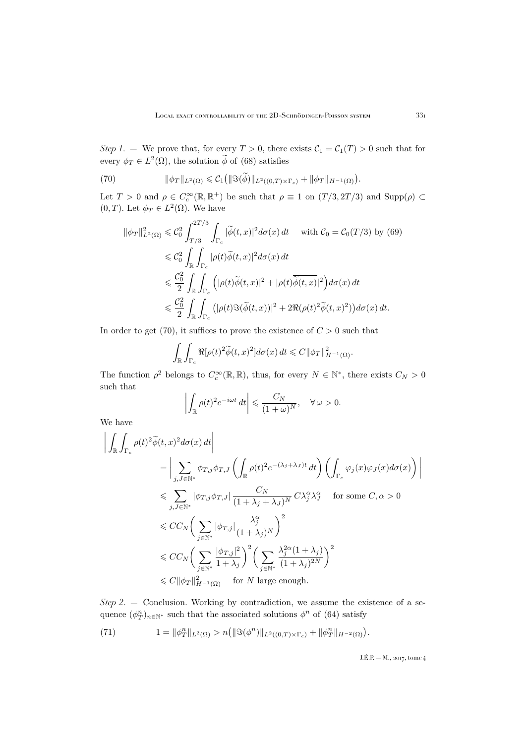*Step 1*. — We prove that, for every  $T > 0$ , there exists  $C_1 = C_1(T) > 0$  such that for every  $\phi_T \in L^2(\Omega)$ , the solution  $\phi$  of [\(68\)](#page-44-2) satisfies

<span id="page-45-0"></span>(70) 
$$
\|\phi_T\|_{L^2(\Omega)} \leqslant C_1\big(\|\Im(\widetilde{\phi})\|_{L^2((0,T)\times\Gamma_c)} + \|\phi_T\|_{H^{-1}(\Omega)}\big).
$$

Let  $T > 0$  and  $\rho \in C_c^{\infty}(\mathbb{R}, \mathbb{R}^+)$  be such that  $\rho \equiv 1$  on  $(T/3, 2T/3)$  and  $\text{Supp}(\rho) \subset$  $(0, T)$ . Let  $\phi_T \in L^2(\Omega)$ . We have

$$
\|\phi_T\|_{L^2(\Omega)}^2 \leq C_0^2 \int_{T/3}^{2T/3} \int_{\Gamma_c} |\widetilde{\phi}(t,x)|^2 d\sigma(x) dt \quad \text{with } C_0 = C_0(T/3) \text{ by (69)}
$$
  

$$
\leq C_0^2 \int_{\mathbb{R}} \int_{\Gamma_c} |\rho(t)\widetilde{\phi}(t,x)|^2 d\sigma(x) dt
$$
  

$$
\leq \frac{C_0^2}{2} \int_{\mathbb{R}} \int_{\Gamma_c} (|\rho(t)\widetilde{\phi}(t,x)|^2 + |\rho(t)\overline{\widetilde{\phi}(t,x)}|^2) d\sigma(x) dt
$$
  

$$
\leq \frac{C_0^2}{2} \int_{\mathbb{R}} \int_{\Gamma_c} (|\rho(t)\Im(\widetilde{\phi}(t,x))|^2 + 2\Re(\rho(t)^2 \widetilde{\phi}(t,x)^2)) d\sigma(x) dt.
$$

In order to get [\(70\)](#page-45-0), it suffices to prove the existence of  $C > 0$  such that

$$
\int_{\mathbb{R}} \int_{\Gamma_c} \Re[\rho(t)^2 \widetilde{\phi}(t,x)^2] d\sigma(x) dt \leqslant C ||\phi_T||_{H^{-1}(\Omega)}^2.
$$

The function  $\rho^2$  belongs to  $C_c^{\infty}(\mathbb{R}, \mathbb{R})$ , thus, for every  $N \in \mathbb{N}^*$ , there exists  $C_N > 0$ such that

$$
\left| \int_{\mathbb{R}} \rho(t)^2 e^{-i\omega t} dt \right| \leq \frac{C_N}{(1+\omega)^N}, \quad \forall \omega > 0.
$$

We have

$$
\left| \int_{\mathbb{R}} \int_{\Gamma_c} \rho(t)^2 \widetilde{\phi}(t, x)^2 d\sigma(x) dt \right|
$$
\n
$$
= \left| \sum_{j, J \in \mathbb{N}^*} \phi_{T, j} \phi_{T, J} \left( \int_{\mathbb{R}} \rho(t)^2 e^{-(\lambda_j + \lambda_J)t} dt \right) \left( \int_{\Gamma_c} \varphi_j(x) \varphi_j(x) d\sigma(x) \right) \right|
$$
\n
$$
\leqslant \sum_{j, J \in \mathbb{N}^*} |\phi_{T, j} \phi_{T, J}| \frac{C_N}{(1 + \lambda_j + \lambda_J)^N} C \lambda_j^{\alpha} \lambda_j^{\alpha} \quad \text{for some } C, \alpha > 0
$$
\n
$$
\leqslant C C_N \left( \sum_{j \in \mathbb{N}^*} |\phi_{T, j}| \frac{\lambda_j^{\alpha}}{(1 + \lambda_j)^N} \right)^2
$$
\n
$$
\leqslant C C_N \left( \sum_{j \in \mathbb{N}^*} \frac{|\phi_{T, j}|^2}{1 + \lambda_j} \right)^2 \left( \sum_{j \in \mathbb{N}^*} \frac{\lambda_j^{2\alpha} (1 + \lambda_j)}{(1 + \lambda_j)^{2N}} \right)^2
$$
\n
$$
\leqslant C ||\phi_T||_{H^{-1}(\Omega)}^2 \quad \text{for } N \text{ large enough.}
$$

*Step 2*. — Conclusion. Working by contradiction, we assume the existence of a sequence  $(\phi_T^n)_{n \in \mathbb{N}^*}$  such that the associated solutions  $\phi^n$  of  $(64)$  satisfy

<span id="page-45-1"></span>(71) 
$$
1 = \|\phi_T^n\|_{L^2(\Omega)} > n \left( \|\Im(\phi^n)\|_{L^2((0,T)\times\Gamma_c)} + \|\phi_T^n\|_{H^{-2}(\Omega)} \right).
$$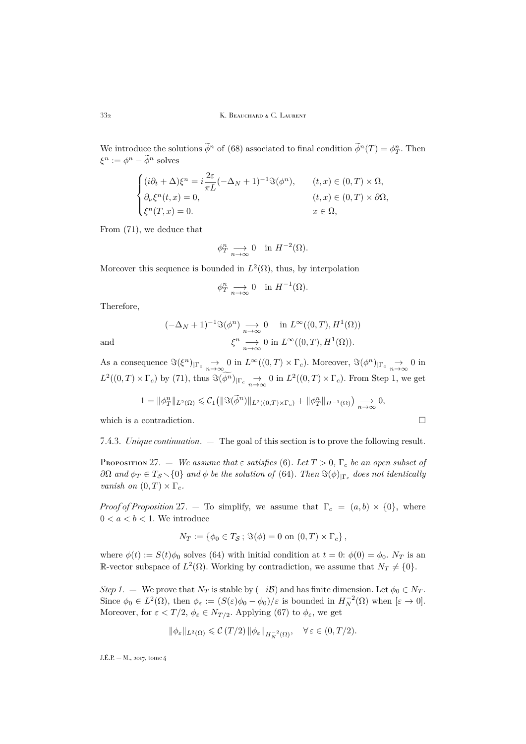We introduce the solutions  $\tilde{\phi}^n$  of [\(68\)](#page-44-2) associated to final condition  $\tilde{\phi}^n(T) = \phi_T^n$ . Then  $\xi^n := \phi^n - \widetilde{\phi}^n$  solves

$$
\begin{cases}\n(i\partial_t + \Delta)\xi^n = i\frac{2\varepsilon}{\pi L}(-\Delta_N + 1)^{-1}\Im(\phi^n), & (t, x) \in (0, T) \times \Omega, \\
\partial_\nu \xi^n(t, x) = 0, & (t, x) \in (0, T) \times \partial\Omega, \\
\xi^n(T, x) = 0. & x \in \Omega,\n\end{cases}
$$

From [\(71\)](#page-45-1), we deduce that

$$
\phi_T^n \underset{n \to \infty}{\longrightarrow} 0 \quad \text{in } H^{-2}(\Omega).
$$

Moreover this sequence is bounded in  $L^2(\Omega)$ , thus, by interpolation

$$
\phi_T^n \underset{n \to \infty}{\longrightarrow} 0 \quad \text{in } H^{-1}(\Omega).
$$

Therefore,

$$
(-\Delta_N + 1)^{-1} \Im(\phi^n) \underset{n \to \infty}{\longrightarrow} 0 \quad \text{in } L^{\infty}((0, T), H^1(\Omega))
$$
  
and  

$$
\xi^n \underset{n \to \infty}{\longrightarrow} 0 \text{ in } L^{\infty}((0, T), H^1(\Omega)).
$$

As a consequence  $\Im(\xi^n)_{|\Gamma_c} \to 0$  in  $L^{\infty}((0,T) \times \Gamma_c)$ . Moreover,  $\Im(\phi^n)_{|\Gamma_c} \to 0$  in  $L^2((0,T)\times\Gamma_c)$  by [\(71\)](#page-45-1), thus  $\Im(\overline{\phi^n})_{|\Gamma_c} \to 0$  in  $L^2((0,T)\times\Gamma_c)$ . From Step 1, we get

$$
1 = \|\phi_T^n\|_{L^2(\Omega)} \leqslant C_1\left(\|\Im(\widetilde{\phi}^n)\|_{L^2((0,T)\times\Gamma_c)} + \|\phi_T^n\|_{H^{-1}(\Omega)}\right) \underset{n\to\infty}{\longrightarrow} 0,
$$

which is a contradiction.  $\hfill \square$ 

<span id="page-46-0"></span>7.4.3. *Unique continuation*. — The goal of this section is to prove the following result.

<span id="page-46-1"></span>Proposition 27. — *We assume that*  $\varepsilon$  *satisfies* [\(6\)](#page-7-3). Let  $T > 0$ ,  $\Gamma_c$  be an open subset of  $\partial\Omega$  and  $\phi_T \in T_S \setminus \{0\}$  and  $\phi$  be the solution of [\(64\)](#page-42-2). Then  $\Im(\phi)_{|\Gamma_c}$  does not identically *vanish on*  $(0, T) \times \Gamma_c$ .

*Proof of Proposition* [27.](#page-46-1) — To simplify, we assume that  $\Gamma_c = (a, b) \times \{0\}$ , where  $0 < a < b < 1$ . We introduce

$$
N_T := \{ \phi_0 \in T_S \, ; \, \Im(\phi) = 0 \text{ on } (0, T) \times \Gamma_c \},
$$

where  $\phi(t) := S(t)\phi_0$  solves [\(64\)](#page-42-2) with initial condition at  $t = 0$ :  $\phi(0) = \phi_0$ .  $N_T$  is an R-vector subspace of  $L^2(\Omega)$ . Working by contradiction, we assume that  $N_T \neq \{0\}$ .

*Step 1*. — We prove that  $N_T$  is stable by  $(-i\mathcal{B})$  and has finite dimension. Let  $\phi_0 \in N_T$ . Since  $\phi_0 \in L^2(\Omega)$ , then  $\phi_{\varepsilon} := (S(\varepsilon)\phi_0 - \phi_0)/\varepsilon$  is bounded in  $H_N^{-2}(\Omega)$  when  $[\varepsilon \to 0]$ . Moreover, for  $\varepsilon < T/2$ ,  $\phi_{\varepsilon} \in N_{T/2}$ . Applying [\(67\)](#page-44-4) to  $\phi_{\varepsilon}$ , we get

$$
\|\phi_\varepsilon\|_{L^2(\Omega)}\leqslant \mathcal{C}\left( T/2\right)\|\phi_\varepsilon\|_{H^{-2}_N(\Omega)},\quad \forall\,\varepsilon\in (0,T/2).
$$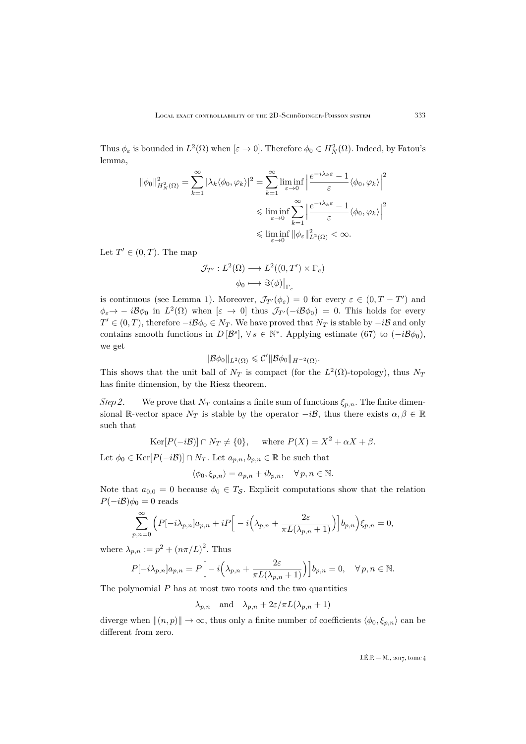Thus  $\phi_{\varepsilon}$  is bounded in  $L^2(\Omega)$  when  $[\varepsilon \to 0]$ . Therefore  $\phi_0 \in H^2_N(\Omega)$ . Indeed, by Fatou's lemma,

$$
\begin{split} \|\phi_0\|_{H_N^2(\Omega)}^2 &= \sum_{k=1}^\infty |\lambda_k \langle \phi_0, \varphi_k \rangle|^2 = \sum_{k=1}^\infty \liminf_{\varepsilon \to 0} \left| \frac{e^{-i\lambda_k \varepsilon} - 1}{\varepsilon} \langle \phi_0, \varphi_k \rangle \right|^2 \\ &\leqslant \liminf_{\varepsilon \to 0} \sum_{k=1}^\infty \left| \frac{e^{-i\lambda_k \varepsilon} - 1}{\varepsilon} \langle \phi_0, \varphi_k \rangle \right|^2 \\ &\leqslant \liminf_{\varepsilon \to 0} \|\phi_\varepsilon\|_{L^2(\Omega)}^2 < \infty. \end{split}
$$

Let  $T' \in (0, T)$ . The map

$$
\mathcal{J}_{T'}: L^2(\Omega) \longrightarrow L^2((0, T') \times \Gamma_c)
$$

$$
\phi_0 \longmapsto \Im(\phi)|_{\Gamma_c}
$$

is continuous (see Lemma [1\)](#page-43-0). Moreover,  $\mathcal{J}_{T}(\phi_{\varepsilon}) = 0$  for every  $\varepsilon \in (0, T - T')$  and  $\phi_{\varepsilon} \to -i\mathcal{B}\phi_0$  in  $L^2(\Omega)$  when  $[\varepsilon \to 0]$  thus  $\mathcal{J}_{T'}(-i\mathcal{B}\phi_0) = 0$ . This holds for every  $T' \in (0, T)$ , therefore  $-i\mathcal{B}\phi_0 \in N_T$ . We have proved that  $N_T$  is stable by  $-i\mathcal{B}$  and only contains smooth functions in  $D[\mathcal{B}^s], \forall s \in \mathbb{N}^*$ . Applying estimate [\(67\)](#page-44-4) to  $(-i\mathcal{B}\phi_0)$ , we get

$$
\|\mathcal{B}\phi_0\|_{L^2(\Omega)} \leqslant C' \|\mathcal{B}\phi_0\|_{H^{-2}(\Omega)}.
$$

This shows that the unit ball of  $N_T$  is compact (for the  $L^2(\Omega)$ -topology), thus  $N_T$ has finite dimension, by the Riesz theorem.

*Step 2.* — We prove that  $N_T$  contains a finite sum of functions  $\xi_{p,n}$ . The finite dimensional R-vector space  $N_T$  is stable by the operator  $-i\mathcal{B}$ , thus there exists  $\alpha, \beta \in \mathbb{R}$ such that

 $\text{Ker}[P(-i\mathcal{B})] \cap N_T \neq \{0\}, \quad \text{where } P(X) = X^2 + \alpha X + \beta.$ 

Let  $\phi_0 \in \text{Ker}[P(-i\mathcal{B})] \cap N_T$ . Let  $a_{p,n}, b_{p,n} \in \mathbb{R}$  be such that

$$
\langle \phi_0, \xi_{p,n} \rangle = a_{p,n} + ib_{p,n}, \quad \forall \, p, n \in \mathbb{N}.
$$

Note that  $a_{0,0} = 0$  because  $\phi_0 \in T_S$ . Explicit computations show that the relation  $P(-i\mathcal{B})\phi_0 = 0$  reads

$$
\sum_{p,n=0}^{\infty} \left( P[-i\lambda_{p,n}]a_{p,n} + iP\Big[-i\Big(\lambda_{p,n} + \frac{2\varepsilon}{\pi L(\lambda_{p,n}+1)}\Big)\Big]b_{p,n}\right)\xi_{p,n} = 0,
$$

where  $\lambda_{p,n} := p^2 + (n\pi/L)^2$ . Thus

$$
P[-i\lambda_{p,n}]a_{p,n} = P\Big[-i\Big(\lambda_{p,n} + \frac{2\varepsilon}{\pi L(\lambda_{p,n} + 1)}\Big)\Big]b_{p,n} = 0, \quad \forall p, n \in \mathbb{N}.
$$

The polynomial  $P$  has at most two roots and the two quantities

 $\lambda_{p,n}$  and  $\lambda_{p,n} + 2\varepsilon/\pi L(\lambda_{p,n} + 1)$ 

diverge when  $\|(n, p)\| \to \infty$ , thus only a finite number of coefficients  $\langle \phi_0, \xi_{p,n} \rangle$  can be different from zero.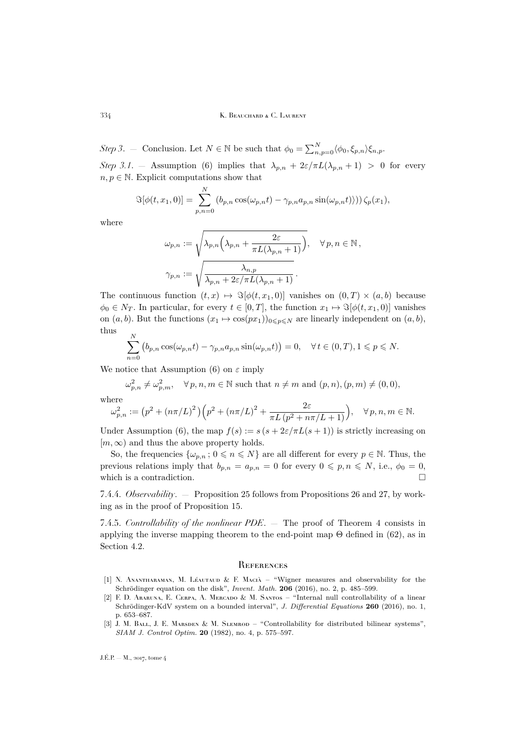#### 334 K. BEAUCHARD & C. LAURENT

*Step 3.* – Conclusion. Let  $N \in \mathbb{N}$  be such that  $\phi_0 = \sum_{n,p=0}^{N} \langle \phi_0, \xi_{p,n} \rangle \xi_{n,p}$ . *Step 3.1.* – Assumption [\(6\)](#page-7-3) implies that  $\lambda_{p,n} + 2\varepsilon/\pi L(\lambda_{p,n} + 1) > 0$  for every  $n, p \in \mathbb{N}$ . Explicit computations show that

$$
\Im[\phi(t, x_1, 0)] = \sum_{p,n=0}^{N} (b_{p,n} \cos(\omega_{p,n} t) - \gamma_{p,n} a_{p,n} \sin(\omega_{p,n} t))) \zeta_p(x_1),
$$

where

$$
\omega_{p,n} := \sqrt{\lambda_{p,n} \left( \lambda_{p,n} + \frac{2\varepsilon}{\pi L(\lambda_{p,n} + 1)} \right)}, \quad \forall p, n \in \mathbb{N},
$$
  

$$
\gamma_{p,n} := \sqrt{\frac{\lambda_{n,p}}{\lambda_{p,n} + 2\varepsilon/\pi L(\lambda_{p,n} + 1)}}.
$$

The continuous function  $(t, x) \mapsto \Im[\phi(t, x_1, 0)]$  vanishes on  $(0, T) \times (a, b)$  because  $\phi_0 \in N_T$ . In particular, for every  $t \in [0, T]$ , the function  $x_1 \mapsto \Im[\phi(t, x_1, 0)]$  vanishes on  $(a, b)$ . But the functions  $(x_1 \mapsto \cos(px_1))_{0 \leq p \leq N}$  are linearly independent on  $(a, b)$ , thus N

$$
\sum_{n=0}^{\infty} \left( b_{p,n} \cos(\omega_{p,n} t) - \gamma_{p,n} a_{p,n} \sin(\omega_{p,n} t) \right) = 0, \quad \forall \, t \in (0,T), 1 \leq p \leq N.
$$

We notice that Assumption [\(6\)](#page-7-3) on  $\varepsilon$  imply

$$
\omega_{p,n}^2 \neq \omega_{p,m}^2, \quad \forall p,n,m \in \mathbb{N} \text{ such that } n \neq m \text{ and } (p,n),(p,m) \neq (0,0),
$$
  
where

$$
\omega_{p,n}^2 := (p^2 + (n\pi/L)^2) \left( p^2 + (n\pi/L)^2 + \frac{2\varepsilon}{\pi L (p^2 + n\pi/L + 1)} \right), \quad \forall p, n, m \in \mathbb{N}.
$$

Under Assumption [\(6\)](#page-7-3), the map  $f(s) := s(s + 2\varepsilon/\pi L(s + 1))$  is strictly increasing on  $[m, \infty)$  and thus the above property holds.

So, the frequencies  $\{\omega_{p,n} : 0 \leq n \leq N\}$  are all different for every  $p \in \mathbb{N}$ . Thus, the previous relations imply that  $b_{p,n} = a_{p,n} = 0$  for every  $0 \leqslant p, n \leqslant N$ , i.e.,  $\phi_0 = 0$ , which is a contradiction.  $\hfill \square$ 

7.4.4. *Observability*. — Proposition [25](#page-42-3) follows from Propositions [26](#page-44-1) and [27,](#page-46-1) by working as in the proof of Proposition [15.](#page-29-2)

<span id="page-48-4"></span>7.4.5. *Controllability of the nonlinear PDE*. — The proof of Theorem [4](#page-7-2) consists in applying the inverse mapping theorem to the end-point map  $\Theta$  defined in [\(62\)](#page-41-1), as in Section [4.2.](#page-28-0)

### <span id="page-48-0"></span>**REFERENCES**

- <span id="page-48-3"></span>[1] N. Anantharaman, M. Léautaud & F. Macià – "Wigner measures and observability for the Schrödinger equation on the disk", *Invent. Math.* **206** (2016), no. 2, p. 485–599.
- <span id="page-48-1"></span>[2] F. D. ARARUNA, E. CERPA, A. MERCADO & M. SANTOS – "Internal null controllability of a linear Schrödinger-KdV system on a bounded interval", *J. Differential Equations* **260** (2016), no. 1, p. 653–687.
- <span id="page-48-2"></span>[3] J. M. BALL, J. E. MARSDEN & M. SLEMROD – "Controllability for distributed bilinear systems", *SIAM J. Control Optim.* **20** (1982), no. 4, p. 575–597.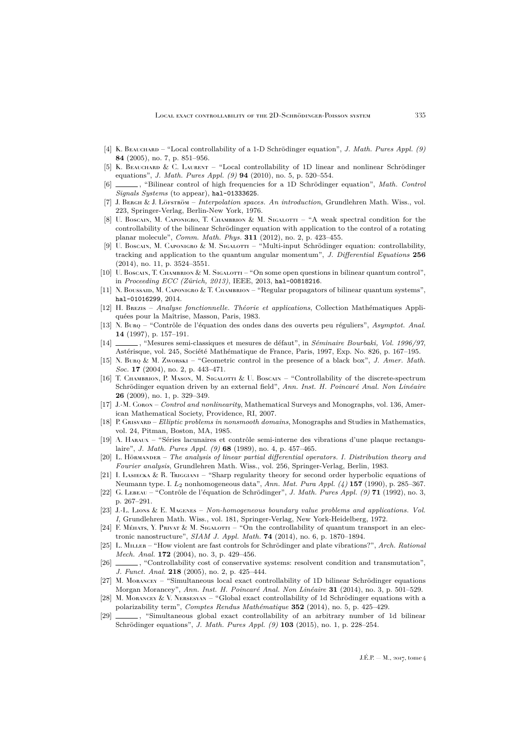- <span id="page-49-5"></span>[4] K. Beauchard – "Local controllability of a 1-D Schrödinger equation", *J. Math. Pures Appl. (9)* **84** (2005), no. 7, p. 851–956.
- <span id="page-49-6"></span>[5] K. BEAUCHARD & C. LAURENT – "Local controllability of 1D linear and nonlinear Schrödinger equations", *J. Math. Pures Appl. (9)* **94** (2010), no. 5, p. 520–554.
- <span id="page-49-1"></span>[6] , "Bilinear control of high frequencies for a 1D Schrödinger equation", *Math. Control Signals Systems* (to appear), [hal-01333625](https://hal.archives-ouvertes.fr/hal-01333625).
- <span id="page-49-21"></span>[7] J. Bergh & J. Löfström – *Interpolation spaces. An introduction*, Grundlehren Math. Wiss., vol. 223, Springer-Verlag, Berlin-New York, 1976.
- <span id="page-49-11"></span>[8] U. Boscain, M. Caponigro, T. Chambrion & M. Sigalotti – "A weak spectral condition for the controllability of the bilinear Schrödinger equation with application to the control of a rotating planar molecule", *Comm. Math. Phys.* **311** (2012), no. 2, p. 423–455.
- <span id="page-49-12"></span>[9] U. Boscain, M. Caponigro & M. Sigalorti – "Multi-input Schrödinger equation: controllability, tracking and application to the quantum angular momentum", *J. Differential Equations* **256** (2014), no. 11, p. 3524–3551.
- <span id="page-49-13"></span>[10] U. Boscain, T. Chambrion & M. Sigalotti – "On some open questions in bilinear quantum control", in *Proceeding ECC (Zürich, 2013)*, IEEE, 2013, [hal-00818216](https://hal.archives-ouvertes.fr/hal-00818216).
- <span id="page-49-4"></span>[11] N. Boussaid, M. Caponigro & T. Chambrion – "Regular propagators of bilinear quantum systems", [hal-01016299](https://hal.archives-ouvertes.fr/hal-01016299), 2014.
- <span id="page-49-20"></span>[12] H. Brezis – *Analyse fonctionnelle. Théorie et applications*, Collection Mathématiques Appliquées pour la Maîtrise, Masson, Paris, 1983.
- <span id="page-49-16"></span>[13] N. Burq – "Contrôle de l'équation des ondes dans des ouverts peu réguliers", *Asymptot. Anal.* **14** (1997), p. 157–191.
- <span id="page-49-24"></span>[14] , "Mesures semi-classiques et mesures de défaut", in *Séminaire Bourbaki, Vol. 1996/97*, Astérisque, vol. 245, Société Mathématique de France, Paris, 1997, Exp. No. 826, p. 167–195.
- <span id="page-49-15"></span>[15] N. Burq & M. Zworski – "Geometric control in the presence of a black box", *J. Amer. Math. Soc.* **17** (2004), no. 2, p. 443–471.
- <span id="page-49-10"></span>[16] T. Chambrion, P. Mason, M. Sigalotti & U. Boscain – "Controllability of the discrete-spectrum Schrödinger equation driven by an external field", *Ann. Inst. H. Poincaré Anal. Non Linéaire* **26** (2009), no. 1, p. 329–349.
- <span id="page-49-2"></span>[17] J.-M. Coron – *Control and nonlinearity*, Mathematical Surveys and Monographs, vol. 136, American Mathematical Society, Providence, RI, 2007.
- <span id="page-49-23"></span>[18] P. Grisvard – *Elliptic problems in nonsmooth domains*, Monographs and Studies in Mathematics, vol. 24, Pitman, Boston, MA, 1985.
- <span id="page-49-25"></span>[19] A. Haraux – "Séries lacunaires et contrôle semi-interne des vibrations d'une plaque rectangulaire", *J. Math. Pures Appl. (9)* **68** (1989), no. 4, p. 457–465.
- <span id="page-49-19"></span>[20] L. Hörmander – *The analysis of linear partial differential operators. I. Distribution theory and Fourier analysis*, Grundlehren Math. Wiss., vol. 256, Springer-Verlag, Berlin, 1983.
- <span id="page-49-3"></span>[21] I. Lasiecka & R. Triggiani – "Sharp regularity theory for second order hyperbolic equations of Neumann type. I. L<sup>2</sup> nonhomogeneous data", *Ann. Mat. Pura Appl. (4)* **157** (1990), p. 285–367.
- <span id="page-49-14"></span>[22] G. Lebeau – "Contrôle de l'équation de Schrödinger", *J. Math. Pures Appl. (9)* **71** (1992), no. 3, p. 267–291.
- <span id="page-49-22"></span>[23] J.-L. Lions & E. Magenes – *Non-homogeneous boundary value problems and applications. Vol. I*, Grundlehren Math. Wiss., vol. 181, Springer-Verlag, New York-Heidelberg, 1972.
- <span id="page-49-0"></span>[24] F. Méhars, Y. Privat & M. Sigalotti – "On the controllability of quantum transport in an electronic nanostructure", *SIAM J. Appl. Math.* **74** (2014), no. 6, p. 1870–1894.
- <span id="page-49-17"></span>[25] L. Miller – "How violent are fast controls for Schrödinger and plate vibrations?", *Arch. Rational Mech. Anal.* **172** (2004), no. 3, p. 429–456.
- <span id="page-49-18"></span>[26]  $\qquad \qquad$ , "Controllability cost of conservative systems: resolvent condition and transmutation", *J. Funct. Anal.* **218** (2005), no. 2, p. 425–444.
- <span id="page-49-9"></span>[27] M. Morancey – "Simultaneous local exact controllability of 1D bilinear Schrödinger equations Morgan Morancey", *Ann. Inst. H. Poincaré Anal. Non Linéaire* **31** (2014), no. 3, p. 501–529.
- <span id="page-49-8"></span>[28] M. Morancey & V. Nersesyan – "Global exact controllability of 1d Schrödinger equations with a polarizability term", *Comptes Rendus Mathématique* **352** (2014), no. 5, p. 425–429.
- <span id="page-49-7"></span>[29]  $\qquad \qquad$ , "Simultaneous global exact controllability of an arbitrary number of 1d bilinear Schrödinger equations", *J. Math. Pures Appl. (9)* **103** (2015), no. 1, p. 228–254.